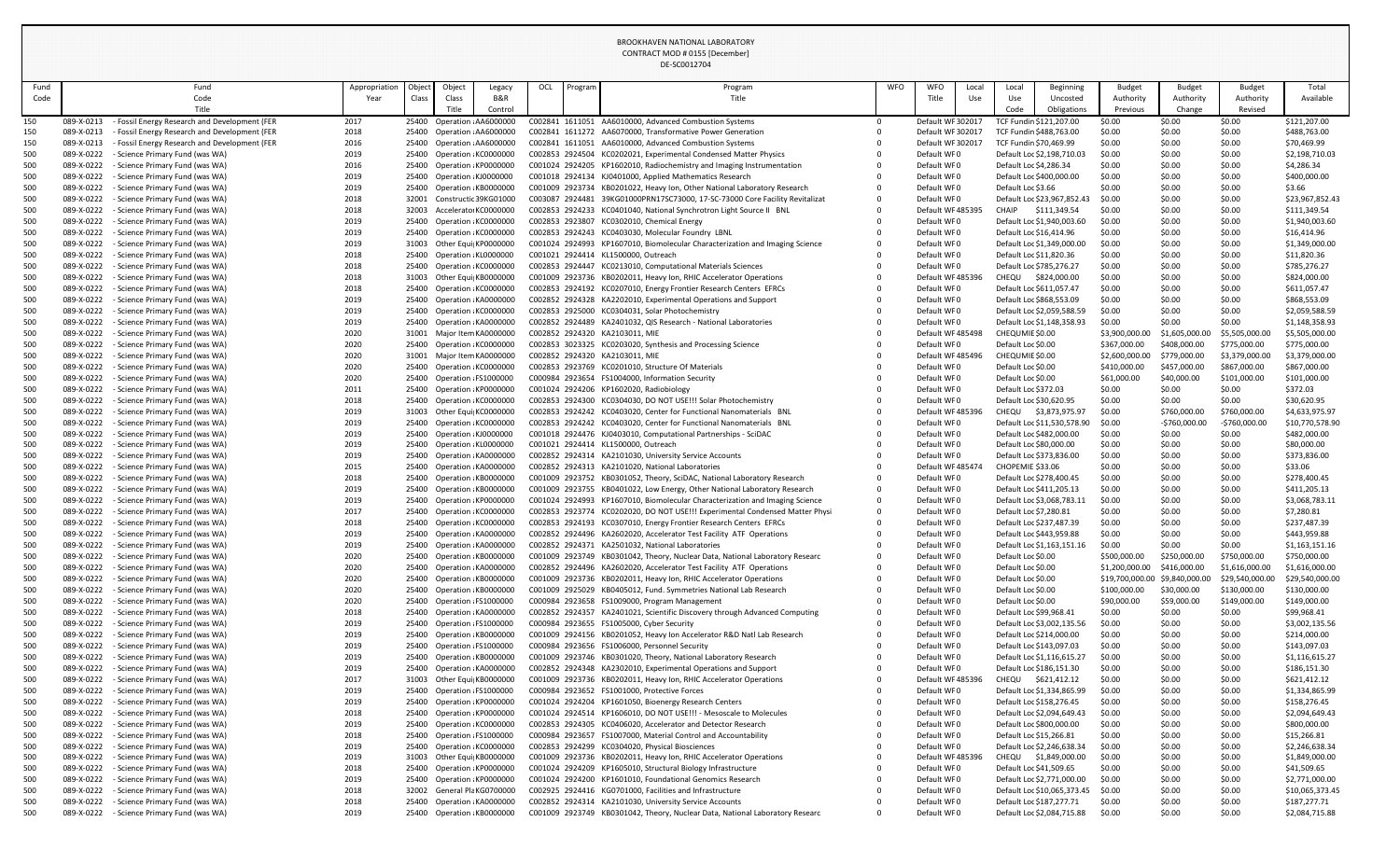| Fund       |                          | Fund                                                                                           | Appropriation | Object         | Object                                                  | Legacy  | OCL | Program | Program                                                                                                                                           | <b>WFO</b> | <b>WFO</b><br>Local                  | Local                                      | Beginning                                              | <b>Budget</b>                  | <b>Budget</b>         | <b>Budget</b>          | Total                            |
|------------|--------------------------|------------------------------------------------------------------------------------------------|---------------|----------------|---------------------------------------------------------|---------|-----|---------|---------------------------------------------------------------------------------------------------------------------------------------------------|------------|--------------------------------------|--------------------------------------------|--------------------------------------------------------|--------------------------------|-----------------------|------------------------|----------------------------------|
| Code       |                          | Code                                                                                           | Year          | Class          | Class                                                   | B&R     |     |         | Title                                                                                                                                             |            | Title<br>Use                         | Use                                        | Uncosted                                               | Authority                      | Authority             | Authority              | Available                        |
|            |                          | Title                                                                                          |               |                | Title                                                   | Control |     |         |                                                                                                                                                   |            |                                      | Code                                       | Obligations                                            | Previous                       | Change                | Revised                |                                  |
| 150        | 089-X-0213               | - Fossil Energy Research and Development (FER                                                  | 2017          |                | 25400 Operation AA6000000                               |         |     |         | C002841 1611051 AA6010000, Advanced Combustion Systems<br>C002841 1611272 AA6070000, Transformative Power Generation                              | - റ        | Default WF 30201                     |                                            | TCF Fundin \$121,207.00<br>TCF Fundin \$488,763.00     | \$0.00<br>\$0.00               | \$0.00                | \$0.00<br>\$0.00       | \$121,207.00                     |
| 150<br>150 | 089-X-0213<br>089-X-0213 | - Fossil Energy Research and Development (FER<br>- Fossil Energy Research and Development (FER | 2018<br>2016  | 25400          | Operation : AA6000000<br>25400 Operation AA6000000      |         |     |         | C002841 1611051 AA6010000, Advanced Combustion Systems                                                                                            |            | Default WF 30201<br>Default WF 30201 | TCF Fundin \$70,469.99                     |                                                        | \$0.00                         | \$0.00<br>\$0.00      | \$0.00                 | \$488,763.00<br>\$70,469.99      |
| 500        | 089-X-0222               | - Science Primary Fund (was WA)                                                                | 2019          |                | 25400 Operation KC0000000                               |         |     |         | C002853 2924504 KC0202021, Experimental Condensed Matter Physics                                                                                  |            | Default WF0                          |                                            | Default Loc \$2,198,710.03                             | \$0.00                         | \$0.00                | \$0.00                 | \$2,198,710.03                   |
| 500        | 089-X-0222               | - Science Primary Fund (was WA)                                                                | 2016          |                | 25400 Operation KP0000000                               |         |     |         | C001024 2924205 KP1602010, Radiochemistry and Imaging Instrumentation                                                                             |            | Default WF0                          | Default Loc \$4,286.34                     |                                                        | \$0.00                         | \$0.00                | \$0.00                 | \$4,286.34                       |
| 500        | 089-X-0222               | - Science Primary Fund (was WA)                                                                | 2019          |                | 25400 Operation KJ0000000                               |         |     |         | C001018 2924134 KJ0401000, Applied Mathematics Research                                                                                           |            | Default WF0                          |                                            | Default Loc \$400,000.00                               | \$0.00                         | \$0.00                | \$0.00                 | \$400,000.00                     |
| 500        | 089-X-0222               | - Science Primary Fund (was WA)                                                                | 2019          | 25400          | Operation KB0000000                                     |         |     |         | C001009 2923734 KB0201022, Heavy Ion, Other National Laboratory Research                                                                          | $\Omega$   | Default WF0                          | Default Loc \$3.66                         |                                                        | \$0.00                         | \$0.00                | \$0.00                 | \$3.66                           |
| 500        | 089-X-0222               | - Science Primary Fund (was WA)                                                                | 2018          | 32001          | Constructic 39KG01000                                   |         |     |         | C003087 2924481 39KG01000PRN17SC73000, 17-SC-73000 Core Facility Revitalizat                                                                      |            | Default WF0                          |                                            | Default Loc \$23,967,852.43                            | \$0.00                         | \$0.00                | \$0.00                 | \$23,967,852.43                  |
| 500        | 089-X-0222               | - Science Primary Fund (was WA)                                                                | 2018          | 32003          | Accelerato KC0000000                                    |         |     |         | C002853 2924233 KC0401040, National Synchrotron Light Source II BNL                                                                               | $\Omega$   | Default WF48539!                     | CHAIP                                      | \$111,349.54                                           | \$0.00                         | \$0.00                | \$0.00                 | \$111,349.54                     |
| 500        | 089-X-0222               | - Science Primary Fund (was WA)                                                                | 2019          | 25400          | Operation KC0000000                                     |         |     |         | C002853 2923807 KC0302010, Chemical Energy                                                                                                        |            | Default WF0                          |                                            | Default Loc \$1,940,003.60                             | \$0.00                         | \$0.00                | \$0.00                 | \$1,940,003.60                   |
| 500        | 089-X-0222               | - Science Primary Fund (was WA)                                                                | 2019          | 25400          | Operation KC0000000                                     |         |     |         | C002853 2924243 KC0403030, Molecular Foundry LBNL                                                                                                 |            | Default WF0                          | Default Loc \$16,414.96                    |                                                        | \$0.00                         | \$0.00                | \$0.00                 | \$16,414.96                      |
| 500        | 089-X-0222               | - Science Primary Fund (was WA)                                                                | 2019          |                | 31003 Other Equi KP0000000                              |         |     |         | C001024 2924993 KP1607010, Biomolecular Characterization and Imaging Science<br>C001021 2924414 KL1500000, Outreach                               |            | Default WF0<br>Default WF0           | Default Loc \$11,820.36                    | Default Loc \$1,349,000.00                             | \$0.00<br>\$0.00               | \$0.00<br>\$0.00      | \$0.00<br>\$0.00       | \$1,349,000.00                   |
| 500<br>500 | 089-X-0222<br>089-X-0222 | - Science Primary Fund (was WA)<br>- Science Primary Fund (was WA)                             | 2018<br>2018  |                | 25400 Operation KL0000000<br>25400 Operation KC0000000  |         |     |         | C002853 2924447 KC0213010, Computational Materials Sciences                                                                                       |            | Default WF0                          |                                            | Default Loc \$785,276.27                               | \$0.00                         | \$0.00                | \$0.00                 | \$11,820.36<br>\$785,276.27      |
| 500        | 089-X-0222               | - Science Primary Fund (was WA)                                                                | 2018          |                | 31003 Other Equi KB0000000                              |         |     |         | C001009 2923736 KB0202011, Heavy Ion, RHIC Accelerator Operations                                                                                 |            | Default WF 48539                     | CHEQU                                      | \$824,000.00                                           | \$0.00                         | \$0.00                | \$0.00                 | \$824,000.00                     |
| 500        | 089-X-0222               | - Science Primary Fund (was WA)                                                                | 2018          |                | 25400 Operation KC0000000                               |         |     |         | C002853 2924192 KC0207010, Energy Frontier Research Centers EFRCs                                                                                 |            | Default WF0                          |                                            | Default Loc \$611,057.47                               | \$0.00                         | \$0.00                | \$0.00                 | \$611,057.47                     |
| 500        | 089-X-0222               | - Science Primary Fund (was WA)                                                                | 2019          |                | 25400 Operation KA0000000                               |         |     |         | C002852 2924328 KA2202010, Experimental Operations and Support                                                                                    |            | Default WF0                          |                                            | Default Loc \$868,553.09                               | \$0.00                         | \$0.00                | \$0.00                 | \$868,553.09                     |
| 500        | 089-X-0222               | - Science Primary Fund (was WA)                                                                | 2019          |                | 25400 Operation KC0000000                               |         |     |         | C002853 2925000 KC0304031, Solar Photochemistry                                                                                                   |            | Default WF0                          |                                            | Default Loc \$2,059,588.59                             | \$0.00                         | \$0.00                | \$0.00                 | \$2,059,588.59                   |
| 500        | 089-X-0222               | - Science Primary Fund (was WA)                                                                | 2019          |                | 25400 Operation KA0000000                               |         |     |         | C002852 2924489 KA2401032, QIS Research - National Laboratories                                                                                   |            | Default WF0                          |                                            | Default Loc \$1,148,358.93                             | \$0.00                         | \$0.00                | \$0.00                 | \$1,148,358.93                   |
| 500        | 089-X-0222               | - Science Primary Fund (was WA)                                                                | 2020          |                | 31001 Major Item KA0000000                              |         |     |         | C002852 2924320 KA2103011, MIE                                                                                                                    |            | Default WF48549                      | CHEQUMIE \$0.00                            |                                                        | \$3,900,000.00                 | \$1,605,000.00        | \$5,505,000.00         | \$5,505,000.00                   |
| 500        | 089-X-0222               | - Science Primary Fund (was WA)                                                                | 2020          |                | 25400 Operation KC0000000                               |         |     |         | C002853 3023325 KC0203020, Synthesis and Processing Science                                                                                       |            | Default WF0                          | Default Loc \$0.00                         |                                                        | \$367,000.00                   | \$408,000.00          | \$775,000.00           | \$775,000.00                     |
| 500        | 089-X-0222               | - Science Primary Fund (was WA)                                                                | 2020          | 31001          | Major Item KA0000000                                    |         |     |         | C002852 2924320 KA2103011, MIE                                                                                                                    |            | Default WF 48549                     | CHEQUMIE \$0.00                            |                                                        | \$2,600,000.00                 | \$779,000.00          | \$3,379,000.00         | \$3,379,000.00                   |
| 500        | 089-X-0222               | - Science Primary Fund (was WA)                                                                | 2020          |                | 25400 Operation KC0000000                               |         |     |         | C002853 2923769 KC0201010, Structure Of Materials                                                                                                 |            | Default WF0                          | Default Loc \$0.00                         |                                                        | \$410,000.00                   | \$457,000.00          | \$867,000.00           | \$867,000.00                     |
| 500        | 089-X-0222<br>089-X-0222 | - Science Primary Fund (was WA)<br>- Science Primary Fund (was WA)                             | 2020<br>2011  | 25400<br>25400 | Operation FS1000000<br>Operation KP0000000              |         |     |         | C000984 2923654 FS1004000, Information Security<br>C001024 2924206 KP1602020, Radiobiology                                                        |            | Default WF0<br>Default WF0           | Default Loc \$0.00<br>Default Loc \$372.03 |                                                        | \$61,000.00<br>\$0.00          | \$40,000.00<br>\$0.00 | \$101,000.00<br>\$0.00 | \$101,000.00<br>\$372.03         |
| 500<br>500 | 089-X-0222               | - Science Primary Fund (was WA)                                                                | 2018          |                | 25400 Operation KC0000000                               |         |     |         | C002853 2924300 KC0304030, DO NOT USE!!! Solar Photochemistry                                                                                     |            | Default WF0                          | Default Loc \$30,620.95                    |                                                        | \$0.00                         | \$0.00                | \$0.00                 | \$30,620.95                      |
| 500        | 089-X-0222               | - Science Primary Fund (was WA)                                                                | 2019          |                | 31003 Other Equi KC0000000                              |         |     |         | C002853 2924242 KC0403020, Center for Functional Nanomaterials BNL                                                                                |            | Default WF485396                     | CHEQU                                      | \$3,873,975.97                                         | \$0.00                         | \$760,000.00          | \$760,000.00           | \$4,633,975.97                   |
| 500        | 089-X-0222               | - Science Primary Fund (was WA)                                                                | 2019          | 25400          | Operation KC0000000                                     |         |     |         | C002853 2924242 KC0403020, Center for Functional Nanomaterials BNL                                                                                |            | Default WF0                          |                                            | Default Loc \$11,530,578.90                            | \$0.00                         | -\$760,000.00         | -\$760,000.00          | \$10,770,578.90                  |
| 500        | 089-X-0222               | - Science Primary Fund (was WA)                                                                | 2019          |                | 25400 Operation KJ0000000                               |         |     |         | C001018 2924476 KJ0403010, Computational Partnerships - SciDAC                                                                                    |            | Default WF0                          |                                            | Default Loc \$482,000.00                               | \$0.00                         | \$0.00                | \$0.00                 | \$482,000.00                     |
| 500        | 089-X-0222               | - Science Primary Fund (was WA)                                                                | 2019          |                | 25400 Operation KL0000000                               |         |     |         | C001021 2924414 KL1500000, Outreach                                                                                                               |            | Default WF0                          | Default Loc \$80,000.00                    |                                                        | \$0.00                         | \$0.00                | \$0.00                 | \$80,000.00                      |
| 500        | 089-X-0222               | - Science Primary Fund (was WA)                                                                | 2019          |                | 25400 Operation KA0000000                               |         |     |         | C002852 2924314 KA2101030, University Service Accounts                                                                                            |            | Default WF0                          |                                            | Default Loc \$373,836.00                               | \$0.00                         | \$0.00                | \$0.00                 | \$373,836.00                     |
| 500        | 089-X-0222               | - Science Primary Fund (was WA)                                                                | 2015          |                | 25400 Operation KA0000000                               |         |     |         | C002852 2924313 KA2101020, National Laboratories                                                                                                  |            | Default WF48547                      | CHOPEMIE \$33.06                           |                                                        | \$0.00                         | \$0.00                | \$0.00                 | \$33.06                          |
| 500        | 089-X-0222               | - Science Primary Fund (was WA)                                                                | 2018          |                | 25400 Operation KB0000000                               |         |     |         | C001009 2923752 KB0301052, Theory, SciDAC, National Laboratory Research                                                                           |            | Default WF0                          |                                            | Default Loc \$278,400.45                               | \$0.00                         | \$0.00                | \$0.00                 | \$278,400.45                     |
| 500        | 089-X-0222               | - Science Primary Fund (was WA)                                                                | 2019          |                | 25400 Operation KB0000000                               |         |     |         | C001009 2923755 KB0401022, Low Energy, Other National Laboratory Research                                                                         | $\Omega$   | Default WF0                          |                                            | Default Loc \$411,205.13                               | \$0.00                         | \$0.00                | \$0.00                 | \$411,205.13                     |
| 500        | 089-X-0222               | - Science Primary Fund (was WA)                                                                | 2019          |                | 25400 Operation KP0000000                               |         |     |         | C001024 2924993 KP1607010, Biomolecular Characterization and Imaging Science                                                                      | $\Omega$   | Default WF0                          |                                            | Default Loc \$3,068,783.11                             | \$0.00                         | \$0.00                | \$0.00                 | \$3,068,783.11                   |
| 500<br>500 | 089-X-0222<br>089-X-0222 | - Science Primary Fund (was WA)<br>- Science Primary Fund (was WA)                             | 2017<br>2018  |                | 25400 Operation KC0000000<br>25400 Operation KC0000000  |         |     |         | C002853 2923774 KC0202020, DO NOT USE!!! Experimental Condensed Matter Physi<br>C002853 2924193 KC0307010, Energy Frontier Research Centers EFRCs | 0<br>- 0   | Default WF0<br>Default WF0           | Default Loc \$7,280.81                     | Default Loc \$237,487.39                               | \$0.00<br>\$0.00               | \$0.00<br>\$0.00      | \$0.00<br>\$0.00       | \$7,280.81<br>\$237,487.39       |
| 500        | 089-X-0222               | - Science Primary Fund (was WA)                                                                | 2019          |                | 25400 Operation KA0000000                               |         |     |         | C002852 2924496 KA2602020, Accelerator Test Facility ATF Operations                                                                               |            | Default WF0                          |                                            | Default Loc \$443,959.88                               | \$0.00                         | \$0.00                | \$0.00                 | \$443,959.88                     |
| 500        | 089-X-0222               | - Science Primary Fund (was WA)                                                                | 2019          |                | 25400 Operation KA0000000                               |         |     |         | C002852 2924371 KA2501032, National Laboratories                                                                                                  |            | Default WF0                          |                                            | Default Loc \$1,163,151.16                             | \$0.00                         | \$0.00                | \$0.00                 | \$1,163,151.16                   |
| 500        | 089-X-0222               | - Science Primary Fund (was WA)                                                                | 2020          |                | 25400 Operation KB0000000                               |         |     |         | C001009 2923749 KB0301042, Theory, Nuclear Data, National Laboratory Researc                                                                      | $\Omega$   | Default WF0                          | Default Loc \$0.00                         |                                                        | \$500,000.00                   | \$250,000.00          | \$750,000.00           | \$750,000.00                     |
| 500        | 089-X-0222               | - Science Primary Fund (was WA)                                                                | 2020          |                | 25400 Operation KA0000000                               |         |     |         | C002852 2924496 KA2602020, Accelerator Test Facility ATF Operations                                                                               |            | Default WF0                          | Default Loc \$0.00                         |                                                        | \$1,200,000.00                 | \$416,000.00          | \$1,616,000.00         | \$1,616,000.00                   |
| 500        | 089-X-0222               | - Science Primary Fund (was WA)                                                                | 2020          |                | 25400 Operation KB0000000                               |         |     |         | C001009 2923736 KB0202011, Heavy Ion, RHIC Accelerator Operations                                                                                 |            | Default WF0                          | Default Loc \$0.00                         |                                                        | \$19,700,000.00 \$9,840,000.00 |                       | \$29,540,000.00        | \$29,540,000.00                  |
| 500        | 089-X-0222               | - Science Primary Fund (was WA)                                                                | 2020          |                | 25400 Operation KB0000000                               |         |     |         | C001009 2925029 KB0405012, Fund. Symmetries National Lab Research                                                                                 |            | Default WF0                          | Default Loc \$0.00                         |                                                        | \$100,000.00                   | \$30,000.00           | \$130,000.00           | \$130,000.00                     |
| 500        | 089-X-0222               | - Science Primary Fund (was WA)                                                                | 2020          |                | 25400 Operation FS1000000                               |         |     |         | C000984 2923658 FS1009000, Program Management                                                                                                     |            | Default WF0                          | Default Loc \$0.00                         |                                                        | \$90,000.00                    | \$59,000.00           | \$149,000.00           | \$149,000.00                     |
| 500        | 089-X-0222               | - Science Primary Fund (was WA)                                                                | 2018          |                | 25400 Operation KA0000000                               |         |     |         | C002852 2924357 KA2401021, Scientific Discovery through Advanced Computing                                                                        |            | Default WF0                          | Default Loc \$99,968.41                    |                                                        | \$0.00                         | \$0.00                | \$0.00                 | \$99,968.41                      |
| 500<br>500 | 089-X-0222<br>089-X-0222 | - Science Primary Fund (was WA)<br>- Science Primary Fund (was WA)                             | 2019<br>2019  |                | 25400 Operation FS1000000<br>25400 Operation KB0000000  |         |     |         | C000984 2923655 FS1005000, Cyber Security<br>C001009 2924156 KB0201052, Heavy Ion Accelerator R&D Natl Lab Research                               |            | Default WF0<br>Default WF0           |                                            | Default Loc \$3,002,135.56<br>Default Loc \$214,000.00 | \$0.00<br>\$0.00               | \$0.00<br>\$0.00      | \$0.00<br>\$0.00       | \$3,002,135.56<br>\$214,000.00   |
| 500        | 089-X-0222               | - Science Primary Fund (was WA)                                                                | 2019          |                | 25400 Operation FS1000000                               |         |     |         | C000984 2923656 FS1006000, Personnel Security                                                                                                     |            | Default WF0                          |                                            | Default Loc \$143,097.03                               | \$0.00                         | \$0.00                | \$0.00                 | \$143,097.03                     |
| 500        | 089-X-0222               | - Science Primary Fund (was WA)                                                                | 2019          |                | 25400 Operation KB0000000                               |         |     |         | C001009 2923746 KB0301020, Theory, National Laboratory Research                                                                                   |            | Default WF0                          |                                            | Default Loc \$1,116,615.27                             | \$0.00                         | \$0.00                | \$0.00                 | \$1,116,615.27                   |
| 500        | 089-X-0222               | - Science Primary Fund (was WA)                                                                | 2019          |                | 25400 Operation KA0000000                               |         |     |         | C002852 2924348 KA2302010, Experimental Operations and Support                                                                                    |            | Default WF0                          |                                            | Default Loc \$186,151.30                               | \$0.00                         | \$0.00                | \$0.00                 | \$186,151.30                     |
| 500        | 089-X-0222               | - Science Primary Fund (was WA)                                                                | 2017          |                | 31003 Other Equi KB0000000                              |         |     |         | C001009 2923736 KB0202011, Heavy Ion, RHIC Accelerator Operations                                                                                 |            | Default WF485396                     | CHEQU                                      | \$621,412.12                                           | \$0.00                         | \$0.00                | \$0.00                 | \$621,412.12                     |
| 500        | 089-X-0222               | - Science Primary Fund (was WA)                                                                | 2019          |                | 25400 Operation FS1000000                               |         |     |         | C000984 2923652 FS1001000, Protective Forces                                                                                                      |            | Default WF0                          |                                            | Default Loc \$1,334,865.99                             | \$0.00                         | \$0.00                | \$0.00                 | \$1,334,865.99                   |
| 500        | 089-X-0222               | - Science Primary Fund (was WA)                                                                | 2019          |                | 25400 Operation KP0000000                               |         |     |         | C001024 2924204 KP1601050, Bioenergy Research Centers                                                                                             |            | Default WF0                          |                                            | Default Loc \$158,276.45                               | \$0.00                         | \$0.00                | \$0.00                 | \$158,276.45                     |
| 500        | 089-X-0222               | - Science Primary Fund (was WA)                                                                | 2018          |                | 25400 Operation KP0000000                               |         |     |         | C001024 2924514 KP1606010, DO NOT USE!!! - Mesoscale to Molecules                                                                                 |            | Default WF0                          |                                            | Default Loc \$2,094,649.43                             | \$0.00                         | \$0.00                | \$0.00                 | \$2,094,649.43                   |
| 500        | 089-X-0222               | - Science Primary Fund (was WA)                                                                | 2019          |                | 25400 Operation KC0000000                               |         |     |         | C002853 2924305 KC0406020, Accelerator and Detector Research                                                                                      |            | Default WF0                          |                                            | Default Loc \$800,000.00                               | \$0.00                         | \$0.00                | \$0.00                 | \$800,000.00                     |
| 500        | 089-X-0222               | - Science Primary Fund (was WA)                                                                | 2018          |                | 25400 Operation FS1000000                               |         |     |         | C000984 2923657 FS1007000, Material Control and Accountability                                                                                    |            | Default WF0<br>Default WF0           | Default Loc \$15,266.81                    |                                                        | \$0.00                         | \$0.00                | \$0.00                 | \$15,266.81                      |
| 500<br>500 | 089-X-0222               | - Science Primary Fund (was WA)<br>089-X-0222 - Science Primary Fund (was WA)                  | 2019<br>2019  |                | 25400 Operation KC0000000<br>31003 Other Equi KB0000000 |         |     |         | C002853 2924299 KC0304020, Physical Biosciences<br>C001009 2923736 KB0202011, Heavy Ion, RHIC Accelerator Operations                              |            | Default WF485396                     | CHEQU                                      | Default Loc \$2,246,638.34<br>\$1,849,000.00           | \$0.00<br>\$0.00               | \$0.00<br>\$0.00      | \$0.00<br>\$0.00       | \$2,246,638.34<br>\$1,849,000.00 |
| 500        |                          | 089-X-0222 - Science Primary Fund (was WA)                                                     | 2018          |                | 25400 Operation KP0000000                               |         |     |         | C001024 2924209 KP1605010, Structural Biology Infrastructure                                                                                      |            | Default WF0                          | Default Loc \$41,509.65                    |                                                        | \$0.00                         | \$0.00                | \$0.00                 | \$41,509.65                      |
| 500        | 089-X-0222               | - Science Primary Fund (was WA)                                                                | 2019          |                | 25400 Operation KP0000000                               |         |     |         | C001024 2924200 KP1601010, Foundational Genomics Research                                                                                         |            | Default WF0                          |                                            | Default Loc \$2,771,000.00                             | \$0.00                         | \$0.00                | \$0.00                 | \$2,771,000.00                   |
| 500        | 089-X-0222               | - Science Primary Fund (was WA)                                                                | 2018          |                | 32002 General Pla KG0700000                             |         |     |         | C002925 2924416 KG0701000, Facilities and Infrastructure                                                                                          |            | Default WF0                          |                                            | Default Loc \$10,065,373.45                            | \$0.00                         | \$0.00                | \$0.00                 | \$10,065,373.45                  |
| 500        | 089-X-0222               | - Science Primary Fund (was WA)                                                                | 2018          |                | 25400 Operation KA0000000                               |         |     |         | C002852 2924314 KA2101030, University Service Accounts                                                                                            |            | Default WF0                          |                                            | Default Loc \$187,277.71                               | \$0.00                         | \$0.00                | \$0.00                 | \$187,277.71                     |
| 500        | 089-X-0222               | - Science Primary Fund (was WA)                                                                | 2019          |                | 25400 Operation KB0000000                               |         |     |         | C001009 2923749 KB0301042, Theory, Nuclear Data, National Laboratory Researc                                                                      |            | Default WF0                          |                                            | Default Loc \$2,084,715.88                             | \$0.00                         | \$0.00                | \$0.00                 | \$2,084,715.88                   |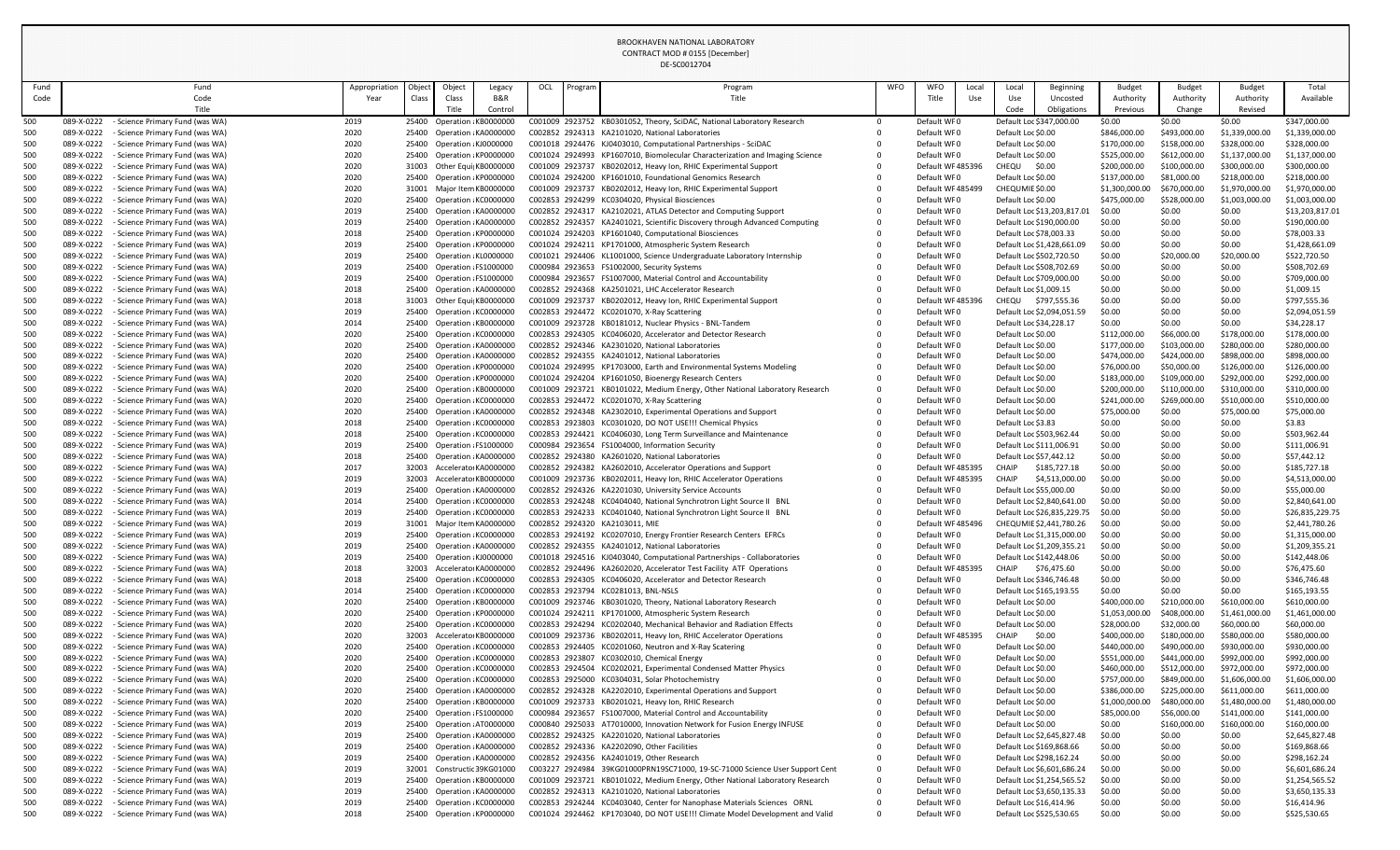| Fund       | Fund                                                                                           | Appropriation | Object | Object                                                  | Legacy         | OCL | Program | Program                                                                                                                                        | WFO      | <b>WFO</b><br>Local             | Local                                    | Beginning                                            | <b>Budget</b>                 | <b>Budget</b>                | <b>Budget</b>                  | Total                          |
|------------|------------------------------------------------------------------------------------------------|---------------|--------|---------------------------------------------------------|----------------|-----|---------|------------------------------------------------------------------------------------------------------------------------------------------------|----------|---------------------------------|------------------------------------------|------------------------------------------------------|-------------------------------|------------------------------|--------------------------------|--------------------------------|
| Code       | Code                                                                                           | Year          | Class  | Class                                                   | <b>B&amp;R</b> |     |         | Title                                                                                                                                          |          | Title<br>Use                    | Use                                      | Uncosted                                             | Authority                     | Authority                    | Authority                      | Available                      |
|            | Title                                                                                          |               |        | Title                                                   | Control        |     |         |                                                                                                                                                |          |                                 | Code                                     | Obligations                                          | Previous                      | Change                       | Revised                        |                                |
| 500        | 089-X-0222<br>- Science Primary Fund (was WA)                                                  | 2019          |        | 25400 Operation KB0000000                               |                |     |         | C001009 2923752 KB0301052, Theory, SciDAC, National Laboratory Research                                                                        | $\Omega$ | Default WF0                     |                                          | Default Loc \$347,000.00                             | \$0.00                        | \$0.00                       | \$0.00                         | \$347,000.00                   |
| 500        | 089-X-0222<br>- Science Primary Fund (was WA)                                                  | 2020          |        | 25400 Operation KA0000000                               |                |     |         | C002852 2924313 KA2101020, National Laboratories                                                                                               |          | Default WF0                     | Default Loc \$0.00                       |                                                      | \$846,000.00                  | \$493,000.00                 | \$1,339,000.00                 | \$1,339,000.00                 |
| 500<br>500 | 089-X-0222<br>Science Primary Fund (was WA)<br>089-X-0222<br>- Science Primary Fund (was WA)   | 2020<br>2020  |        | 25400 Operation KJ0000000<br>25400 Operation KP0000000  |                |     |         | C001018 2924476 KJ0403010, Computational Partnerships - SciDAC<br>C001024 2924993 KP1607010, Biomolecular Characterization and Imaging Science |          | Default WF0<br>Default WF0      | Default Loc \$0.00<br>Default Loc \$0.00 |                                                      | \$170,000.00<br>\$525,000.00  | \$158,000.00<br>\$612,000.00 | \$328,000.00<br>\$1,137,000.00 | \$328,000.00<br>\$1,137,000.00 |
| 500        | 089-X-0222<br>- Science Primary Fund (was WA)                                                  | 2020          |        | 31003 Other Equi KB0000000                              |                |     |         | C001009 2923737 KB0202012, Heavy Ion, RHIC Experimental Support                                                                                |          | Default WF48539                 | CHEQU                                    | \$0.00                                               | \$200,000.00                  | \$100,000.00                 | \$300,000.00                   | \$300,000.00                   |
| 500        | 089-X-0222<br>- Science Primary Fund (was WA)                                                  | 2020          |        | 25400 Operation KP0000000                               |                |     |         | C001024 2924200 KP1601010, Foundational Genomics Research                                                                                      |          | Default WF0                     | Default Loc \$0.00                       |                                                      | \$137,000.00                  | \$81,000.00                  | \$218,000.00                   | \$218,000.00                   |
| 500        | 089-X-0222<br>- Science Primary Fund (was WA)                                                  | 2020          |        | 31001 Major Item KB0000000                              |                |     |         | C001009 2923737 KB0202012, Heavy Ion, RHIC Experimental Support                                                                                |          | Default WF48549                 | CHEQUMIE \$0.00                          |                                                      | \$1,300,000.00                | \$670,000.00                 | \$1,970,000.00                 | \$1,970,000.00                 |
| 500        | 089-X-0222<br>- Science Primary Fund (was WA)                                                  | 2020          |        | 25400 Operation KC0000000                               |                |     |         | C002853 2924299 KC0304020, Physical Biosciences                                                                                                |          | Default WF0                     | Default Loc \$0.00                       |                                                      | \$475,000.00                  | \$528,000.00                 | \$1,003,000.00                 | \$1,003,000.00                 |
| 500        | - Science Primary Fund (was WA)<br>089-X-0222                                                  | 2019          |        | 25400 Operation KA0000000                               |                |     |         | C002852 2924317 KA2102021, ATLAS Detector and Computing Support                                                                                |          | Default WF0                     |                                          | Default Loc \$13,203,817.01                          | \$0.00                        | \$0.00                       | \$0.00                         | \$13,203,817.01                |
| 500        | 089-X-0222<br>- Science Primary Fund (was WA)                                                  | 2019          |        | 25400 Operation KA0000000                               |                |     |         | C002852 2924357 KA2401021, Scientific Discovery through Advanced Computing                                                                     |          | Default WF0                     |                                          | Default Loc \$190,000.00                             | \$0.00                        | \$0.00                       | \$0.00                         | \$190,000.00                   |
| 500        | 089-X-0222<br>- Science Primary Fund (was WA)                                                  | 2018          |        | 25400 Operation KP0000000                               |                |     |         | C001024 2924203 KP1601040, Computational Biosciences                                                                                           |          | Default WF0                     | Default Loc \$78,003.33                  |                                                      | \$0.00                        | \$0.00                       | \$0.00                         | \$78,003.33                    |
| 500        | 089-X-0222<br>- Science Primary Fund (was WA)                                                  | 2019          |        | 25400 Operation KP0000000                               |                |     |         | C001024 2924211 KP1701000, Atmospheric System Research                                                                                         |          | Default WF0                     |                                          | Default Loc \$1,428,661.09                           | \$0.00                        | \$0.00                       | \$0.00                         | \$1,428,661.09                 |
| 500<br>500 | 089-X-0222<br>- Science Primary Fund (was WA)<br>- Science Primary Fund (was WA)<br>089-X-0222 | 2019<br>2019  |        | 25400 Operation KL0000000<br>25400 Operation FS1000000  |                |     |         | C001021 2924406 KL1001000, Science Undergraduate Laboratory Internship<br>C000984 2923653 FS1002000, Security Systems                          |          | Default WF0<br>Default WF0      |                                          | Default Loc \$502,720.50<br>Default Loc \$508,702.69 | \$0.00<br>\$0.00              | \$20,000.00<br>\$0.00        | \$20,000.00<br>\$0.00          | \$522,720.50<br>\$508,702.69   |
| 500        | 089-X-0222<br>- Science Primary Fund (was WA)                                                  | 2019          |        | 25400 Operation FS1000000                               |                |     |         | C000984 2923657 FS1007000, Material Control and Accountability                                                                                 |          | Default WF0                     |                                          | Default Loc \$709,000.00                             | \$0.00                        | \$0.00                       | \$0.00                         | \$709,000.00                   |
| 500        | 089-X-0222<br>- Science Primary Fund (was WA)                                                  | 2018          |        | 25400 Operation KA0000000                               |                |     |         | C002852 2924368 KA2501021, LHC Accelerator Research                                                                                            |          | Default WF0                     | Default Loc \$1,009.15                   |                                                      | \$0.00                        | \$0.00                       | \$0.00                         | \$1,009.15                     |
| 500        | 089-X-0222<br>- Science Primary Fund (was WA)                                                  | 2018          |        | 31003 Other Equi KB0000000                              |                |     |         | C001009 2923737 KB0202012, Heavy Ion, RHIC Experimental Support                                                                                |          | Default WF48539                 | CHEQU                                    | \$797,555.36                                         | \$0.00                        | \$0.00                       | \$0.00                         | \$797,555.36                   |
| 500        | 089-X-0222<br>- Science Primary Fund (was WA)                                                  | 2019          |        | 25400 Operation KC0000000                               |                |     |         | C002853 2924472 KC0201070, X-Ray Scattering                                                                                                    |          | Default WF0                     |                                          | Default Loc \$2,094,051.59                           | \$0.00                        | \$0.00                       | \$0.00                         | \$2,094,051.59                 |
| 500        | 089-X-0222<br>- Science Primary Fund (was WA)                                                  | 2014          |        | 25400 Operation KB0000000                               |                |     |         | C001009 2923728 KB0181012, Nuclear Physics - BNL-Tandem                                                                                        |          | Default WF0                     | Default Loc \$34,228.17                  |                                                      | \$0.00                        | \$0.00                       | \$0.00                         | \$34,228.17                    |
| 500        | 089-X-0222<br>- Science Primary Fund (was WA)                                                  | 2020          |        | 25400 Operation KC0000000                               |                |     |         | C002853 2924305 KC0406020, Accelerator and Detector Research                                                                                   |          | Default WF0                     | Default Loc \$0.00                       |                                                      | \$112,000.00                  | \$66,000.00                  | \$178,000.00                   | \$178,000.00                   |
| 500        | 089-X-0222<br>- Science Primary Fund (was WA)                                                  | 2020          |        | 25400 Operation KA0000000                               |                |     |         | C002852 2924346 KA2301020, National Laboratories                                                                                               |          | Default WF0                     | Default Loc \$0.00                       |                                                      | \$177,000.00                  | \$103,000.00                 | \$280,000.00                   | \$280,000.00                   |
| 500        | 089-X-0222<br>- Science Primary Fund (was WA)                                                  | 2020          |        | 25400 Operation KA0000000                               |                |     |         | C002852 2924355 KA2401012, National Laboratories                                                                                               |          | Default WF0                     | Default Loc \$0.00                       |                                                      | \$474,000.00                  | \$424,000.00                 | \$898,000.00                   | \$898,000.00                   |
| 500        | 089-X-0222<br>- Science Primary Fund (was WA)                                                  | 2020          |        | 25400 Operation KP0000000                               |                |     |         | C001024 2924995 KP1703000, Earth and Environmental Systems Modeling<br>C001024 2924204 KP1601050, Bioenergy Research Centers                   |          | Default WF0                     | Default Loc \$0.00                       |                                                      | \$76,000.00                   | \$50,000.00                  | \$126,000.00                   | \$126,000.00                   |
| 500<br>500 | 089-X-0222<br>- Science Primary Fund (was WA)<br>089-X-0222<br>- Science Primary Fund (was WA) | 2020<br>2020  |        | 25400 Operation KP0000000<br>25400 Operation KB0000000  |                |     |         | C001009 2923721 KB0101022, Medium Energy, Other National Laboratory Research                                                                   | 0        | Default WF0<br>Default WF0      | Default Loc \$0.00<br>Default Loc \$0.00 |                                                      | \$183,000.00<br>\$200,000.00  | \$109,000.00<br>\$110,000.00 | \$292,000.00<br>\$310,000.00   | \$292,000.00<br>\$310,000.00   |
| 500        | 089-X-0222<br>- Science Primary Fund (was WA)                                                  | 2020          |        | 25400 Operation KC0000000                               |                |     |         | C002853 2924472 KC0201070, X-Ray Scattering                                                                                                    |          | Default WF0                     | Default Loc \$0.00                       |                                                      | \$241,000.00                  | \$269,000.00                 | \$510,000.00                   | \$510,000.00                   |
| 500        | 089-X-0222<br>- Science Primary Fund (was WA)                                                  | 2020          |        | 25400 Operation KA0000000                               |                |     |         | C002852 2924348 KA2302010, Experimental Operations and Support                                                                                 |          | Default WF0                     | Default Loc \$0.00                       |                                                      | \$75,000.00                   | \$0.00                       | \$75,000.00                    | \$75,000.00                    |
| 500        | - Science Primary Fund (was WA)<br>089-X-0222                                                  | 2018          |        | 25400 Operation KC0000000                               |                |     |         | C002853 2923803 KC0301020, DO NOT USE!!! Chemical Physics                                                                                      |          | Default WF0                     | Default Loc \$3.83                       |                                                      | \$0.00                        | \$0.00                       | \$0.00                         | \$3.83                         |
| 500        | 089-X-0222<br>- Science Primary Fund (was WA)                                                  | 2018          |        | 25400 Operation KC0000000                               |                |     |         | C002853 2924421 KC0406030, Long Term Surveillance and Maintenance                                                                              |          | Default WF0                     |                                          | Default Loc \$503,962.44                             | \$0.00                        | \$0.00                       | \$0.00                         | \$503,962.44                   |
| 500        | - Science Primary Fund (was WA)<br>089-X-0222                                                  | 2019          |        | 25400 Operation FS1000000                               |                |     |         | C000984 2923654 FS1004000, Information Security                                                                                                |          | Default WF0                     |                                          | Default Loc \$111,006.91                             | \$0.00                        | \$0.00                       | \$0.00                         | \$111,006.91                   |
| 500        | 089-X-0222<br>- Science Primary Fund (was WA)                                                  | 2018          |        | 25400 Operation KA0000000                               |                |     |         | C002852 2924380 KA2601020, National Laboratories                                                                                               |          | Default WF0                     | Default Loc \$57,442.12                  |                                                      | \$0.00                        | \$0.00                       | \$0.00                         | \$57,442.12                    |
| 500        | 089-X-0222<br>- Science Primary Fund (was WA)                                                  | 2017          |        | 32003 Accelerato KA0000000                              |                |     |         | C002852 2924382 KA2602010, Accelerator Operations and Support                                                                                  |          | Default WF485395                | CHAIP                                    | \$185,727.18                                         | \$0.00                        | \$0.00                       | \$0.00                         | \$185,727.18                   |
| 500<br>500 | 089-X-0222<br>- Science Primary Fund (was WA)<br>089-X-0222<br>- Science Primary Fund (was WA) | 2019<br>2019  |        | 32003 Accelerato KB0000000<br>25400 Operation KA0000000 |                |     |         | C001009 2923736 KB0202011, Heavy Ion, RHIC Accelerator Operations<br>C002852 2924326 KA2201030, University Service Accounts                    |          | Default WF485395<br>Default WF0 | CHAIP<br>Default Loc \$55,000.00         | \$4,513,000.00                                       | \$0.00<br>\$0.00              | \$0.00<br>\$0.00             | \$0.00<br>\$0.00               | \$4,513,000.00<br>\$55,000.00  |
| 500        | - Science Primary Fund (was WA)<br>089-X-0222                                                  | 2014          |        | 25400 Operation KC0000000                               |                |     |         | C002853 2924248 KC0404040, National Synchrotron Light Source II BNL                                                                            |          | Default WF0                     |                                          | Default Loc \$2,840,641.00                           | \$0.00                        | \$0.00                       | \$0.00                         | \$2,840,641.00                 |
| 500        | 089-X-0222<br>- Science Primary Fund (was WA)                                                  | 2019          |        | 25400 Operation KC0000000                               |                |     |         | C002853 2924233 KC0401040, National Synchrotron Light Source II BNL                                                                            |          | Default WF0                     |                                          | Default Loc \$26,835,229.75                          | \$0.00                        | \$0.00                       | \$0.00                         | \$26,835,229.75                |
| 500        | 089-X-0222<br>- Science Primary Fund (was WA)                                                  | 2019          |        | 31001 Major Item KA0000000                              |                |     |         | C002852 2924320 KA2103011, MIE                                                                                                                 |          | Default WF485496                |                                          | CHEQUMIE \$2,441,780.26                              | \$0.00                        | \$0.00                       | \$0.00                         | \$2,441,780.26                 |
| 500        | 089-X-0222<br>- Science Primary Fund (was WA)                                                  | 2019          |        | 25400 Operation KC0000000                               |                |     |         | C002853 2924192 KC0207010, Energy Frontier Research Centers EFRCs                                                                              |          | Default WF0                     |                                          | Default Loc \$1,315,000.00                           | \$0.00                        | \$0.00                       | \$0.00                         | \$1,315,000.00                 |
| 500        | 089-X-0222<br>- Science Primary Fund (was WA)                                                  | 2019          |        | 25400 Operation KA0000000                               |                |     |         | C002852 2924355 KA2401012, National Laboratories                                                                                               |          | Default WF0                     |                                          | Default Loc \$1,209,355.21                           | \$0.00                        | \$0.00                       | \$0.00                         | \$1,209,355.21                 |
| 500        | 089-X-0222<br>- Science Primary Fund (was WA)                                                  | 2019          |        | 25400 Operation KJ0000000                               |                |     |         | C001018 2924516 KJ0403040, Computational Partnerships - Collaboratories                                                                        |          | Default WF0                     |                                          | Default Loc \$142,448.06                             | \$0.00                        | \$0.00                       | \$0.00                         | \$142,448.06                   |
| 500        | 089-X-0222<br>- Science Primary Fund (was WA)                                                  | 2018          |        | 32003 Accelerato KA0000000                              |                |     |         | C002852 2924496 KA2602020, Accelerator Test Facility ATF Operations                                                                            |          | Default WF485395                | CHAIP                                    | \$76,475.60                                          | \$0.00                        | \$0.00                       | \$0.00                         | \$76,475.60                    |
| 500        | 089-X-0222<br>- Science Primary Fund (was WA)                                                  | 2018          |        | 25400 Operation KC0000000                               |                |     |         | C002853 2924305 KC0406020, Accelerator and Detector Research                                                                                   |          | Default WF0                     |                                          | Default Loc \$346,746.48                             | \$0.00                        | \$0.00                       | \$0.00                         | \$346,746.48                   |
| 500<br>500 | 089-X-0222<br>- Science Primary Fund (was WA)<br>089-X-0222<br>- Science Primary Fund (was WA) | 2014<br>2020  |        | 25400 Operation KC0000000<br>25400 Operation KB0000000  |                |     |         | C002853 2923794 KC0281013, BNL-NSLS<br>C001009 2923746 KB0301020, Theory, National Laboratory Research                                         |          | Default WF0<br>Default WF0      | Default Loc \$0.00                       | Default Loc \$165,193.55                             | \$0.00<br>\$400,000.00        | \$0.00<br>\$210,000.00       | \$0.00<br>\$610,000.00         | \$165,193.55<br>\$610,000.00   |
| 500        | 089-X-0222<br>- Science Primary Fund (was WA)                                                  | 2020          |        | 25400 Operation KP0000000                               |                |     |         | C001024 2924211 KP1701000, Atmospheric System Research                                                                                         |          | Default WF0                     | Default Loc \$0.00                       |                                                      | \$1,053,000.00                | \$408,000.00                 | \$1,461,000.00                 | \$1,461,000.00                 |
| 500        | 089-X-0222<br>- Science Primary Fund (was WA)                                                  | 2020          |        | 25400 Operation KC0000000                               |                |     |         | C002853 2924294 KC0202040, Mechanical Behavior and Radiation Effects                                                                           |          | Default WF0                     | Default Loc \$0.00                       |                                                      | \$28,000.00                   | \$32,000.00                  | \$60,000.00                    | \$60,000.00                    |
| 500        | 089-X-0222<br>- Science Primary Fund (was WA)                                                  | 2020          |        | 32003 Accelerato KB0000000                              |                |     |         | C001009 2923736 KB0202011, Heavy Ion, RHIC Accelerator Operations                                                                              |          | Default WF485395                | CHAIP                                    | \$0.00                                               | \$400,000.00                  | \$180,000.00                 | \$580,000.00                   | \$580,000.00                   |
| 500        | 089-X-0222<br>- Science Primary Fund (was WA)                                                  | 2020          |        | 25400 Operation KC0000000                               |                |     |         | C002853 2924405 KC0201060, Neutron and X-Ray Scatering                                                                                         |          | Default WF0                     | Default Loc \$0.00                       |                                                      | \$440,000.00                  | \$490,000.00                 | \$930,000.00                   | \$930,000.00                   |
| 500        | 089-X-0222<br>- Science Primary Fund (was WA)                                                  | 2020          |        | 25400 Operation KC0000000                               |                |     |         | C002853 2923807 KC0302010, Chemical Energy                                                                                                     |          | Default WF0                     | Default Loc \$0.00                       |                                                      | \$551,000.00                  | \$441,000.00                 | \$992,000.00                   | \$992,000.00                   |
| 500        | 089-X-0222<br>- Science Primary Fund (was WA)                                                  | 2020          |        | 25400 Operation KC0000000                               |                |     |         | C002853 2924504 KC0202021, Experimental Condensed Matter Physics                                                                               |          | Default WF0                     | Default Loc \$0.00                       |                                                      | \$460,000.00                  | \$512,000.00                 | \$972,000.00                   | \$972,000.00                   |
| 500        | 089-X-0222<br>- Science Primary Fund (was WA)                                                  | 2020          |        | 25400 Operation KC0000000                               |                |     |         | C002853 2925000 KC0304031, Solar Photochemistry                                                                                                |          | Default WF0                     | Default Loc \$0.00                       |                                                      | \$757,000.00                  | \$849,000.00                 | \$1,606,000.00                 | \$1,606,000.00                 |
| 500        | 089-X-0222<br>- Science Primary Fund (was WA)                                                  | 2020          |        | 25400 Operation KA0000000                               |                |     |         | C002852 2924328 KA2202010, Experimental Operations and Support                                                                                 |          | Default WF0<br>Default WF0      | Default Loc \$0.00                       |                                                      | \$386,000.00                  | \$225,000.00                 | \$611,000.00                   | \$611,000.00                   |
| 500<br>500 | 089-X-0222<br>- Science Primary Fund (was WA)<br>089-X-0222<br>- Science Primary Fund (was WA) | 2020<br>2020  |        | 25400 Operation KB0000000<br>25400 Operation FS1000000  |                |     |         | C001009 2923733 KB0201021, Heavy Ion, RHIC Research<br>C000984 2923657 FS1007000, Material Control and Accountability                          |          | Default WF0                     | Default Loc \$0.00<br>Default Loc \$0.00 |                                                      | \$1,000,000.00<br>\$85,000.00 | \$480,000.00<br>\$56,000.00  | \$1,480,000.00<br>\$141,000.00 | \$1,480,000.00<br>\$141,000.00 |
| 500        | 089-X-0222<br>- Science Primary Fund (was WA)                                                  | 2019          |        | 25400 Operation AT0000000                               |                |     |         | C000840 2925033 AT7010000, Innovation Network for Fusion Energy INFUSE                                                                         |          | Default WF0                     | Default Loc \$0.00                       |                                                      | \$0.00                        | \$160,000.00                 | \$160,000.00                   | \$160,000.00                   |
| 500        | 089-X-0222<br>- Science Primary Fund (was WA)                                                  | 2019          |        | 25400 Operation KA0000000                               |                |     |         | C002852 2924325 KA2201020, National Laboratories                                                                                               |          | Default WF0                     |                                          | Default Loc \$2,645,827.48                           | \$0.00                        | \$0.00                       | \$0.00                         | \$2,645,827.48                 |
| 500        | 089-X-0222<br>- Science Primary Fund (was WA)                                                  | 2019          |        | 25400 Operation KA0000000                               |                |     |         | C002852 2924336 KA2202090, Other Facilities                                                                                                    |          | Default WF0                     |                                          | Default Loc \$169,868.66                             | \$0.00                        | \$0.00                       | \$0.00                         | \$169,868.66                   |
| 500        | 089-X-0222 - Science Primary Fund (was WA)                                                     | 2019          |        | 25400 Operation KA0000000                               |                |     |         | C002852 2924356 KA2401019, Other Research                                                                                                      |          | Default WF0                     |                                          | Default Loc \$298,162.24                             | \$0.00                        | \$0.00                       | \$0.00                         | \$298,162.24                   |
|            | 089-X-0222 - Science Primary Fund (was WA)                                                     | 2019          |        | 32001 Constructic 39KG01000                             |                |     |         | C003227 2924984 39KG01000PRN19SC71000, 19-SC-71000 Science User Support Cent                                                                   |          | Default WF0                     |                                          | Default Loc \$6,601,686.24                           | \$0.00                        | \$0.00                       | \$0.00                         | \$6,601,686.24                 |
| 500        | 089-X-0222<br>- Science Primary Fund (was WA)                                                  | 2019          |        | 25400 Operation KB0000000                               |                |     |         | C001009 2923721 KB0101022, Medium Energy, Other National Laboratory Research                                                                   |          | Default WF0                     |                                          | Default Loc \$1,254,565.52                           | \$0.00                        | \$0.00                       | \$0.00                         | \$1,254,565.52                 |
| 500        | - Science Primary Fund (was WA)<br>089-X-0222                                                  | 2019          |        | 25400 Operation KA0000000                               |                |     |         | C002852 2924313 KA2101020, National Laboratories                                                                                               |          | Default WF0                     |                                          | Default Loc \$3,650,135.33                           | \$0.00                        | \$0.00                       | \$0.00                         | \$3,650,135.33                 |
| 500        | 089-X-0222<br>- Science Primary Fund (was WA)                                                  | 2019          |        | 25400 Operation KC0000000                               |                |     |         | C002853 2924244 KC0403040, Center for Nanophase Materials Sciences ORNL                                                                        |          | Default WF0                     | Default Loc \$16,414.96                  |                                                      | \$0.00                        | \$0.00                       | \$0.00                         | \$16,414.96                    |
| 500        | - Science Primary Fund (was WA)<br>089-X-0222                                                  | 2018          |        | 25400 Operation KP0000000                               |                |     |         | C001024 2924462 KP1703040, DO NOT USE !!! Climate Model Development and Valid                                                                  | 0        | Default WF0                     |                                          | Default Loc \$525,530.65                             | \$0.00                        | \$0.00                       | \$0.00                         | \$525,530.65                   |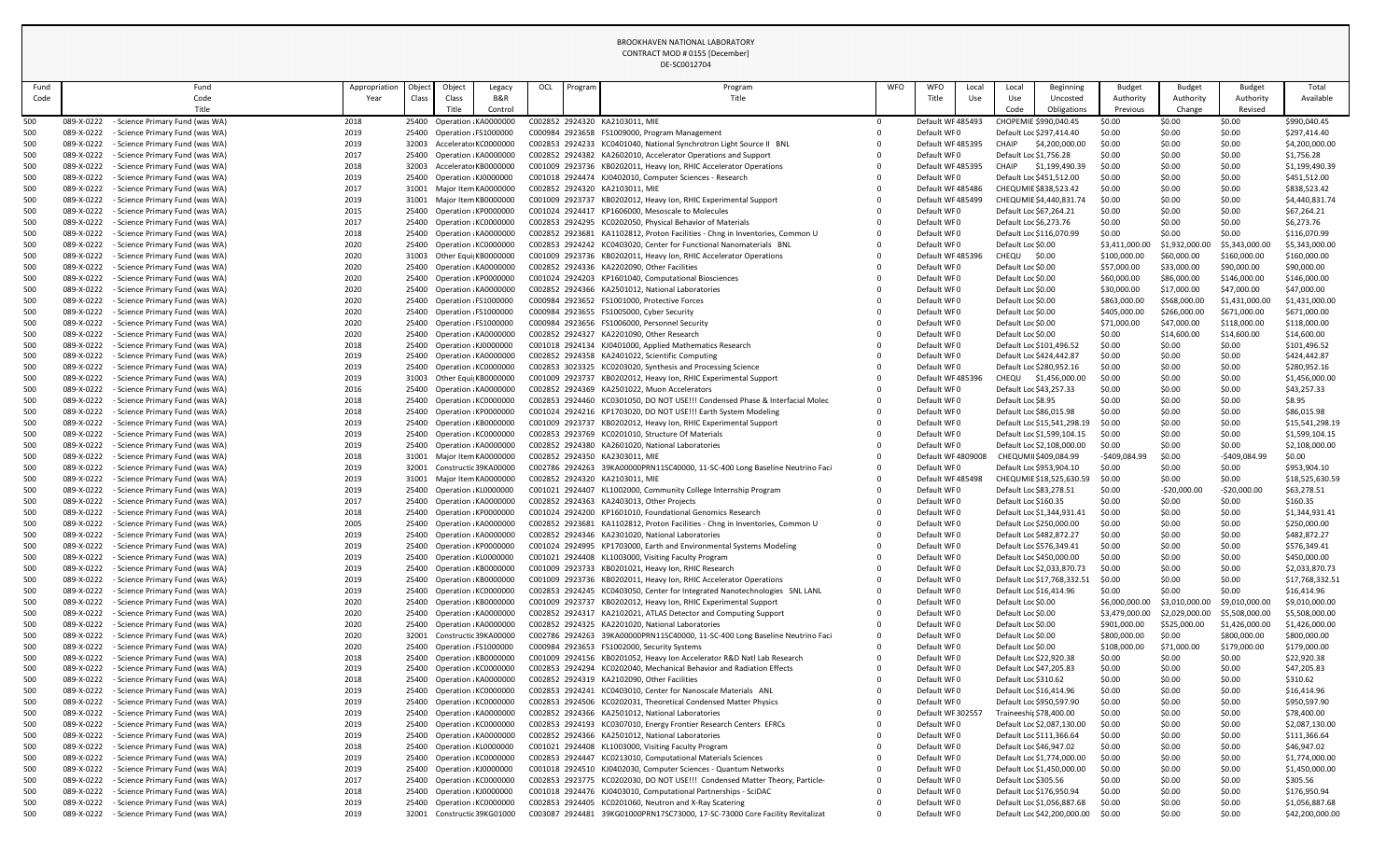# DE-SC0012704

| Fund       | Fund                                                                             |              | Object<br>Appropriation | Object                                                 | Legacy  | OCL | Program | Program                                                                                                                          | WFO      | <b>WFO</b><br>Local        | Local                    | Beginning                   | <b>Budget</b>    | <b>Budget</b>    | <b>Budget</b>    | Total                        |
|------------|----------------------------------------------------------------------------------|--------------|-------------------------|--------------------------------------------------------|---------|-----|---------|----------------------------------------------------------------------------------------------------------------------------------|----------|----------------------------|--------------------------|-----------------------------|------------------|------------------|------------------|------------------------------|
| Code       | Code                                                                             |              | Class<br>Year           | Class                                                  | B&R     |     |         | Title                                                                                                                            |          | Title<br>Use               | Use                      | Uncosted                    | Authority        | Authority        | Authority        | Available                    |
|            | Title                                                                            |              |                         | Title                                                  | Control |     |         |                                                                                                                                  |          |                            | Code                     | Obligations                 | Previous         | Change           | Revised          |                              |
| 500        | Science Primary Fund (was WA)<br>089-X-0222                                      | 2018         |                         | 25400 Operation KA0000000                              |         |     |         | C002852 2924320 KA2103011, MIE                                                                                                   | $\Omega$ | Default WF485493           | CHOPEMIE \$990,040.45    |                             | \$0.00           | \$0.00           | \$0.00           | \$990,040.45                 |
| 500        | 089-X-0222<br>- Science Primary Fund (was WA)                                    | 2019         |                         | 25400 Operation FS1000000                              |         |     |         | C000984 2923658 FS1009000, Program Management                                                                                    |          | Default WF0                | Default Loc \$297,414.40 |                             | \$0.00           | \$0.00           | \$0.00           | \$297,414.40                 |
| 500        | 089-X-0222<br>Science Primary Fund (was WA)                                      | 2019         |                         | 32003 Accelerato KC0000000                             |         |     |         | C002853 2924233 KC0401040, National Synchrotron Light Source II BNL                                                              |          | Default WF485395           | <b>CHAIP</b>             | \$4,200,000.00              | \$0.00           | \$0.00           | \$0.00           | \$4,200,000.00               |
| 500        | 089-X-0222<br><b>Science Primary Fund (was WA)</b>                               | 2017         |                         | 25400 Operation KA0000000                              |         |     |         | C002852 2924382 KA2602010, Accelerator Operations and Support                                                                    |          | Default WF0                | Default Loc \$1,756.28   |                             | \$0.00           | \$0.00           | \$0.00           | \$1,756.28                   |
| 500        | 089-X-0222<br>- Science Primary Fund (was WA)                                    | 2018         |                         | 32003 Accelerato KB0000000                             |         |     |         | C001009 2923736 KB0202011, Heavy Ion, RHIC Accelerator Operations                                                                |          | Default WF485395           | CHAIP                    | \$1,199,490.39              | \$0.00           | \$0.00           | \$0.00           | \$1,199,490.39               |
| 500        | 089-X-0222<br>- Science Primary Fund (was WA)                                    | 2019         |                         | 25400 Operation KJ0000000                              |         |     |         | C001018 2924474 KJ0402010, Computer Sciences - Research                                                                          |          | Default WF0                | Default Loc \$451,512.00 |                             | \$0.00           | \$0.00           | \$0.00           | \$451,512.00                 |
| 500        | 089-X-0222<br>- Science Primary Fund (was WA)                                    | 2017         |                         | 31001 Major Item KA0000000                             |         |     |         | C002852 2924320 KA2103011, MIE                                                                                                   |          | Default WF485486           | CHEQUMIE \$838,523.42    |                             | \$0.00           | \$0.00           | \$0.00           | \$838,523.42                 |
| 500        | 089-X-0222<br>- Science Primary Fund (was WA)                                    | 2019         |                         | 31001 Major Item KB0000000                             |         |     |         | C001009 2923737 KB0202012, Heavy Ion, RHIC Experimental Support                                                                  |          | Default WF485499           |                          | CHEQUMIE \$4,440,831.74     | \$0.00           | \$0.00           | \$0.00           | \$4,440,831.74               |
| 500        | 089-X-0222<br>Science Primary Fund (was WA)                                      | 2015         |                         | 25400 Operation KP0000000                              |         |     |         | C001024 2924417 KP1606000, Mesoscale to Molecules                                                                                |          | Default WF0                | Default Loc \$67,264.21  |                             | \$0.00           | \$0.00           | \$0.00           | \$67,264.21                  |
| 500        | 089-X-0222<br>- Science Primary Fund (was WA)                                    | 2017         |                         | 25400 Operation KC0000000                              |         |     |         | C002853 2924295 KC0202050, Physical Behavior of Materials                                                                        |          | Default WF0                | Default Loc \$6,273.76   |                             | \$0.00           | \$0.00           | \$0.00           | \$6,273.76                   |
| 500        | 089-X-0222<br>- Science Primary Fund (was WA)                                    | 2018         |                         | 25400 Operation KA0000000                              |         |     |         | C002852 2923681 KA1102812, Proton Facilities - Chng in Inventories, Common U                                                     |          | Default WF0                | Default Loc \$116,070.99 |                             | \$0.00           | \$0.00           | \$0.00           | \$116,070.99                 |
| 500        | 089-X-0222<br>- Science Primary Fund (was WA)                                    | 2020         |                         | 25400 Operation KC0000000                              |         |     |         | C002853 2924242 KC0403020, Center for Functional Nanomaterials BNL                                                               |          | Default WF0                | Default Loc \$0.00       |                             | \$3,411,000.00   | \$1,932,000.00   | \$5,343,000.00   | \$5,343,000.00               |
| 500        | 089-X-0222<br>- Science Primary Fund (was WA)                                    | 2020         |                         | 31003 Other Equi KB0000000                             |         |     |         | C001009 2923736 KB0202011, Heavy Ion, RHIC Accelerator Operations                                                                |          | Default WF485396           | CHEQU                    | \$0.00                      | \$100,000.00     | \$60,000.00      | \$160,000.00     | \$160,000.00                 |
| 500        | 089-X-0222<br>- Science Primary Fund (was WA)                                    | 2020         |                         | 25400 Operation KA0000000                              |         |     |         | C002852 2924336 KA2202090, Other Facilities                                                                                      |          | Default WF0                | Default Loc \$0.00       |                             | \$57,000.00      | \$33,000.00      | \$90,000.00      | \$90,000.00                  |
| 500        | 089-X-0222<br>- Science Primary Fund (was WA)                                    | 2020         |                         | 25400 Operation KP0000000                              |         |     |         | C001024 2924203 KP1601040, Computational Biosciences                                                                             |          | Default WF0                | Default Loc \$0.00       |                             | \$60,000.00      | \$86,000.00      | \$146,000.00     | \$146,000.00                 |
| 500        | 089-X-0222<br>- Science Primary Fund (was WA)                                    | 2020         |                         | 25400 Operation KA0000000                              |         |     |         | C002852 2924366 KA2501012, National Laboratories                                                                                 |          | Default WF0                | Default Loc \$0.00       |                             | \$30,000.00      | \$17,000.00      | \$47,000.00      | \$47,000.00                  |
| 500        | 089-X-0222<br>Science Primary Fund (was WA)                                      | 2020         |                         | 25400 Operation FS1000000                              |         |     |         | C000984 2923652 FS1001000, Protective Forces                                                                                     |          | Default WF0                | Default Loc \$0.00       |                             | \$863,000.00     | \$568,000.00     | \$1,431,000.00   | \$1,431,000.00               |
|            | 089-X-0222                                                                       | 2020         |                         | 25400 Operation FS1000000                              |         |     |         | C000984 2923655 FS1005000, Cyber Security                                                                                        |          | Default WF0                | Default Loc \$0.00       |                             | \$405,000.00     | \$266,000.00     | \$671,000.00     |                              |
| 500        | - Science Primary Fund (was WA)                                                  |              |                         |                                                        |         |     |         |                                                                                                                                  |          |                            |                          |                             |                  |                  |                  | \$671,000.00                 |
| 500        | 089-X-0222<br>Science Primary Fund (was WA)                                      | 2020         |                         | 25400 Operation FS1000000                              |         |     |         | C000984 2923656 FS1006000, Personnel Security                                                                                    |          | Default WF0                | Default Loc \$0.00       |                             | \$71,000.00      | \$47,000.00      | \$118,000.00     | \$118,000.00                 |
| 500        | 089-X-0222<br>- Science Primary Fund (was WA)                                    | 2020         |                         | 25400 Operation KA0000000                              |         |     |         | C002852 2924327 KA2201090, Other Research                                                                                        |          | Default WF0                | Default Loc \$0.00       |                             | \$0.00           | \$14,600.00      | \$14,600.00      | \$14,600.00                  |
| 500        | 089-X-0222<br>- Science Primary Fund (was WA)                                    | 2018         |                         | 25400 Operation KJ0000000                              |         |     |         | C001018 2924134 KJ0401000, Applied Mathematics Research                                                                          |          | Default WF0                | Default Loc \$101,496.52 |                             | \$0.00           | \$0.00           | \$0.00           | \$101,496.52                 |
| 500        | 089-X-0222<br>Science Primary Fund (was WA)                                      | 2019         |                         | 25400 Operation KA0000000                              |         |     |         | C002852 2924358 KA2401022, Scientific Computing                                                                                  |          | Default WF0                | Default Loc \$424,442.87 |                             | \$0.00           | \$0.00           | \$0.00           | \$424,442.87                 |
| 500        | 089-X-0222<br>- Science Primary Fund (was WA)                                    | 2019         |                         | 25400 Operation KC0000000                              |         |     |         | C002853 3023325 KC0203020, Synthesis and Processing Science                                                                      |          | Default WF0                | Default Loc \$280,952.16 |                             | \$0.00           | \$0.00           | \$0.00           | \$280,952.16                 |
| 500        | 089-X-0222<br>Science Primary Fund (was WA)                                      | 2019         |                         | 31003 Other Equi KB0000000                             |         |     |         | C001009 2923737 KB0202012, Heavy Ion, RHIC Experimental Support                                                                  |          | Default WF485396           | CHEQU                    | \$1,456,000.00              | \$0.00           | \$0.00           | \$0.00           | \$1,456,000.00               |
| 500        | 089-X-0222<br>- Science Primary Fund (was WA)                                    | 2016         |                         | 25400 Operation KA0000000                              |         |     |         | C002852 2924369 KA2501022, Muon Accelerators                                                                                     |          | Default WF0                | Default Loc \$43,257.33  |                             | \$0.00           | \$0.00           | \$0.00           | \$43,257.33                  |
| 500        | 089-X-0222<br>- Science Primary Fund (was WA)                                    | 2018         |                         | 25400 Operation KC0000000                              |         |     |         | C002853 2924460 KC0301050, DO NOT USE!!! Condensed Phase & Interfacial Molec                                                     |          | Default WF0                | Default Loc \$8.95       |                             | \$0.00           | \$0.00           | \$0.00           | \$8.95                       |
| 500        | 089-X-0222<br>- Science Primary Fund (was WA)                                    | 2018         |                         | 25400 Operation KP0000000                              |         |     |         | C001024 2924216 KP1703020, DO NOT USE!!! Earth System Modeling                                                                   |          | Default WF0                | Default Loc \$86,015.98  |                             | \$0.00           | \$0.00           | \$0.00           | \$86,015.98                  |
| 500        | 089-X-0222<br>- Science Primary Fund (was WA)                                    | 2019         |                         | 25400 Operation KB0000000                              |         |     |         | C001009 2923737 KB0202012, Heavy Ion, RHIC Experimental Support                                                                  |          | Default WF0                |                          | Default Loc \$15,541,298.19 | \$0.00           | \$0.00           | \$0.00           | \$15,541,298.19              |
| 500        | 089-X-0222<br>- Science Primary Fund (was WA)                                    | 2019         |                         | 25400 Operation KC0000000                              |         |     |         | C002853 2923769 KC0201010, Structure Of Materials                                                                                |          | Default WF0                |                          | Default Loc \$1,599,104.15  | \$0.00           | \$0.00           | \$0.00           | \$1,599,104.15               |
| 500        | 089-X-0222<br>- Science Primary Fund (was WA)                                    | 2019         |                         | 25400 Operation KA0000000                              |         |     |         | C002852 2924380 KA2601020, National Laboratories                                                                                 |          | Default WF0                |                          | Default Loc \$2,108,000.00  | \$0.00           | \$0.00           | \$0.00           | \$2,108,000.00               |
| 500        | 089-X-0222<br>- Science Primary Fund (was WA)                                    | 2018         |                         | 31001 Major Item KA0000000                             |         |     |         | C002852 2924350 KA2303011, MIE                                                                                                   |          | Default WF 4809008         | CHEQUMII\$409,084.99     |                             | -\$409,084.99    | \$0.00           | -\$409,084.99    | \$0.00                       |
| 500        | 089-X-0222<br>- Science Primary Fund (was WA)                                    | 2019         |                         | 32001 Constructic 39KA00000                            |         |     |         | C002786 2924263 39KA00000PRN11SC40000, 11-SC-400 Long Baseline Neutrino Faci                                                     |          | Default WF0                | Default Loc \$953,904.10 |                             | \$0.00           | \$0.00           | \$0.00           | \$953,904.10                 |
| 500        | 089-X-0222<br>- Science Primary Fund (was WA)                                    | 2019         |                         | 31001 Major Item KA0000000                             |         |     |         | C002852 2924320 KA2103011, MIE                                                                                                   |          | Default WF485498           |                          | CHEQUMIE \$18,525,630.59    | \$0.00           | \$0.00           | \$0.00           | \$18,525,630.59              |
| 500        | 089-X-0222<br>- Science Primary Fund (was WA)                                    | 2019         |                         | 25400 Operation KL0000000                              |         |     |         | C001021 2924407 KL1002000, Community College Internship Program                                                                  |          | Default WF0                | Default Loc \$83,278.51  |                             | \$0.00           | $-520,000.00$    | $-520,000.00$    | \$63,278.51                  |
| 500        | 089-X-0222<br>- Science Primary Fund (was WA)<br>089-X-0222                      | 2017         |                         | 25400 Operation KA0000000                              |         |     |         | C002852 2924363 KA2403013, Other Projects<br>C001024 2924200 KP1601010, Foundational Genomics Research                           |          | Default WF0<br>Default WF0 | Default Loc \$160.35     | Default Loc \$1,344,931.41  | \$0.00<br>\$0.00 | \$0.00<br>\$0.00 | \$0.00           | \$160.35                     |
| 500        | - Science Primary Fund (was WA)<br>089-X-0222<br>- Science Primary Fund (was WA) | 2018<br>2005 |                         | 25400 Operation KP0000000<br>25400 Operation KA0000000 |         |     |         |                                                                                                                                  |          | Default WF0                | Default Loc \$250,000.00 |                             | \$0.00           | \$0.00           | \$0.00<br>\$0.00 | \$1,344,931.41               |
| 500        | 089-X-0222<br>- Science Primary Fund (was WA)                                    | 2019         |                         |                                                        |         |     |         | C002852 2923681 KA1102812, Proton Facilities - Chng in Inventories, Common U<br>C002852 2924346 KA2301020, National Laboratories |          | Default WF0                | Default Loc \$482,872.27 |                             | \$0.00           | \$0.00           | \$0.00           | \$250,000.00<br>\$482,872.27 |
| 500<br>500 | 089-X-0222<br>- Science Primary Fund (was WA)                                    | 2019         |                         | 25400 Operation KA0000000<br>25400 Operation KP0000000 |         |     |         | C001024 2924995 KP1703000, Earth and Environmental Systems Modeling                                                              |          | Default WF0                | Default Loc \$576,349.41 |                             | \$0.00           | \$0.00           | \$0.00           | \$576,349.41                 |
| 500        | 089-X-0222<br>- Science Primary Fund (was WA)                                    | 2019         |                         |                                                        |         |     |         |                                                                                                                                  |          | Default WF0                | Default Loc \$450,000.00 |                             | \$0.00           | \$0.00           | \$0.00           | \$450,000.00                 |
|            | 089-X-0222<br>- Science Primary Fund (was WA)                                    | 2019         |                         | 25400 Operation KL0000000<br>25400 Operation KB0000000 |         |     |         | C001021 2924408 KL1003000, Visiting Faculty Program<br>C001009 2923733 KB0201021, Heavy Ion, RHIC Research                       |          | Default WF0                |                          | Default Loc \$2,033,870.73  | \$0.00           | \$0.00           | \$0.00           | \$2,033,870.73               |
| 500<br>500 | 089-X-0222<br>- Science Primary Fund (was WA)                                    | 2019         |                         | 25400 Operation KB0000000                              |         |     |         | C001009 2923736 KB0202011, Heavy Ion, RHIC Accelerator Operations                                                                |          | Default WF0                |                          | Default Loc \$17,768,332.51 | \$0.00           | \$0.00           | \$0.00           | \$17,768,332.51              |
| 500        | 089-X-0222<br>- Science Primary Fund (was WA)                                    | 2019         |                         | 25400 Operation KC0000000                              |         |     |         | C002853 2924245 KC0403050, Center for Integrated Nanotechnologies SNL LANL                                                       |          | Default WF0                | Default Loc \$16,414.96  |                             | \$0.00           | \$0.00           | \$0.00           | \$16,414.96                  |
| 500        | 089-X-0222<br>- Science Primary Fund (was WA)                                    | 2020         |                         | 25400 Operation KB0000000                              |         |     |         | C001009 2923737 KB0202012, Heavy Ion, RHIC Experimental Support                                                                  |          | Default WF0                | Default Loc \$0.00       |                             | \$6,000,000.00   | \$3,010,000.00   | \$9,010,000.00   | \$9,010,000.00               |
| 500        | 089-X-0222<br>- Science Primary Fund (was WA)                                    | 2020         |                         | 25400 Operation KA0000000                              |         |     |         | C002852 2924317 KA2102021, ATLAS Detector and Computing Support                                                                  |          | Default WF0                | Default Loc \$0.00       |                             | \$3,479,000.00   | \$2,029,000.00   | \$5,508,000.00   | \$5,508,000.00               |
| 500        | 089-X-0222<br>- Science Primary Fund (was WA)                                    | 2020         |                         | 25400 Operation KA0000000                              |         |     |         | C002852 2924325 KA2201020, National Laboratories                                                                                 |          | Default WF0                | Default Loc \$0.00       |                             | \$901,000.00     | \$525,000.00     | \$1,426,000.00   | \$1,426,000.00               |
| 500        | 089-X-0222<br>- Science Primary Fund (was WA)                                    |              |                         | 32001 Constructic 39KA00000                            |         |     |         | C002786 2924263 39KA00000PRN11SC40000, 11-SC-400 Long Baseline Neutrino Faci                                                     |          | Default WF0                | Default Loc \$0.00       |                             | \$800,000.00     | \$0.00           | \$800,000.00     | \$800,000.00                 |
| 500        | 089-X-0222<br>- Science Primary Fund (was WA)                                    | 2020<br>2020 |                         | 25400 Operation FS1000000                              |         |     |         | C000984 2923653 FS1002000, Security Systems                                                                                      |          | Default WF0                | Default Loc \$0.00       |                             | \$108,000.00     | \$71,000.00      | \$179,000.00     | \$179,000.00                 |
|            | 089-X-0222<br>- Science Primary Fund (was WA)                                    | 2018         |                         | 25400 Operation KB0000000                              |         |     |         |                                                                                                                                  |          | Default WF0                | Default Loc \$22,920.38  |                             | \$0.00           | \$0.00           | \$0.00           | \$22,920.38                  |
| 500        |                                                                                  |              |                         |                                                        |         |     |         | C001009 2924156 KB0201052, Heavy Ion Accelerator R&D Natl Lab Research                                                           |          |                            |                          |                             | \$0.00           | \$0.00           |                  |                              |
| 500        | 089-X-0222<br>- Science Primary Fund (was WA)                                    | 2019         |                         | 25400 Operation KC0000000                              |         |     |         | C002853 2924294 KC0202040, Mechanical Behavior and Radiation Effects                                                             |          | Default WF0                | Default Loc \$47,205.83  |                             |                  |                  | \$0.00           | \$47,205.83                  |
| 500        | 089-X-0222<br>- Science Primary Fund (was WA)                                    | 2018         |                         | 25400 Operation KA0000000                              |         |     |         | C002852 2924319 KA2102090, Other Facilities                                                                                      |          | Default WF0                | Default Loc \$310.62     |                             | \$0.00           | \$0.00           | \$0.00           | \$310.62                     |
| 500        | 089-X-0222<br>- Science Primary Fund (was WA)                                    | 2019         |                         | 25400 Operation KC0000000                              |         |     |         | C002853 2924241 KC0403010, Center for Nanoscale Materials ANL                                                                    |          | Default WF0                | Default Loc \$16,414.96  |                             | \$0.00<br>\$0.00 | \$0.00           | \$0.00           | \$16,414.96                  |
| 500        | 089-X-0222<br>- Science Primary Fund (was WA)                                    | 2019         |                         | 25400 Operation KC0000000                              |         |     |         | C002853 2924506 KC0202031, Theoretical Condensed Matter Physics                                                                  |          | Default WF0                | Default Loc \$950,597.90 |                             |                  | \$0.00           | \$0.00           | \$950,597.90                 |
| 500        | 089-X-0222<br>- Science Primary Fund (was WA)                                    | 2019         |                         | 25400 Operation KA0000000                              |         |     |         | C002852 2924366 KA2501012, National Laboratories                                                                                 |          | Default WF 30255           | Traineeshir \$78,400.00  |                             | \$0.00           | \$0.00           | \$0.00           | \$78,400.00                  |
| 500        | 089-X-0222<br>- Science Primary Fund (was WA)                                    | 2019         |                         | 25400 Operation KC0000000                              |         |     |         | C002853 2924193 KC0307010, Energy Frontier Research Centers EFRCs                                                                |          | Default WF0                |                          | Default Loc \$2,087,130.00  | \$0.00           | \$0.00           | \$0.00           | \$2,087,130.00               |
| 500        | 089-X-0222<br>- Science Primary Fund (was WA)                                    | 2019         |                         | 25400 Operation KA0000000                              |         |     |         | C002852 2924366 KA2501012, National Laboratories                                                                                 |          | Default WF0                | Default Loc \$111,366.64 |                             | \$0.00           | \$0.00           | \$0.00           | \$111,366.64                 |
| 500        | 089-X-0222<br>- Science Primary Fund (was WA)                                    | 2018         |                         | 25400 Operation KL0000000                              |         |     |         | C001021 2924408 KL1003000, Visiting Faculty Program                                                                              |          | Default WF0                | Default Loc \$46,947.02  |                             | \$0.00           | \$0.00           | \$0.00           | \$46,947.02                  |
| 500        | 089-X-0222<br>- Science Primary Fund (was WA)                                    | 2019         |                         | 25400 Operation KC0000000                              |         |     |         | C002853 2924447 KC0213010, Computational Materials Sciences                                                                      |          | Default WF0                |                          | Default Loc \$1,774,000.00  | \$0.00           | \$0.00           | \$0.00           | \$1,774,000.00               |
| 500        | 089-X-0222 - Science Primary Fund (was WA)                                       | 2019         |                         | 25400 Operation KJ0000000                              |         |     |         | C001018 2924510 KJ0402030, Computer Sciences - Quantum Networks                                                                  |          | Default WF0                |                          | Default Loc \$1,450,000.00  | \$0.00           | \$0.00           | \$0.00           | \$1,450,000.00               |
| 500        | 089-X-0222<br>- Science Primary Fund (was WA)                                    | 2017         |                         | 25400 Operation KC0000000                              |         |     |         | C002853 2923775 KC0202030, DO NOT USE!!! Condensed Matter Theory, Particle-                                                      |          | Default WF0                | Default Loc \$305.56     |                             | \$0.00           | \$0.00           | \$0.00           | \$305.56                     |
| 500        | 089-X-0222<br>- Science Primary Fund (was WA)                                    | 2018         |                         | 25400 Operation KJ0000000                              |         |     |         | C001018 2924476 KJ0403010, Computational Partnerships - SciDAC                                                                   |          | Default WF0                | Default Loc \$176,950.94 |                             | \$0.00           | \$0.00           | \$0.00           | \$176,950.94                 |
| 500        | 089-X-0222<br>- Science Primary Fund (was WA)                                    | 2019         |                         | 25400 Operation KC0000000                              |         |     |         | C002853 2924405 KC0201060, Neutron and X-Ray Scatering                                                                           |          | Default WF0                |                          | Default Loc \$1,056,887.68  | \$0.00           | \$0.00           | \$0.00           | \$1,056,887.68               |
| 500        | - Science Primary Fund (was WA)<br>089-X-0222                                    | 2019         |                         | 32001 Constructic 39KG01000                            |         |     |         | C003087 2924481 39KG01000PRN17SC73000, 17-SC-73000 Core Facility Revitalizat                                                     |          | Default WF0                |                          | Default Loc \$42,200,000.00 | \$0.00           | \$0.00           | \$0.00           | \$42,200,000.00              |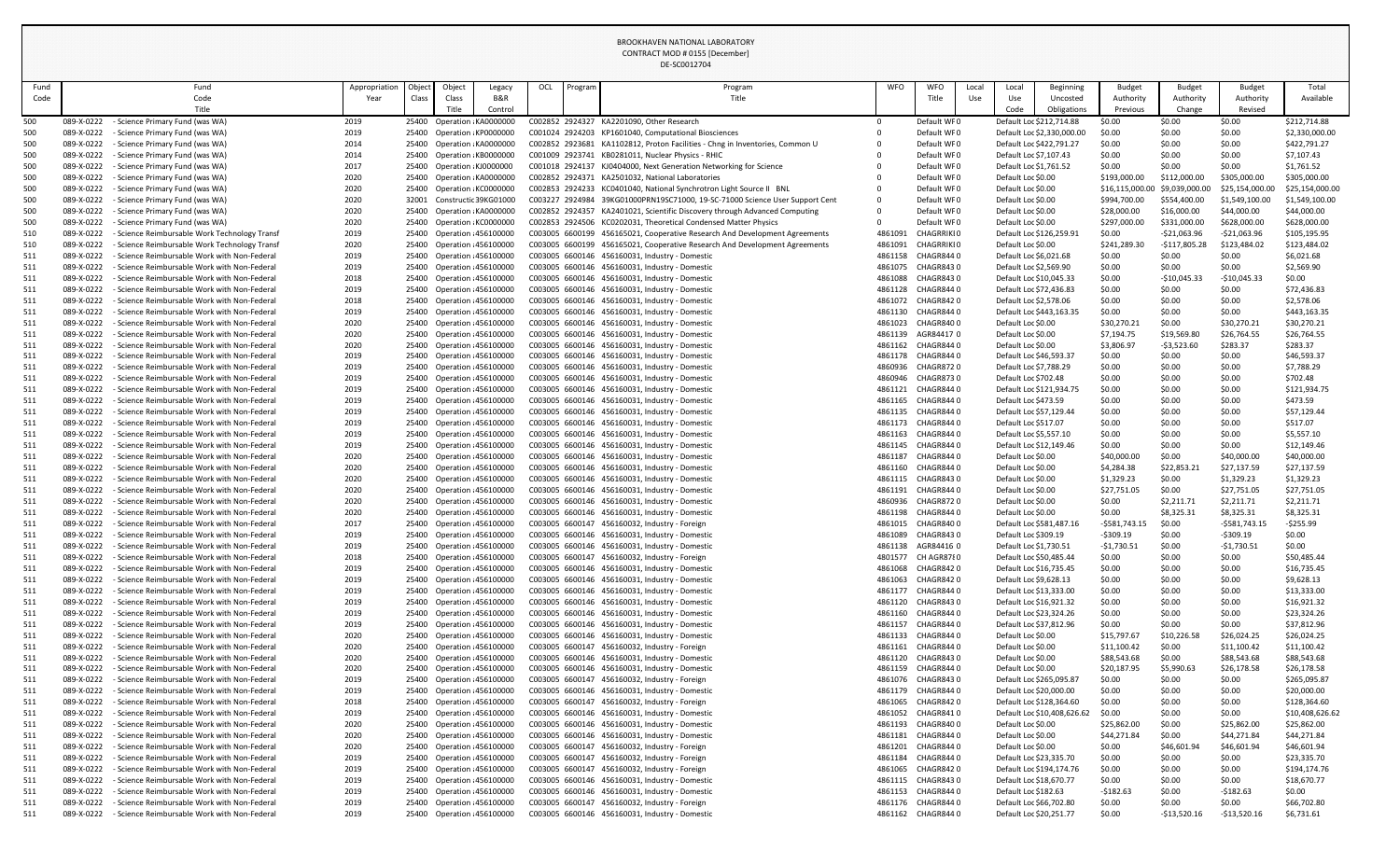|            | Fund | Fund                                                                                                                     | Appropriation | Object | Object                                                   | Legacy         | OCL | Program | Program                                                                                                                                             | WFO                | <b>WFO</b><br>Local                    | Local                                              | Beginning                   | <b>Budget</b>                   | <b>Budget</b>                  | <b>Budget</b>                     | Total                             |
|------------|------|--------------------------------------------------------------------------------------------------------------------------|---------------|--------|----------------------------------------------------------|----------------|-----|---------|-----------------------------------------------------------------------------------------------------------------------------------------------------|--------------------|----------------------------------------|----------------------------------------------------|-----------------------------|---------------------------------|--------------------------------|-----------------------------------|-----------------------------------|
|            | Code | Code<br>Title                                                                                                            | Year          | Class  | Class<br>Title                                           | B&R<br>Control |     |         | Title                                                                                                                                               |                    | Title<br>Use                           | Use<br>Code                                        | Uncosted<br>Obligations     | Authority<br>Previous           | Authority<br>Change            | Authority<br>Revised              | Available                         |
| 500        |      | - Science Primary Fund (was WA)<br>089-X-0222                                                                            | 2019          |        | 25400 Operation KA0000000                                |                |     |         | C002852 2924327 KA2201090, Other Research                                                                                                           | $\Omega$           | Default WF0                            |                                                    | Default Loc \$212,714.88    | \$0.00                          | \$0.00                         | \$0.00                            | \$212,714.88                      |
| 500        |      | 089-X-0222<br>- Science Primary Fund (was WA)                                                                            | 2019          |        | 25400 Operation KP0000000                                |                |     |         | C001024 2924203 KP1601040, Computational Biosciences                                                                                                |                    | Default WF0                            |                                                    | Default Loc \$2,330,000.00  | \$0.00                          | \$0.00                         | \$0.00                            | \$2,330,000.00                    |
| 500        |      | 089-X-0222<br>- Science Primary Fund (was WA)                                                                            | 2014          |        | 25400 Operation KA0000000                                |                |     |         | C002852 2923681 KA1102812, Proton Facilities - Chng in Inventories, Common U                                                                        |                    | Default WF0                            |                                                    | Default Loc \$422,791.27    | \$0.00                          | \$0.00                         | \$0.00                            | \$422,791.27                      |
| 500        |      | 089-X-0222<br>- Science Primary Fund (was WA)                                                                            | 2014          |        | 25400 Operation KB0000000                                |                |     |         | C001009 2923741 KB0281011, Nuclear Physics - RHIC                                                                                                   |                    | Default WF0                            | Default Loc \$7,107.43                             |                             | \$0.00                          | \$0.00                         | \$0.00                            | \$7,107.43                        |
| 500        |      | 089-X-0222<br>- Science Primary Fund (was WA)                                                                            | 2017          |        | 25400 Operation KJ0000000                                |                |     |         | C001018 2924137 KJ0404000, Next Generation Networking for Science                                                                                   |                    | Default WF0                            | Default Loc \$1,761.52                             |                             | \$0.00                          | \$0.00                         | \$0.00                            | \$1,761.52                        |
| 500        |      | 089-X-0222<br>- Science Primary Fund (was WA)                                                                            | 2020          |        | 25400 Operation KA0000000                                |                |     |         | C002852 2924371 KA2501032, National Laboratories                                                                                                    |                    | Default WF0                            | Default Loc \$0.00                                 |                             | \$193,000.00                    | \$112,000.00                   | \$305,000.00                      | \$305,000.00                      |
| 500<br>500 |      | 089-X-0222<br>- Science Primary Fund (was WA)<br>089-X-0222<br>- Science Primary Fund (was WA)                           | 2020<br>2020  |        | 25400 Operation KC0000000<br>32001 Constructic 39KG01000 |                |     |         | C002853 2924233 KC0401040, National Synchrotron Light Source II BNL<br>C003227 2924984 39KG01000PRN19SC71000, 19-SC-71000 Science User Support Cent | 0                  | Default WF0<br>Default WF0             | Default Loc \$0.00<br>Default Loc \$0.00           |                             | \$16,115,000.00<br>\$994,700.00 | \$9,039,000.00<br>\$554,400.00 | \$25,154,000.00<br>\$1,549,100.00 | \$25,154,000.00<br>\$1,549,100.00 |
| 500        |      | 089-X-0222<br>- Science Primary Fund (was WA)                                                                            | 2020          |        | 25400 Operation KA0000000                                |                |     |         | C002852 2924357 KA2401021, Scientific Discovery through Advanced Computing                                                                          | 0                  | Default WF0                            | Default Loc \$0.00                                 |                             | \$28,000.00                     | \$16,000.00                    | \$44,000.00                       | \$44,000.00                       |
| 500        |      | 089-X-0222<br>- Science Primary Fund (was WA)                                                                            | 2020          |        | 25400 Operation KC0000000                                |                |     |         | C002853 2924506 KC0202031, Theoretical Condensed Matter Physics                                                                                     | 0                  | Default WF0                            | Default Loc \$0.00                                 |                             | \$297,000.00                    | \$331,000.00                   | \$628,000.00                      | \$628,000.00                      |
| 510        |      | 089-X-0222<br>- Science Reimbursable Work Technology Transf                                                              | 2019          |        | 25400 Operation 456100000                                |                |     |         | C003005 6600199 456165021, Cooperative Research And Development Agreements                                                                          | 4861091            | <b>CHAGRRIKIO</b>                      |                                                    | Default Loc \$126,259.91    | \$0.00                          | $-521,063.96$                  | $-521,063.96$                     | \$105,195.95                      |
| 510        |      | - Science Reimbursable Work Technology Transf<br>089-X-0222                                                              | 2020          |        | 25400 Operation 456100000                                |                |     |         | C003005 6600199 456165021, Cooperative Research And Development Agreements                                                                          | 4861091            | <b>CHAGRRIKIO</b>                      | Default Loc \$0.00                                 |                             | \$241,289.30                    | -\$117,805.28                  | \$123,484.02                      | \$123,484.02                      |
| 511        |      | - Science Reimbursable Work with Non-Federal<br>089-X-0222                                                               | 2019          |        | 25400 Operation 456100000                                |                |     |         | C003005 6600146 456160031, Industry - Domestic                                                                                                      | 4861158            | CHAGR8440                              | Default Loc \$6,021.68                             |                             | \$0.00                          | \$0.00                         | \$0.00                            | \$6,021.68                        |
| 511        |      | - Science Reimbursable Work with Non-Federal<br>089-X-0222                                                               | 2019          |        | 25400 Operation 456100000                                |                |     |         | C003005 6600146 456160031, Industry - Domestic                                                                                                      | 4861075            | CHAGR8430                              | Default Loc \$2,569.90                             |                             | \$0.00                          | \$0.00                         | \$0.00                            | \$2,569.90                        |
| 511<br>511 |      | 089-X-0222<br>- Science Reimbursable Work with Non-Federal<br>089-X-0222<br>- Science Reimbursable Work with Non-Federal | 2018<br>2019  |        | 25400 Operation 456100000<br>25400 Operation 456100000   |                |     |         | C003005 6600146 456160031, Industry - Domestic<br>C003005 6600146 456160031, Industry - Domestic                                                    | 4861088<br>4861128 | CHAGR8430<br>CHAGR8440                 | Default Loc \$10,045.33<br>Default Loc \$72,436.83 |                             | \$0.00<br>\$0.00                | $-$10,045.33$<br>\$0.00        | $-$10,045.33$<br>\$0.00           | \$0.00<br>\$72,436.83             |
| 511        |      | - Science Reimbursable Work with Non-Federal<br>089-X-0222                                                               | 2018          |        | 25400 Operation 456100000                                |                |     |         | C003005 6600146 456160031, Industry - Domestic                                                                                                      | 4861072            | CHAGR8420                              | Default Loc \$2,578.06                             |                             | \$0.00                          | \$0.00                         | \$0.00                            | \$2,578.06                        |
| 511        |      | 089-X-0222<br>- Science Reimbursable Work with Non-Federal                                                               | 2019          |        | 25400 Operation 456100000                                |                |     |         | C003005 6600146 456160031, Industry - Domestic                                                                                                      | 4861130            | CHAGR8440                              |                                                    | Default Loc \$443,163.35    | \$0.00                          | \$0.00                         | \$0.00                            | \$443,163.35                      |
| 511        |      | - Science Reimbursable Work with Non-Federal<br>089-X-0222                                                               | 2020          |        | 25400 Operation 456100000                                |                |     |         | C003005 6600146 456160031, Industry - Domestic                                                                                                      | 4861023            | CHAGR8400                              | Default Loc \$0.00                                 |                             | \$30,270.2                      | \$0.00                         | \$30,270.21                       | \$30,270.21                       |
| 511        |      | 089-X-0222<br>- Science Reimbursable Work with Non-Federal                                                               | 2020          |        | 25400 Operation 456100000                                |                |     |         | C003005 6600146 456160031, Industry - Domestic                                                                                                      | 4861139            | AGR844170                              | Default Loc \$0.00                                 |                             | \$7,194.75                      | \$19,569.80                    | \$26,764.55                       | \$26,764.55                       |
| 511        |      | 089-X-0222<br>- Science Reimbursable Work with Non-Federal                                                               | 2020          |        | 25400 Operation 456100000                                |                |     |         | C003005 6600146 456160031, Industry - Domestic                                                                                                      | 4861162            | CHAGR8440                              | Default Loc \$0.00                                 |                             | \$3,806.97                      | $-53,523.60$                   | \$283.37                          | \$283.37                          |
| 511        |      | 089-X-0222<br>- Science Reimbursable Work with Non-Federal<br>089-X-0222                                                 | 2019          |        | 25400 Operation 456100000                                |                |     |         | C003005 6600146 456160031, Industry - Domestic                                                                                                      | 4861178            | CHAGR8440<br><b>CHAGR8720</b>          | Default Loc \$46,593.37                            |                             | \$0.00<br>\$0.00                | \$0.00                         | \$0.00                            | \$46,593.37                       |
| 511<br>511 |      | - Science Reimbursable Work with Non-Federal<br>- Science Reimbursable Work with Non-Federal<br>089-X-0222               | 2019<br>2019  |        | 25400 Operation 456100000<br>25400 Operation 456100000   |                |     |         | C003005 6600146 456160031, Industry - Domestic<br>C003005 6600146 456160031, Industry - Domestic                                                    | 4860936<br>4860946 | CHAGR8730                              | Default Loc \$7,788.29<br>Default Loc \$702.48     |                             | \$0.00                          | \$0.00<br>\$0.00               | \$0.00<br>\$0.00                  | \$7,788.29<br>\$702.48            |
| 511        |      | - Science Reimbursable Work with Non-Federal<br>089-X-0222                                                               | 2019          |        | 25400 Operation 456100000                                |                |     |         | C003005 6600146 456160031, Industry - Domestic                                                                                                      | 4861121            | CHAGR8440                              |                                                    | Default Loc \$121,934.75    | \$0.00                          | \$0.00                         | \$0.00                            | \$121,934.75                      |
| 511        |      | - Science Reimbursable Work with Non-Federal<br>089-X-0222                                                               | 2019          |        | 25400 Operation 456100000                                |                |     |         | C003005 6600146 456160031, Industry - Domestic                                                                                                      | 4861165            | CHAGR8440                              | Default Loc \$473.59                               |                             | \$0.00                          | \$0.00                         | \$0.00                            | \$473.59                          |
| 511        |      | 089-X-0222<br>- Science Reimbursable Work with Non-Federal                                                               | 2019          |        | 25400 Operation 456100000                                |                |     |         | C003005 6600146 456160031, Industry - Domestic                                                                                                      | 4861135            | CHAGR8440                              | Default Loc \$57,129.44                            |                             | \$0.00                          | \$0.00                         | \$0.00                            | \$57,129.44                       |
| 511        |      | 089-X-0222<br>- Science Reimbursable Work with Non-Federal                                                               | 2019          |        | 25400 Operation 456100000                                |                |     |         | C003005 6600146 456160031, Industry - Domestic                                                                                                      | 4861173            | CHAGR8440                              | Default Loc \$517.07                               |                             | \$0.00                          | \$0.00                         | \$0.00                            | \$517.07                          |
| 511        |      | 089-X-0222<br>- Science Reimbursable Work with Non-Federal                                                               | 2019          |        | 25400 Operation 456100000                                |                |     |         | C003005 6600146 456160031, Industry - Domestic                                                                                                      | 4861163            | CHAGR8440                              | Default Loc \$5,557.10                             |                             | \$0.00                          | \$0.00                         | \$0.00                            | \$5,557.10                        |
| 511<br>511 |      | 089-X-0222<br>- Science Reimbursable Work with Non-Federal<br>089-X-0222<br>- Science Reimbursable Work with Non-Federal | 2019<br>2020  |        | 25400 Operation 456100000<br>25400 Operation 456100000   |                |     |         | C003005 6600146 456160031, Industry - Domestic<br>C003005 6600146 456160031, Industry - Domestic                                                    | 4861145<br>4861187 | CHAGR8440<br>CHAGR8440                 | Default Loc \$12,149.46<br>Default Loc \$0.00      |                             | \$0.00<br>\$40,000.00           | \$0.00<br>\$0.00               | \$0.00<br>\$40,000.00             | \$12,149.46<br>\$40,000.00        |
| 511        |      | 089-X-0222<br>- Science Reimbursable Work with Non-Federal                                                               | 2020          |        | 25400 Operation 456100000                                |                |     |         | C003005 6600146 456160031, Industry - Domestic                                                                                                      | 4861160            | CHAGR8440                              | Default Loc \$0.00                                 |                             | \$4,284.38                      | \$22,853.21                    | \$27,137.59                       | \$27,137.59                       |
| 511        |      | 089-X-0222<br>- Science Reimbursable Work with Non-Federal                                                               | 2020          |        | 25400 Operation 456100000                                |                |     |         | C003005 6600146 456160031, Industry - Domestic                                                                                                      | 4861115            | CHAGR8430                              | Default Loc \$0.00                                 |                             | \$1,329.23                      | \$0.00                         | \$1,329.23                        | \$1,329.23                        |
| 511        |      | 089-X-0222<br>- Science Reimbursable Work with Non-Federal                                                               | 2020          |        | 25400 Operation 456100000                                |                |     |         | C003005 6600146 456160031, Industry - Domestic                                                                                                      | 4861191            | CHAGR8440                              | Default Loc \$0.00                                 |                             | \$27,751.05                     | \$0.00                         | \$27,751.05                       | \$27,751.05                       |
| 511        |      | - Science Reimbursable Work with Non-Federal<br>089-X-0222                                                               | 2020          |        | 25400 Operation 456100000                                |                |     |         | C003005 6600146 456160031, Industry - Domestic                                                                                                      | 4860936            | CHAGR8720                              | Default Loc \$0.00                                 |                             | \$0.00                          | \$2,211.71                     | \$2,211.71                        | \$2,211.71                        |
| 511        |      | 089-X-0222<br>- Science Reimbursable Work with Non-Federal                                                               | 2020          |        | 25400 Operation 456100000                                |                |     |         | C003005 6600146 456160031, Industry - Domestic                                                                                                      | 4861198            | CHAGR8440                              | Default Loc \$0.00                                 |                             | \$0.00                          | \$8,325.31                     | \$8,325.31                        | \$8,325.31                        |
| 511<br>511 |      | 089-X-0222<br>- Science Reimbursable Work with Non-Federal<br>089-X-0222<br>- Science Reimbursable Work with Non-Federal | 2017<br>2019  |        | 25400 Operation 456100000<br>25400 Operation 456100000   |                |     |         | C003005 6600147 456160032, Industry - Foreign<br>C003005 6600146 456160031, Industry - Domestic                                                     | 4861015<br>4861089 | CHAGR8400<br>CHAGR8430                 | Default Loc \$309.19                               | Default Loc \$581,487.16    | $-5581,743.15$<br>$-5309.19$    | \$0.00<br>\$0.00               | $-5581,743.15$<br>$-$ \$309.19    | $-$ \$255.99<br>\$0.00            |
| 511        |      | 089-X-0222<br>- Science Reimbursable Work with Non-Federal                                                               | 2019          |        | 25400 Operation 456100000                                |                |     |         | C003005 6600146 456160031, Industry - Domestic                                                                                                      | 4861138            | AGR844160                              | Default Loc \$1,730.51                             |                             | -\$1,730.51                     | \$0.00                         | -\$1,730.51                       | \$0.00                            |
| 511        |      | 089-X-0222<br>- Science Reimbursable Work with Non-Federal                                                               | 2018          |        | 25400 Operation 456100000                                |                |     |         | C003005 6600147 456160032, Industry - Foreign                                                                                                       | 4801577            | CH AGR8780                             | Default Loc \$50,485.44                            |                             | \$0.00                          | \$0.00                         | \$0.00                            | \$50,485.44                       |
| 511        |      | 089-X-0222<br>- Science Reimbursable Work with Non-Federal                                                               | 2019          |        | 25400 Operation 456100000                                |                |     |         | C003005 6600146 456160031, Industry - Domestic                                                                                                      | 4861068            | CHAGR8420                              | Default Loc \$16,735.45                            |                             | \$0.00                          | \$0.00                         | \$0.00                            | \$16,735.45                       |
| 511        |      | 089-X-0222<br>- Science Reimbursable Work with Non-Federal                                                               | 2019          |        | 25400 Operation 456100000                                |                |     |         | C003005 6600146 456160031, Industry - Domestic                                                                                                      | 4861063            | CHAGR8420                              | Default Loc \$9,628.13                             |                             | \$0.00                          | \$0.00                         | \$0.00                            | \$9,628.13                        |
| 511        |      | 089-X-0222<br>- Science Reimbursable Work with Non-Federal                                                               | 2019          |        | 25400 Operation 456100000                                |                |     |         | C003005 6600146 456160031, Industry - Domestic                                                                                                      | 4861177            | CHAGR8440                              | Default Loc \$13,333.00                            |                             | \$0.00                          | \$0.00                         | \$0.00                            | \$13,333.00                       |
| 511        |      | 089-X-0222<br>- Science Reimbursable Work with Non-Federal                                                               | 2019          |        | 25400 Operation 456100000                                |                |     |         | C003005 6600146 456160031, Industry - Domestic                                                                                                      | 4861120            | CHAGR8430                              | Default Loc \$16,921.32                            |                             | \$0.00                          | \$0.00                         | \$0.00                            | \$16,921.32                       |
| 511<br>511 |      | - Science Reimbursable Work with Non-Federal<br>089-X-0222<br>089-X-0222<br>- Science Reimbursable Work with Non-Federal | 2019<br>2019  |        | 25400 Operation 456100000<br>25400 Operation 456100000   |                |     |         | C003005 6600146 456160031, Industry - Domestic<br>C003005 6600146 456160031, Industry - Domestic                                                    | 4861160<br>4861157 | CHAGR8440<br>CHAGR8440                 | Default Loc \$23,324.26<br>Default Loc \$37,812.96 |                             | \$0.00<br>\$0.00                | \$0.00<br>\$0.00               | \$0.00<br>\$0.00                  | \$23,324.26<br>\$37,812.96        |
| 511        |      | 089-X-0222<br>- Science Reimbursable Work with Non-Federal                                                               | 2020          |        | 25400 Operation 456100000                                |                |     |         | C003005 6600146 456160031, Industry - Domestic                                                                                                      | 4861133            | CHAGR8440                              | Default Loc \$0.00                                 |                             | \$15,797.67                     | \$10,226.58                    | \$26,024.25                       | \$26,024.25                       |
| 511        |      | - Science Reimbursable Work with Non-Federal<br>089-X-0222                                                               | 2020          |        | 25400 Operation 456100000                                |                |     |         | C003005 6600147 456160032, Industry - Foreign                                                                                                       | 4861161            | CHAGR8440                              | Default Loc \$0.00                                 |                             | \$11,100.42                     | \$0.00                         | \$11,100.42                       | \$11,100.42                       |
| 511        |      | 089-X-0222<br>- Science Reimbursable Work with Non-Federal                                                               | 2020          |        | 25400 Operation 456100000                                |                |     |         | C003005 6600146 456160031, Industry - Domestic                                                                                                      | 4861120            | CHAGR8430                              | Default Loc \$0.00                                 |                             | \$88,543.68                     | \$0.00                         | \$88,543.68                       | \$88,543.68                       |
| 511        |      | - Science Reimbursable Work with Non-Federal<br>089-X-0222                                                               | 2020          |        | 25400 Operation 456100000                                |                |     |         | C003005 6600146 456160031, Industry - Domestic                                                                                                      | 4861159            | CHAGR8440                              | Default Loc \$0.00                                 |                             | \$20,187.95                     | \$5,990.63                     | \$26,178.58                       | \$26,178.58                       |
| 511        |      | 089-X-0222<br>- Science Reimbursable Work with Non-Federal                                                               | 2019          |        | 25400 Operation 456100000                                |                |     |         | C003005 6600147 456160032, Industry - Foreign                                                                                                       | 4861076            | CHAGR8430                              |                                                    | Default Loc \$265,095.87    | \$0.00                          | \$0.00                         | \$0.00                            | \$265,095.87                      |
| 511<br>511 |      | 089-X-0222<br>- Science Reimbursable Work with Non-Federal<br>089-X-0222<br>- Science Reimbursable Work with Non-Federal | 2019<br>2018  |        | 25400 Operation 456100000<br>25400 Operation 456100000   |                |     |         | C003005 6600146 456160031, Industry - Domestic<br>C003005 6600147 456160032, Industry - Foreign                                                     | 4861179<br>4861065 | CHAGR8440<br>CHAGR8420                 | Default Loc \$20,000.00                            | Default Loc \$128,364.60    | \$0.00<br>\$0.00                | \$0.00<br>\$0.00               | \$0.00<br>\$0.00                  | \$20,000.00<br>\$128,364.60       |
| 511        |      | 089-X-0222<br>- Science Reimbursable Work with Non-Federal                                                               | 2019          |        | 25400 Operation 456100000                                |                |     |         | C003005 6600146 456160031, Industry - Domestic                                                                                                      | 4861052            | CHAGR8410                              |                                                    | Default Loc \$10,408,626.62 | \$0.00                          | \$0.00                         | \$0.00                            | \$10,408,626.62                   |
| 511        |      | - Science Reimbursable Work with Non-Federal<br>089-X-0222                                                               | 2020          |        | 25400 Operation 456100000                                |                |     |         | C003005 6600146 456160031, Industry - Domestic                                                                                                      | 4861193            | CHAGR8400                              | Default Loc \$0.00                                 |                             | \$25,862.00                     | \$0.00                         | \$25,862.00                       | \$25,862.00                       |
| 511        |      | 089-X-0222<br>- Science Reimbursable Work with Non-Federal                                                               | 2020          |        | 25400 Operation 456100000                                |                |     |         | C003005 6600146 456160031, Industry - Domestic                                                                                                      | 4861181            | CHAGR8440                              | Default Loc \$0.00                                 |                             | \$44,271.84                     | \$0.00                         | \$44,271.84                       | \$44,271.84                       |
| 511        |      | 089-X-0222<br>- Science Reimbursable Work with Non-Federal                                                               | 2020          |        | 25400 Operation 456100000                                |                |     |         | C003005 6600147 456160032, Industry - Foreign                                                                                                       | 4861201            | CHAGR8440                              | Default Loc \$0.00                                 |                             | \$0.00                          | \$46,601.94                    | \$46,601.94                       | \$46,601.94                       |
| 511        |      | 089-X-0222<br>- Science Reimbursable Work with Non-Federal                                                               | 2019          |        | 25400 Operation 456100000                                |                |     |         | C003005 6600147 456160032, Industry - Foreign                                                                                                       | 4861184            | CHAGR8440                              | Default Loc \$23,335.70                            |                             | \$0.00                          | \$0.00                         | \$0.00                            | \$23,335.70                       |
| 511        |      | 089-X-0222<br>- Science Reimbursable Work with Non-Federal<br>089-X-0222<br>- Science Reimbursable Work with Non-Federal | 2019<br>2019  |        | 25400 Operation 456100000                                |                |     |         | C003005 6600147 456160032, Industry - Foreign<br>C003005 6600146 456160031, Industry - Domestic                                                     |                    | 4861065 CHAGR8420<br>4861115 CHAGR8430 |                                                    | Default Loc \$194,174.76    | \$0.00<br>\$0.00                | \$0.00<br>\$0.00               | \$0.00<br>\$0.00                  | \$194,174.76<br>\$18,670.77       |
| 511<br>511 |      | - Science Reimbursable Work with Non-Federal<br>089-X-0222                                                               | 2019          |        | 25400 Operation 456100000<br>25400 Operation 456100000   |                |     |         | C003005 6600146 456160031, Industry - Domestic                                                                                                      |                    | 4861153 CHAGR8440                      | Default Loc \$18,670.77<br>Default Loc \$182.63    |                             | $-5182.63$                      | \$0.00                         | $-5182.63$                        | \$0.00                            |
| 511        |      | - Science Reimbursable Work with Non-Federal<br>089-X-0222                                                               | 2019          |        | 25400 Operation 456100000                                |                |     |         | C003005 6600147 456160032, Industry - Foreign                                                                                                       |                    | 4861176 CHAGR8440                      | Default Loc \$66,702.80                            |                             | \$0.00                          | \$0.00                         | \$0.00                            | \$66,702.80                       |
| 511        |      | - Science Reimbursable Work with Non-Federal<br>089-X-0222                                                               | 2019          |        | 25400 Operation 456100000                                |                |     |         | C003005 6600146 456160031, Industry - Domestic                                                                                                      |                    | 4861162 CHAGR8440                      | Default Loc \$20,251.77                            |                             | \$0.00                          | -\$13,520.16                   | $-$13,520.16$                     | \$6,731.61                        |
|            |      |                                                                                                                          |               |        |                                                          |                |     |         |                                                                                                                                                     |                    |                                        |                                                    |                             |                                 |                                |                                   |                                   |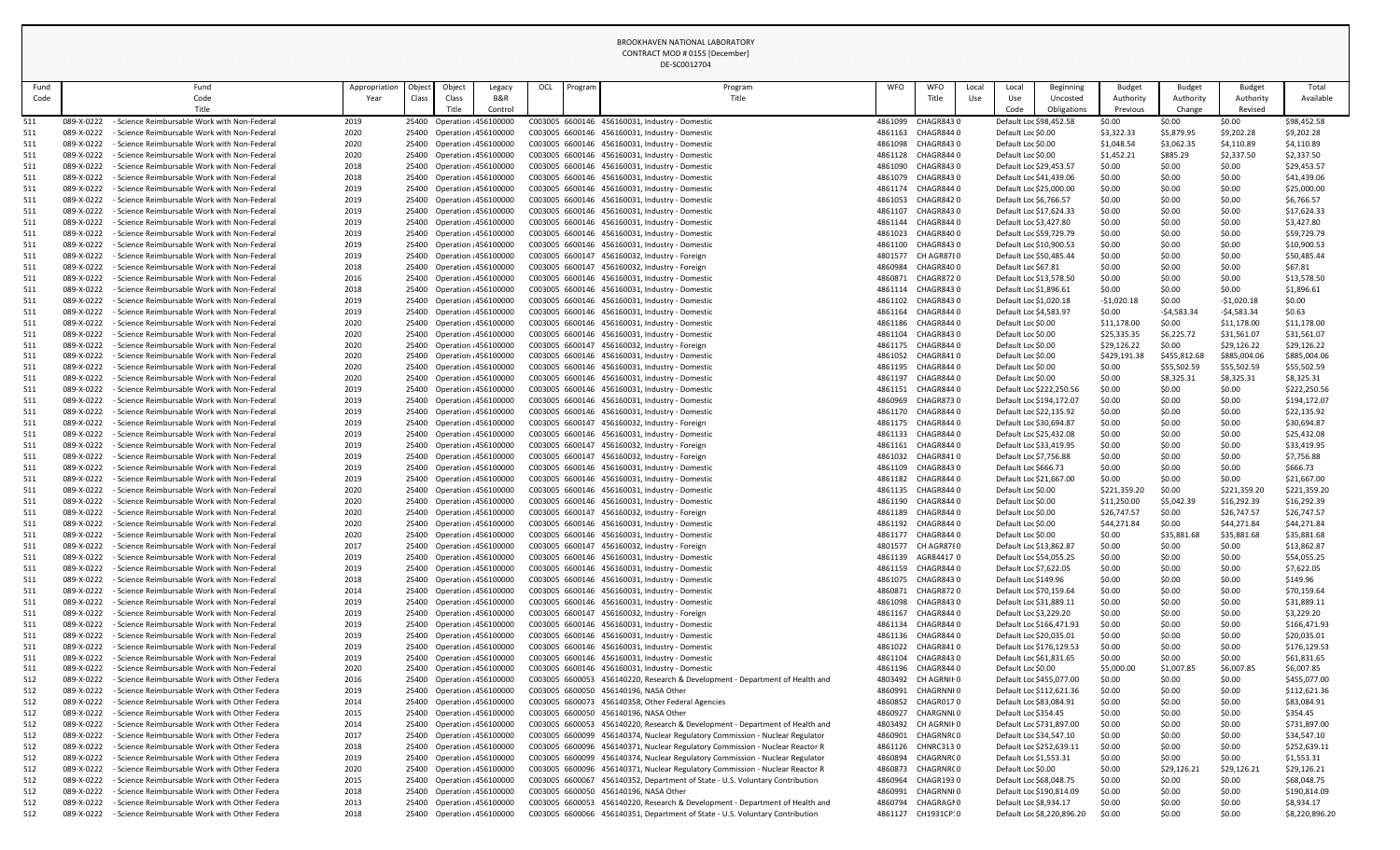| Fund       | Fund                                                                                                                          | Appropriation | Objec | Object                                                 | Legacy  | OCL | Program | Program                                                                                          | <b>WFO</b>         | <b>WFO</b>                     | Local | Local                                               | Beginning                  | Budget                      | <b>Budget</b>        | <b>Budget</b>               | Total                       |
|------------|-------------------------------------------------------------------------------------------------------------------------------|---------------|-------|--------------------------------------------------------|---------|-----|---------|--------------------------------------------------------------------------------------------------|--------------------|--------------------------------|-------|-----------------------------------------------------|----------------------------|-----------------------------|----------------------|-----------------------------|-----------------------------|
| Code       | Code                                                                                                                          | Year          | Class | Class                                                  | B&R     |     |         | Title                                                                                            |                    | Title                          | Use   | Use                                                 | Uncosted                   | Authority                   | Authority            | Authority                   | Available                   |
|            | Title                                                                                                                         |               |       | Title                                                  | Control |     |         |                                                                                                  |                    |                                |       | Code                                                | Obligations                | Previous                    | Change               | Revised                     |                             |
| 511<br>511 | - Science Reimbursable Work with Non-Federal<br>089-X-0222<br>089-X-0222<br>- Science Reimbursable Work with Non-Federal      | 2019<br>2020  |       | 25400 Operation 456100000<br>25400 Operation 456100000 |         |     |         | C003005 6600146 456160031, Industry - Domestic<br>C003005 6600146 456160031, Industry - Domestic | 4861099<br>4861163 | CHAGR8430<br>CHAGR8440         |       | Default Loc \$98,452.58<br>Default Loc \$0.00       |                            | \$0.00<br>\$3,322.33        | \$0.00<br>\$5,879.95 | \$0.00<br>\$9,202.28        | \$98,452.58<br>\$9,202.28   |
| 511        | 089-X-0222<br>Science Reimbursable Work with Non-Federal                                                                      | 2020          |       | 25400 Operation 456100000                              |         |     |         | C003005 6600146 456160031, Industry - Domestic                                                   | 4861098            | CHAGR8430                      |       | Default Loc \$0.00                                  |                            | \$1,048.54                  | \$3,062.35           | \$4,110.89                  | \$4,110.89                  |
| 511        | 089-X-0222<br>- Science Reimbursable Work with Non-Federal                                                                    | 2020          |       | 25400 Operation 456100000                              |         |     |         | C003005 6600146 456160031, Industry - Domestic                                                   | 4861128            | CHAGR8440                      |       | Default Loc \$0.00                                  |                            | \$1,452.21                  | \$885.29             | \$2,337.50                  | \$2,337.50                  |
| 511        | 089-X-0222<br>- Science Reimbursable Work with Non-Federal                                                                    | 2018          |       | 25400 Operation 456100000                              |         |     |         | C003005 6600146 456160031, Industry - Domestic                                                   | 4861090            | CHAGR8430                      |       | Default Loc \$29,453.57                             |                            | \$0.00                      | \$0.00               | \$0.00                      | \$29,453.57                 |
| 511        | 089-X-0222<br>- Science Reimbursable Work with Non-Federal                                                                    | 2018          |       | 25400 Operation 456100000                              |         |     |         | C003005 6600146 456160031, Industry - Domestic                                                   | 4861079            | CHAGR8430                      |       | Default Loc \$41,439.06                             |                            | \$0.00                      | \$0.00               | \$0.00                      | \$41,439.06                 |
| 511        | 089-X-0222<br>Science Reimbursable Work with Non-Federal                                                                      | 2019          |       | 25400 Operation 456100000                              |         |     |         | C003005 6600146 456160031, Industry - Domestic                                                   | 4861174            | CHAGR8440                      |       | Default Loc \$25,000.00                             |                            | \$0.00                      | \$0.00               | \$0.00                      | \$25,000.00                 |
| 511        | 089-X-0222<br><b>Science Reimbursable Work with Non-Federal</b>                                                               | 2019          |       | 25400 Operation 456100000                              |         |     |         | C003005 6600146 456160031, Industry - Domestic                                                   | 4861053            | CHAGR8420                      |       | Default Loc \$6,766.57                              |                            | \$0.00                      | \$0.00               | \$0.00                      | \$6,766.57                  |
| 511        | 089-X-0222<br>- Science Reimbursable Work with Non-Federal                                                                    | 2019          |       | 25400 Operation 456100000                              |         |     |         | C003005 6600146 456160031, Industry - Domestic                                                   | 4861107            | CHAGR8430                      |       | Default Loc \$17,624.33                             |                            | \$0.00                      | \$0.00               | \$0.00                      | \$17,624.33                 |
| 511<br>511 | 089-X-0222<br>- Science Reimbursable Work with Non-Federal<br>089-X-0222<br>- Science Reimbursable Work with Non-Federal      | 2019<br>2019  |       | 25400 Operation 456100000<br>25400 Operation 456100000 |         |     |         | C003005 6600146 456160031, Industry - Domestic<br>C003005 6600146 456160031, Industry - Domestic | 4861144<br>4861023 | CHAGR8440<br>CHAGR8400         |       | Default Loc \$3,427.80<br>Default Loc \$59,729.79   |                            | \$0.00<br>\$0.00            | \$0.00<br>\$0.00     | \$0.00<br>\$0.00            | \$3,427.80<br>\$59,729.79   |
| 511        | 089-X-0222<br>- Science Reimbursable Work with Non-Federal                                                                    | 2019          |       | 25400 Operation 456100000                              |         |     |         | C003005 6600146 456160031, Industry - Domestic                                                   | 4861100            | CHAGR8430                      |       | Default Loc \$10,900.53                             |                            | \$0.00                      | \$0.00               | \$0.00                      | \$10,900.53                 |
| 511        | 089-X-0222<br>Science Reimbursable Work with Non-Federal                                                                      | 2019          |       | 25400 Operation 456100000                              |         |     |         | C003005 6600147 456160032, Industry - Foreign                                                    | 4801577            | CH AGR8780                     |       | Default Loc \$50,485.44                             |                            | \$0.00                      | \$0.00               | \$0.00                      | \$50,485.44                 |
| 511        | 089-X-0222<br>- Science Reimbursable Work with Non-Federal                                                                    | 2018          |       | 25400 Operation 456100000                              |         |     |         | C003005 6600147 456160032, Industry - Foreign                                                    | 4860984            | CHAGR8400                      |       | Default Loc \$67.81                                 |                            | \$0.00                      | \$0.00               | \$0.00                      | \$67.81                     |
| 511        | 089-X-0222<br>- Science Reimbursable Work with Non-Federal                                                                    | 2016          |       | 25400 Operation 456100000                              |         |     |         | C003005 6600146 456160031, Industry - Domestic                                                   | 4860871            | CHAGR8720                      |       | Default Loc \$13,578.50                             |                            | \$0.00                      | \$0.00               | \$0.00                      | \$13,578.50                 |
| 511        | 089-X-0222<br>- Science Reimbursable Work with Non-Federal                                                                    | 2018          |       | 25400 Operation 456100000                              |         |     |         | C003005 6600146 456160031, Industry - Domestic                                                   | 4861114            | CHAGR8430                      |       | Default Loc \$1,896.61                              |                            | \$0.00                      | \$0.00               | \$0.00                      | \$1,896.61                  |
| 511        | 089-X-0222<br>- Science Reimbursable Work with Non-Federal                                                                    | 2019          |       | 25400 Operation 456100000                              |         |     |         | C003005 6600146 456160031, Industry - Domestic                                                   | 4861102            | CHAGR8430                      |       | Default Loc \$1,020.18                              |                            | -\$1,020.18                 | \$0.00               | $-51,020.18$                | \$0.00                      |
| 511        | 089-X-0222<br>Science Reimbursable Work with Non-Federal                                                                      | 2019          |       | 25400 Operation 456100000                              |         |     |         | C003005 6600146 456160031, Industry - Domestic                                                   | 4861164            | CHAGR8440                      |       | Default Loc \$4,583.97                              |                            | \$0.00                      | $-54,583.34$         | $-54,583.34$                | \$0.63                      |
| 511        | 089-X-0222<br>- Science Reimbursable Work with Non-Federal                                                                    | 2020          |       | 25400 Operation 456100000                              |         |     |         | C003005 6600146 456160031, Industry - Domestic                                                   | 4861186            | CHAGR8440                      |       | Default Loc \$0.00                                  |                            | \$11,178.00                 | \$0.00               | \$11,178.00                 | \$11,178.00                 |
| 511        | - Science Reimbursable Work with Non-Federal<br>089-X-0222<br>089-X-0222<br>Science Reimbursable Work with Non-Federal        | 2020          |       | 25400 Operation 456100000                              |         |     |         | C003005 6600146 456160031, Industry - Domestic                                                   | 4861104            | CHAGR8430<br>CHAGR8440         |       | Default Loc \$0.00                                  |                            | \$25,335.35                 | \$6,225.72<br>\$0.00 | \$31,561.07                 | \$31,561.07                 |
| 511<br>511 | 089-X-0222<br>- Science Reimbursable Work with Non-Federal                                                                    | 2020<br>2020  |       | 25400 Operation 456100000<br>25400 Operation 456100000 |         |     |         | C003005 6600147 456160032, Industry - Foreign<br>C003005 6600146 456160031, Industry - Domestic  | 4861175<br>4861052 | CHAGR8410                      |       | Default Loc \$0.00<br>Default Loc \$0.00            |                            | \$29,126.22<br>\$429,191.38 | \$455,812.68         | \$29,126.22<br>\$885,004.06 | \$29,126.22<br>\$885,004.06 |
| 511        | 089-X-0222<br>Science Reimbursable Work with Non-Federal                                                                      | 2020          |       | 25400 Operation 456100000                              |         |     |         | C003005 6600146 456160031, Industry - Domestic                                                   | 4861195            | CHAGR8440                      |       | Default Loc \$0.00                                  |                            | \$0.00                      | \$55,502.59          | \$55,502.59                 | \$55,502.59                 |
| 511        | 089-X-0222<br>- Science Reimbursable Work with Non-Federal                                                                    | 2020          |       | 25400 Operation 456100000                              |         |     |         | C003005 6600146 456160031, Industry - Domestic                                                   | 4861197            | CHAGR8440                      |       | Default Loc \$0.00                                  |                            | \$0.00                      | \$8,325.31           | \$8,325.31                  | \$8,325.31                  |
| 511        | - Science Reimbursable Work with Non-Federal<br>089-X-0222                                                                    | 2019          |       | 25400 Operation 456100000                              |         |     |         | C003005 6600146 456160031, Industry - Domestic                                                   | 4861151            | CHAGR8440                      |       | Default Loc \$222,250.56                            |                            | \$0.00                      | \$0.00               | \$0.00                      | \$222,250.56                |
| 511        | 089-X-0222<br>Science Reimbursable Work with Non-Federal                                                                      | 2019          |       | 25400 Operation 456100000                              |         |     |         | C003005 6600146 456160031, Industry - Domestic                                                   | 4860969            | CHAGR8730                      |       | Default Loc \$194,172.07                            |                            | \$0.00                      | \$0.00               | \$0.00                      | \$194,172.07                |
| 511        | 089-X-0222<br>- Science Reimbursable Work with Non-Federal                                                                    | 2019          |       | 25400 Operation 456100000                              |         |     |         | C003005 6600146 456160031, Industry - Domestic                                                   | 4861170            | CHAGR8440                      |       | Default Loc \$22,135.92                             |                            | \$0.00                      | \$0.00               | \$0.00                      | \$22,135.92                 |
| 511        | 089-X-0222<br>- Science Reimbursable Work with Non-Federal                                                                    | 2019          |       | 25400 Operation 456100000                              |         |     |         | C003005 6600147 456160032, Industry - Foreign                                                    | 4861175            | CHAGR8440                      |       | Default Loc \$30,694.87                             |                            | \$0.00                      | \$0.00               | \$0.00                      | \$30,694.87                 |
| 511        | 089-X-0222<br>- Science Reimbursable Work with Non-Federal                                                                    | 2019          |       | 25400 Operation 456100000                              |         |     |         | C003005 6600146 456160031, Industry - Domestic                                                   |                    | 4861133 CHAGR8440              |       | Default Loc \$25,432.08                             |                            | \$0.00                      | \$0.00               | \$0.00                      | \$25,432.08                 |
| 511        | 089-X-0222<br>- Science Reimbursable Work with Non-Federal                                                                    | 2019          |       | 25400 Operation 456100000                              |         |     |         | C003005 6600147 456160032, Industry - Foreign                                                    | 4861161            | CHAGR8440                      |       | Default Loc \$33,419.95                             |                            | \$0.00                      | \$0.00               | \$0.00                      | \$33,419.95                 |
| 511        | 089-X-0222<br><b>Science Reimbursable Work with Non-Federal</b><br>089-X-0222<br>- Science Reimbursable Work with Non-Federal | 2019<br>2019  |       | 25400 Operation 456100000<br>25400 Operation 456100000 |         |     |         | C003005 6600147 456160032, Industry - Foreign<br>C003005 6600146 456160031, Industry - Domestic  | 4861032<br>4861109 | CHAGR8410<br>CHAGR8430         |       | Default Loc \$7,756.88<br>Default Loc \$666.73      |                            | \$0.00<br>\$0.00            | \$0.00<br>\$0.00     | \$0.00<br>\$0.00            | \$7,756.88<br>\$666.73      |
| 511<br>511 | 089-X-0222<br>- Science Reimbursable Work with Non-Federal                                                                    | 2019          |       | 25400 Operation 456100000                              |         |     |         | C003005 6600146 456160031, Industry - Domestic                                                   | 4861182            | CHAGR8440                      |       | Default Loc \$21,667.00                             |                            | \$0.00                      | \$0.00               | \$0.00                      | \$21,667.00                 |
| 511        | 089-X-0222<br>- Science Reimbursable Work with Non-Federal                                                                    | 2020          |       | 25400 Operation 456100000                              |         |     |         | C003005 6600146 456160031, Industry - Domestic                                                   |                    | 4861135 CHAGR8440              |       | Default Loc \$0.00                                  |                            | \$221,359.20                | \$0.00               | \$221,359.20                | \$221,359.20                |
| 511        | 089-X-0222<br>- Science Reimbursable Work with Non-Federal                                                                    | 2020          |       | 25400 Operation 456100000                              |         |     |         | C003005 6600146 456160031, Industry - Domestic                                                   | 4861190            | CHAGR8440                      |       | Default Loc \$0.00                                  |                            | \$11,250.00                 | \$5,042.39           | \$16,292.39                 | \$16,292.39                 |
| 511        | 089-X-0222<br>- Science Reimbursable Work with Non-Federal                                                                    | 2020          |       | 25400 Operation 456100000                              |         |     |         | C003005 6600147 456160032, Industry - Foreign                                                    | 4861189            | CHAGR8440                      |       | Default Loc \$0.00                                  |                            | \$26,747.57                 | \$0.00               | \$26,747.57                 | \$26,747.57                 |
| 511        | 089-X-0222<br>- Science Reimbursable Work with Non-Federal                                                                    | 2020          |       | 25400 Operation 456100000                              |         |     |         | C003005 6600146 456160031, Industry - Domestic                                                   | 4861192            | CHAGR844 0                     |       | Default Loc \$0.00                                  |                            | \$44,271.84                 | \$0.00               | \$44,271.84                 | \$44,271.84                 |
| 511        | 089-X-0222<br>- Science Reimbursable Work with Non-Federal                                                                    | 2020          |       | 25400 Operation 456100000                              |         |     |         | C003005 6600146 456160031, Industry - Domestic                                                   | 4861177            | CHAGR8440                      |       | Default Loc \$0.00                                  |                            | \$0.00                      | \$35,881.68          | \$35,881.68                 | \$35,881.68                 |
| 511        | 089-X-0222<br>- Science Reimbursable Work with Non-Federal                                                                    | 2017          |       | 25400 Operation 456100000                              |         |     |         | C003005 6600147 456160032, Industry - Foreign                                                    |                    | 4801577 CH AGR8780             |       | Default Loc \$13,862.87                             |                            | \$0.00                      | \$0.00               | \$0.00                      | \$13,862.87                 |
| 511        | 089-X-0222<br>- Science Reimbursable Work with Non-Federal                                                                    | 2019          |       | 25400 Operation 456100000                              |         |     |         | C003005 6600146 456160031, Industry - Domestic                                                   | 4861139            | AGR844170                      |       | Default Loc \$54,055.25                             |                            | \$0.00                      | \$0.00               | \$0.00                      | \$54,055.25                 |
| 511        | 089-X-0222<br>- Science Reimbursable Work with Non-Federal<br>089-X-0222<br>- Science Reimbursable Work with Non-Federal      | 2019<br>2018  |       | 25400 Operation 456100000<br>25400 Operation 456100000 |         |     |         | C003005 6600146 456160031, Industry - Domestic<br>C003005 6600146 456160031, Industry - Domestic | 4861159            | CHAGR8440<br>4861075 CHAGR8430 |       | Default Loc \$7,622.05<br>Default Loc \$149.96      |                            | \$0.00<br>\$0.00            | \$0.00<br>\$0.00     | \$0.00<br>\$0.00            | \$7,622.05<br>\$149.96      |
| 511<br>511 | 089-X-0222<br>- Science Reimbursable Work with Non-Federal                                                                    | 2014          |       | 25400 Operation 456100000                              |         |     |         | C003005 6600146 456160031, Industry - Domestic                                                   | 4860871            | CHAGR8720                      |       | Default Loc \$70,159.64                             |                            | \$0.00                      | \$0.00               | \$0.00                      | \$70,159.64                 |
| 511        | 089-X-0222<br>- Science Reimbursable Work with Non-Federal                                                                    | 2019          |       | 25400 Operation 456100000                              |         |     |         | C003005 6600146 456160031, Industry - Domestic                                                   | 4861098            | CHAGR8430                      |       | Default Loc \$31,889.11                             |                            | \$0.00                      | \$0.00               | \$0.00                      | \$31,889.11                 |
| 511        | 089-X-0222<br>- Science Reimbursable Work with Non-Federal                                                                    | 2019          |       | 25400 Operation 456100000                              |         |     |         | C003005 6600147 456160032, Industry - Foreign                                                    | 4861167            | CHAGR8440                      |       | Default Loc \$3,229.20                              |                            | \$0.00                      | \$0.00               | \$0.00                      | \$3,229.20                  |
| 511        | 089-X-0222<br>- Science Reimbursable Work with Non-Federal                                                                    | 2019          |       | 25400 Operation 456100000                              |         |     |         | C003005 6600146 456160031, Industry - Domestic                                                   | 4861134            | CHAGR8440                      |       | Default Loc \$166,471.93                            |                            | \$0.00                      | \$0.00               | \$0.00                      | \$166,471.93                |
| -511       | 089-X-0222<br>- Science Reimbursable Work with Non-Federal                                                                    | 2019          |       | 25400 Operation 456100000                              |         |     |         | C003005 6600146 456160031, Industry - Domestic                                                   |                    | 4861136 CHAGR8440              |       | Default Loc \$20,035.01                             |                            | \$0.00                      | \$0.00               | \$0.00                      | \$20,035.01                 |
| 511        | 089-X-0222<br>- Science Reimbursable Work with Non-Federal                                                                    | 2019          |       | 25400 Operation 456100000                              |         |     |         | C003005 6600146 456160031, Industry - Domestic                                                   | 4861022            | CHAGR8410                      |       | Default Loc \$176,129.53                            |                            | \$0.00                      | \$0.00               | \$0.00                      | \$176,129.53                |
| 511        | 089-X-0222<br>- Science Reimbursable Work with Non-Federal                                                                    | 2019          |       | 25400 Operation 456100000                              |         |     |         | C003005 6600146 456160031, Industry - Domestic                                                   |                    | 4861104 CHAGR8430              |       | Default Loc \$61,831.65                             |                            | \$0.00                      | \$0.00               | \$0.00                      | \$61,831.65                 |
| 511        | 089-X-0222<br>- Science Reimbursable Work with Non-Federal                                                                    | 2020          |       | 25400 Operation 456100000                              |         |     |         | C003005 6600146 456160031, Industry - Domestic                                                   |                    | 4861196 CHAGR8440              |       | Default Loc \$0.00                                  |                            | \$5,000.00                  | \$1,007.85           | \$6,007.85                  | \$6,007.85                  |
| 512        | 089-X-0222<br>- Science Reimbursable Work with Other Federa                                                                   | 2016          |       | 25400 Operation 456100000                              |         |     |         | C003005 6600053 456140220, Research & Development - Department of Health and                     | 4803492            | CH AGRNIF 0                    |       | Default Loc \$455,077.00                            |                            | \$0.00                      | \$0.00               | \$0.00                      | \$455,077.00                |
| 512<br>512 | 089-X-0222<br>- Science Reimbursable Work with Other Federa<br>089-X-0222<br>- Science Reimbursable Work with Other Federa    | 2019<br>2014  |       | 25400 Operation 456100000<br>25400 Operation 456100000 |         |     |         | C003005 6600050 456140196, NASA Other<br>C003005 6600073 456140358, Other Federal Agencies       | 4860991<br>4860852 | CHAGRNNI0<br>CHAGR0170         |       | Default Loc \$112,621.36<br>Default Loc \$83,084.91 |                            | \$0.00<br>\$0.00            | \$0.00<br>\$0.00     | \$0.00<br>\$0.00            | \$112,621.36<br>\$83,084.91 |
| 512        | 089-X-0222<br>- Science Reimbursable Work with Other Federa                                                                   | 2015          |       | 25400 Operation 456100000                              |         |     |         | C003005 6600050 456140196, NASA Other                                                            | 4860927            | CHARGNNI 0                     |       | Default Loc \$354.45                                |                            | \$0.00                      | \$0.00               | \$0.00                      | \$354.45                    |
| 512        | 089-X-0222<br>- Science Reimbursable Work with Other Federa                                                                   | 2014          |       | 25400 Operation 456100000                              |         |     |         | C003005 6600053 456140220, Research & Development - Department of Health and                     | 4803492            | CH AGRNIF 0                    |       | Default Loc \$731,897.00                            |                            | \$0.00                      | \$0.00               | \$0.00                      | \$731,897.00                |
| 512        | 089-X-0222<br>- Science Reimbursable Work with Other Federa                                                                   | 2017          |       | 25400 Operation 456100000                              |         |     |         | C003005 6600099 456140374, Nuclear Regulatory Commission - Nuclear Regulator                     | 4860901            | CHAGRNRC0                      |       | Default Loc \$34,547.10                             |                            | \$0.00                      | \$0.00               | \$0.00                      | \$34,547.10                 |
| 512        | 089-X-0222<br>- Science Reimbursable Work with Other Federa                                                                   | 2018          |       | 25400 Operation 456100000                              |         |     |         | C003005 6600096 456140371, Nuclear Regulatory Commission - Nuclear Reactor R                     |                    | 4861126 CHNRC3130              |       | Default Loc \$252,639.11                            |                            | \$0.00                      | \$0.00               | \$0.00                      | \$252,639.11                |
| 512        | 089-X-0222<br>- Science Reimbursable Work with Other Federa                                                                   | 2019          |       | 25400 Operation 456100000                              |         |     |         | C003005 6600099 456140374, Nuclear Regulatory Commission - Nuclear Regulator                     |                    | 4860894 CHAGRNRC0              |       | Default Loc \$1,553.31                              |                            | \$0.00                      | \$0.00               | \$0.00                      | \$1,553.31                  |
| 512        | 089-X-0222 - Science Reimbursable Work with Other Federa                                                                      | 2020          |       | 25400 Operation 456100000                              |         |     |         | C003005 6600096 456140371, Nuclear Regulatory Commission - Nuclear Reactor R                     |                    | 4860873 CHAGRNRC0              |       | Default Loc \$0.00                                  |                            | \$0.00                      | \$29,126.21          | \$29,126.21                 | \$29,126.21                 |
| 512        | 089-X-0222<br>- Science Reimbursable Work with Other Federa                                                                   | 2015          |       | 25400 Operation 456100000                              |         |     |         | C003005 6600067 456140352, Department of State - U.S. Voluntary Contribution                     | 4860964            | CHAGR1930                      |       | Default Loc \$68,048.75                             |                            | \$0.00                      | \$0.00               | \$0.00                      | \$68,048.75                 |
| 512        | - Science Reimbursable Work with Other Federa<br>089-X-0222                                                                   | 2018          |       | 25400 Operation 456100000                              |         |     |         | C003005 6600050 456140196, NASA Other                                                            | 4860991            | CHAGRNNI 0                     |       | Default Loc \$190,814.09                            |                            | \$0.00                      | \$0.00               | \$0.00                      | \$190,814.09                |
| 512        | - Science Reimbursable Work with Other Federa<br>089-X-0222                                                                   | 2013          |       | 25400 Operation 456100000                              |         |     |         | C003005 6600053 456140220, Research & Development - Department of Health and                     | 4860794            | CHAGRAGN0                      |       | Default Loc \$8,934.17                              |                            | \$0.00                      | \$0.00               | \$0.00                      | \$8,934.17                  |
| 512        | - Science Reimbursable Work with Other Federa<br>089-X-0222                                                                   | 2018          |       | 25400 Operation 456100000                              |         |     |         | C003005 6600066 456140351, Department of State - U.S. Voluntary Contribution                     |                    | 4861127 CH1931CP10             |       |                                                     | Default Loc \$8,220,896.20 | \$0.00                      | \$0.00               | \$0.00                      | \$8,220,896.20              |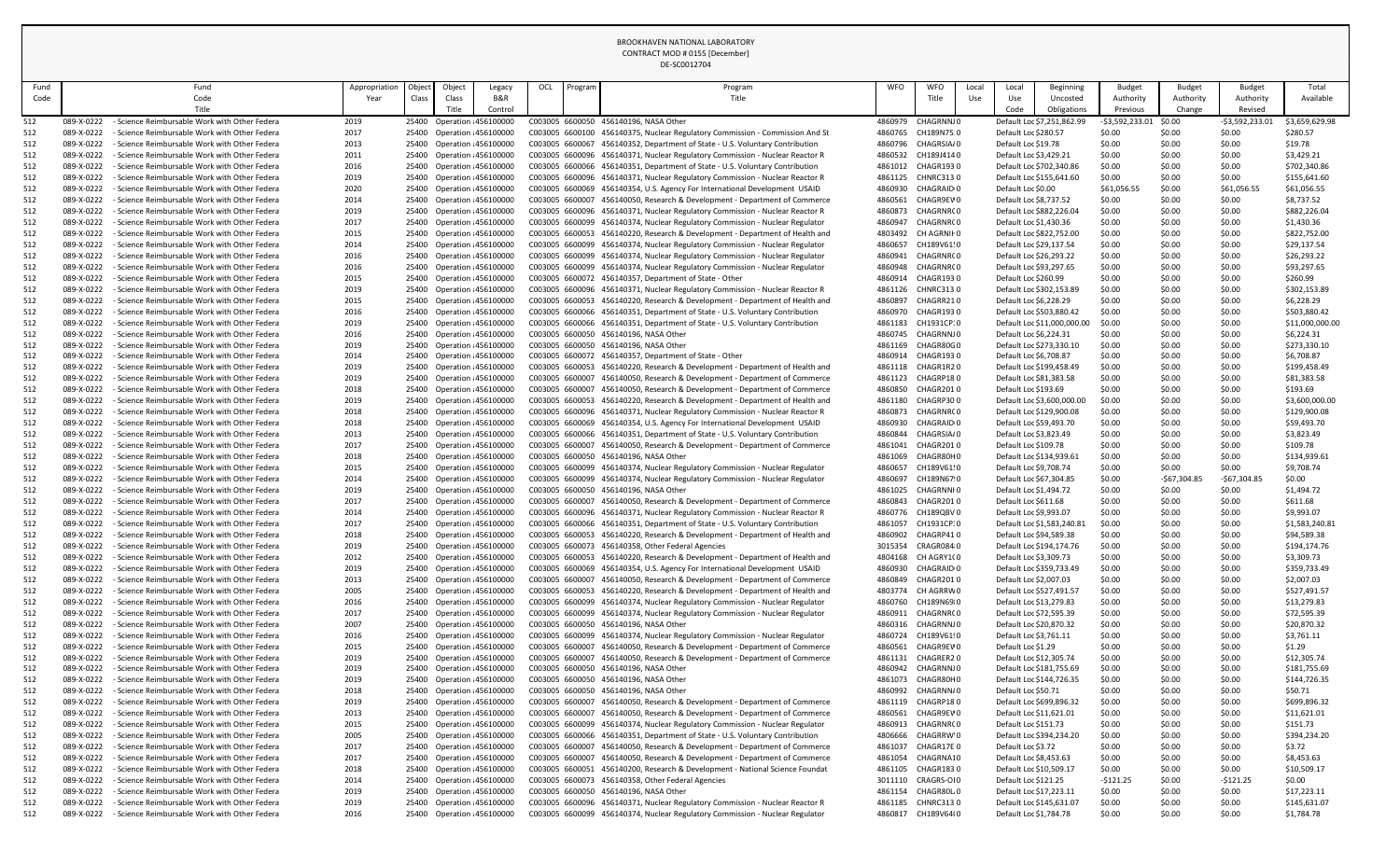|             |                                                                                                                            |              |                    |        |                                                        |     |         | DL-3COUIZ704                                                                                                                                                 |                    |                                         |            |                                                   |                                           |                                       |                  |                             |                             |
|-------------|----------------------------------------------------------------------------------------------------------------------------|--------------|--------------------|--------|--------------------------------------------------------|-----|---------|--------------------------------------------------------------------------------------------------------------------------------------------------------------|--------------------|-----------------------------------------|------------|---------------------------------------------------|-------------------------------------------|---------------------------------------|------------------|-----------------------------|-----------------------------|
| Fund        | Fund                                                                                                                       | Appropriatio | Objec <sup>-</sup> | Object | Legacy                                                 | OCL | Program | Program                                                                                                                                                      | <b>WFO</b>         | <b>WFO</b>                              | Loca       | Local                                             | Beginning                                 | <b>Budget</b>                         | Budget           | <b>Budget</b>               | Total                       |
| Code        | Code                                                                                                                       | Year         | Class              | Class  | B&R                                                    |     |         | Title                                                                                                                                                        |                    | Title                                   | <b>Use</b> | Use                                               | Uncosted                                  | Authority                             | Authority        | Authority                   | Available                   |
| 512         | Title<br>- Science Reimbursable Work with Other Federa<br>089-X-0222                                                       | 2019         |                    | Title  | Control<br>25400 Operation 456100000                   |     |         | C003005 6600050 456140196, NASA Other                                                                                                                        |                    | 4860979 CHAGRNNJ0                       |            | Code                                              | Obligations<br>Default Loc \$7,251,862.99 | Previous<br>$-$ \$3,592,233.01 \$0.00 | Change           | Revised<br>$-53,592,233.01$ | \$3,659,629.98              |
| 512         | 089-X-0222<br>- Science Reimbursable Work with Other Federa                                                                | 2017         |                    |        | 25400 Operation 456100000                              |     |         | C003005 6600100 456140375, Nuclear Regulatory Commission - Commission And St                                                                                 | 4860765            | CH189N750                               |            | Default Loc \$280.57                              |                                           | \$0.00                                | \$0.00           | \$0.00                      | \$280.57                    |
| 512         | 089-X-0222<br>- Science Reimbursable Work with Other Federa                                                                | 2013         |                    |        | 25400 Operation 456100000                              |     |         | C003005 6600067 456140352, Department of State - U.S. Voluntary Contribution                                                                                 | 4860796            | CHAGRSIA/0                              |            | Default Loc \$19.78                               |                                           | \$0.00                                | \$0.00           | \$0.00                      | \$19.78                     |
| 512         | 089-X-0222<br>- Science Reimbursable Work with Other Federa                                                                | 2011         |                    |        | 25400 Operation 456100000                              |     |         | C003005 6600096 456140371, Nuclear Regulatory Commission - Nuclear Reactor R                                                                                 | 4860532            | CH189J4140                              |            | Default Loc \$3,429.21                            |                                           | \$0.00                                | \$0.00           | \$0.00                      | \$3,429.21                  |
| 512         | 089-X-0222<br>- Science Reimbursable Work with Other Federa                                                                | 2016         |                    |        | 25400 Operation 456100000                              |     |         | C003005 6600066 456140351, Department of State - U.S. Voluntary Contribution                                                                                 | 4861012            | CHAGR1930                               |            |                                                   | Default Loc \$702,340.86                  | \$0.00                                | \$0.00           | \$0.00                      | \$702,340.86                |
| 512         | 089-X-0222<br>- Science Reimbursable Work with Other Federa                                                                | 2019         |                    |        | 25400 Operation 456100000                              |     |         | C003005 6600096 456140371, Nuclear Regulatory Commission - Nuclear Reactor R                                                                                 | 4861125            | CHNRC3130                               |            |                                                   | Default Loc \$155,641.60                  | \$0.00                                | \$0.00           | \$0.00                      | \$155,641.60                |
| 512         | - Science Reimbursable Work with Other Federa<br>089-X-0222                                                                | 2020         |                    |        | 25400 Operation 456100000                              |     |         | C003005 6600069 456140354, U.S. Agency For International Development USAID                                                                                   | 4860930            | CHAGRAID <sub>10</sub>                  |            | Default Loc \$0.00                                |                                           | \$61,056.5                            | \$0.00           | \$61,056.55                 | \$61,056.55                 |
| 512<br>512  | - Science Reimbursable Work with Other Federa<br>089-X-0222<br>089-X-0222<br>- Science Reimbursable Work with Other Federa | 2014<br>2019 |                    |        | 25400 Operation 456100000<br>25400 Operation 456100000 |     |         | C003005 6600007 456140050, Research & Development - Department of Commerce<br>C003005 6600096 456140371, Nuclear Regulatory Commission - Nuclear Reactor R   | 4860561<br>4860873 | CHAGR9EV0<br>CHAGRNRC0                  |            | Default Loc \$8,737.52                            | Default Loc \$882,226.04                  | \$0.00<br>\$0.00                      | \$0.00<br>\$0.00 | \$0.00<br>\$0.00            | \$8,737.52<br>\$882,226.04  |
| 512         | 089-X-0222<br>- Science Reimbursable Work with Other Federa                                                                | 2017         |                    |        | 25400 Operation 456100000                              |     |         | C003005 6600099 456140374, Nuclear Regulatory Commission - Nuclear Regulator                                                                                 | 4860947            | CHAGRNRC 0                              |            | Default Loc \$1,430.36                            |                                           | \$0.00                                | \$0.00           | \$0.00                      | \$1,430.36                  |
| 512         | - Science Reimbursable Work with Other Federa<br>089-X-0222                                                                | 2015         |                    |        | 25400 Operation 456100000                              |     |         | C003005 6600053 456140220, Research & Development - Department of Health and                                                                                 |                    | 4803492 CH AGRNIF0                      |            |                                                   | Default Loc \$822,752.00                  | \$0.00                                | \$0.00           | \$0.00                      | \$822,752.00                |
| 512         | 089-X-0222<br>- Science Reimbursable Work with Other Federa                                                                | 2014         |                    |        | 25400 Operation 456100000                              |     |         | C003005 6600099 456140374, Nuclear Regulatory Commission - Nuclear Regulator                                                                                 | 4860657            | CH189V61!0                              |            | Default Loc \$29,137.54                           |                                           | \$0.00                                | \$0.00           | \$0.00                      | \$29,137.54                 |
| 512         | 089-X-0222<br>- Science Reimbursable Work with Other Federa                                                                | 2016         |                    |        | 25400 Operation 456100000                              |     |         | C003005 6600099 456140374, Nuclear Regulatory Commission - Nuclear Regulator                                                                                 | 4860941            | CHAGRNRC 0                              |            | Default Loc \$26,293.22                           |                                           | \$0.00                                | \$0.00           | \$0.00                      | \$26,293.22                 |
| 512         | 089-X-0222<br>- Science Reimbursable Work with Other Federa                                                                | 2016         |                    |        | 25400 Operation 456100000                              |     |         | C003005 6600099 456140374, Nuclear Regulatory Commission - Nuclear Regulator                                                                                 | 4860948            | CHAGRNRC 0                              |            | Default Loc \$93,297.65                           |                                           | \$0.00                                | \$0.00           | \$0.00                      | \$93,297.65                 |
| 512         | 089-X-0222<br>- Science Reimbursable Work with Other Federa<br>- Science Reimbursable Work with Other Federa               | 2015         |                    |        | 25400 Operation 456100000<br>25400 Operation 456100000 |     |         | C003005 6600072 456140357, Department of State - Other                                                                                                       | 4860914<br>4861126 | CHAGR1930<br>CHNRC3130                  |            | Default Loc \$260.99                              |                                           | \$0.00<br>\$0.00                      | \$0.00<br>\$0.00 | \$0.00<br>\$0.00            | \$260.99                    |
| 512<br>512  | 089-X-0222<br>- Science Reimbursable Work with Other Federa<br>089-X-0222                                                  | 2019<br>2015 |                    |        | 25400 Operation 456100000                              |     |         | C003005 6600096 456140371, Nuclear Regulatory Commission - Nuclear Reactor R<br>C003005 6600053 456140220, Research & Development - Department of Health and | 4860897            | CHAGRR210                               |            | Default Loc \$6,228.29                            | Default Loc \$302,153.89                  | \$0.00                                | \$0.00           | \$0.00                      | \$302,153.89<br>\$6,228.29  |
| 512         | 089-X-0222<br>- Science Reimbursable Work with Other Federa                                                                | 2016         |                    |        | 25400 Operation 456100000                              |     |         | C003005 6600066 456140351, Department of State - U.S. Voluntary Contribution                                                                                 | 4860970            | CHAGR1930                               |            |                                                   | Default Loc \$503,880.42                  | \$0.00                                | \$0.00           | \$0.00                      | \$503,880.42                |
| 512         | 089-X-0222<br>- Science Reimbursable Work with Other Federa                                                                | 2019         |                    |        | 25400 Operation 456100000                              |     |         | C003005 6600066 456140351, Department of State - U.S. Voluntary Contribution                                                                                 | 4861183            | CH1931CP10                              |            |                                                   | Default Loc \$11,000,000.00               | \$0.00                                | \$0.00           | \$0.00                      | \$11,000,000.00             |
| 512         | 089-X-0222<br>- Science Reimbursable Work with Other Federa                                                                | 2016         |                    |        | 25400 Operation 456100000                              |     |         | C003005 6600050 456140196, NASA Other                                                                                                                        | 4860745            | CHAGRNNJ0                               |            | Default Loc \$6,224.31                            |                                           | \$0.00                                | \$0.00           | \$0.00                      | \$6,224.31                  |
| 512         | - Science Reimbursable Work with Other Federa<br>089-X-0222                                                                | 2019         |                    |        | 25400 Operation 456100000                              |     |         | C003005 6600050 456140196, NASA Other                                                                                                                        | 4861169            | CHAGR80G0                               |            |                                                   | Default Loc \$273,330.10                  | \$0.00                                | \$0.00           | \$0.00                      | \$273,330.10                |
| 512         | 089-X-0222<br>- Science Reimbursable Work with Other Federa                                                                | 2014         |                    |        | 25400 Operation 456100000                              |     |         | C003005 6600072 456140357, Department of State - Other                                                                                                       | 4860914            | CHAGR1930                               |            | Default Loc \$6,708.87                            |                                           | \$0.00                                | \$0.00           | \$0.00                      | \$6,708.87                  |
| 512         | 089-X-0222<br>- Science Reimbursable Work with Other Federa<br>089-X-0222<br>- Science Reimbursable Work with Other Federa | 2019<br>2019 |                    |        | 25400 Operation 456100000<br>25400 Operation 456100000 |     |         | C003005 6600053 456140220, Research & Development - Department of Health and<br>C003005 6600007 456140050, Research & Development - Department of Commerce   | 4861118            | CHAGR1R20<br>4861123 CHAGRP180          |            | Default Loc \$81,383.58                           | Default Loc \$199,458.49                  | \$0.00<br>\$0.00                      | \$0.00<br>\$0.00 | \$0.00<br>\$0.00            | \$199,458.49<br>\$81,383.58 |
| 512<br>512  | 089-X-0222<br>- Science Reimbursable Work with Other Federa                                                                | 2018         |                    |        | 25400 Operation 456100000                              |     |         | C003005 6600007 456140050, Research & Development - Department of Commerce                                                                                   | 4860850            | CHAGR2010                               |            | Default Loc \$193.69                              |                                           | \$0.00                                | \$0.00           | \$0.00                      | \$193.69                    |
| 512         | 089-X-0222<br>- Science Reimbursable Work with Other Federa                                                                | 2019         |                    |        | 25400 Operation 456100000                              |     |         | C003005 6600053 456140220, Research & Development - Department of Health and                                                                                 | 4861180            | CHAGRP300                               |            |                                                   | Default Loc \$3,600,000.00                | \$0.00                                | \$0.00           | \$0.00                      | \$3,600,000.00              |
|             | 089-X-0222<br>- Science Reimbursable Work with Other Federa                                                                | 2018         |                    |        | 25400 Operation 456100000                              |     |         | C003005 6600096 456140371, Nuclear Regulatory Commission - Nuclear Reactor R                                                                                 |                    | 4860873 CHAGRNRC0                       |            |                                                   | Default Loc \$129,900.08                  | \$0.00                                | \$0.00           | \$0.00                      | \$129,900.08                |
| 512         | 089-X-0222<br>- Science Reimbursable Work with Other Federa                                                                | 2018         |                    |        | 25400 Operation 456100000                              |     |         | C003005 6600069 456140354, U.S. Agency For International Development USAID                                                                                   | 4860930            | CHAGRAID <sub>'</sub> 0                 |            | Default Loc \$59,493.70                           |                                           | \$0.00                                | \$0.00           | \$0.00                      | \$59,493.70                 |
| 512         | 089-X-0222<br>- Science Reimbursable Work with Other Federa                                                                | 2013         |                    |        | 25400 Operation 456100000                              |     |         | C003005 6600066 456140351, Department of State - U.S. Voluntary Contribution                                                                                 | 4860844            | CHAGRSIA/0                              |            | Default Loc \$3,823.49                            |                                           | \$0.00                                | \$0.00           | \$0.00                      | \$3,823.49                  |
| 512         | 089-X-0222<br>- Science Reimbursable Work with Other Federa                                                                | 2017         |                    |        | 25400 Operation 456100000                              |     |         | C003005 6600007 456140050, Research & Development - Department of Commerce                                                                                   | 4861041            | CHAGR2010                               |            | Default Loc \$109.78                              |                                           | \$0.00                                | \$0.00           | \$0.00                      | \$109.78                    |
| 512<br>512  | - Science Reimbursable Work with Other Federa<br>089-X-0222<br>089-X-0222<br>- Science Reimbursable Work with Other Federa | 2018<br>2015 |                    |        | 25400 Operation 456100000<br>25400 Operation 456100000 |     |         | C003005 6600050 456140196, NASA Other<br>C003005 6600099 456140374, Nuclear Regulatory Commission - Nuclear Regulator                                        | 4861069<br>4860657 | CHAGR80H0<br>CH189V61!0                 |            | Default Loc \$9,708.74                            | Default Loc \$134,939.61                  | \$0.00<br>\$0.00                      | \$0.00<br>\$0.00 | \$0.00<br>\$0.00            | \$134,939.61<br>\$9,708.74  |
| 512         | 089-X-0222<br>- Science Reimbursable Work with Other Federa                                                                | 2014         |                    |        | 25400 Operation 456100000                              |     |         | C003005 6600099 456140374, Nuclear Regulatory Commission - Nuclear Regulator                                                                                 | 4860697            | CH189N67!0                              |            | Default Loc \$67,304.85                           |                                           | \$0.00                                | $-$67,304.85$    | $-$67,304.85$               | \$0.00                      |
| -512        | 089-X-0222<br>- Science Reimbursable Work with Other Federa                                                                | 2019         |                    |        | 25400 Operation 456100000                              |     |         | C003005 6600050 456140196, NASA Other                                                                                                                        | 4861025            | CHAGRNNI 0                              |            | Default Loc \$1,494.72                            |                                           | \$0.00                                | \$0.00           | \$0.00                      | \$1,494.72                  |
| -512        | 089-X-0222<br>- Science Reimbursable Work with Other Federa                                                                | 2017         |                    |        | 25400 Operation 456100000                              |     |         | C003005 6600007 456140050, Research & Development - Department of Commerce                                                                                   |                    | 4860843 CHAGR2010                       |            | Default Loc \$611.68                              |                                           | \$0.00                                | \$0.00           | \$0.00                      | \$611.68                    |
| -512        | - Science Reimbursable Work with Other Federa<br>089-X-0222                                                                | 2014         |                    |        | 25400 Operation 456100000                              |     |         | C003005 6600096 456140371, Nuclear Regulatory Commission - Nuclear Reactor R                                                                                 | 4860776            | CH189QBV 0                              |            | Default Loc \$9,993.07                            |                                           | \$0.00                                | \$0.00           | \$0.00                      | \$9,993.07                  |
| 512         | 089-X-0222<br>- Science Reimbursable Work with Other Federa                                                                | 2017         |                    |        | 25400 Operation 456100000                              |     |         | C003005 6600066 456140351, Department of State - U.S. Voluntary Contribution                                                                                 | 4861057            | CH1931CP10                              |            |                                                   | Default Loc \$1,583,240.81                | \$0.00                                | \$0.00           | \$0.00                      | \$1,583,240.81              |
| -512        | 089-X-0222<br>- Science Reimbursable Work with Other Federa                                                                | 2018         |                    |        | 25400 Operation 456100000                              |     |         | C003005 6600053 456140220, Research & Development - Department of Health and                                                                                 | 4860902            | CHAGRP410                               |            | Default Loc \$94,589.38                           |                                           | \$0.00                                | \$0.00           | \$0.00                      | \$94,589.38                 |
| -512<br>512 | 089-X-0222<br>- Science Reimbursable Work with Other Federa<br>089-X-0222<br>- Science Reimbursable Work with Other Federa | 2019<br>2012 |                    |        | 25400 Operation 456100000<br>25400 Operation 456100000 |     |         | C003005 6600073 456140358, Other Federal Agencies<br>C003005 6600053 456140220, Research & Development - Department of Health and                            |                    | 3015354 CRAGR08410<br>4804168 CH AGRY10 |            | Default Loc \$3,309.73                            | Default Loc \$194,174.76                  | \$0.00<br>\$0.00                      | \$0.00<br>\$0.00 | \$0.00<br>\$0.00            | \$194,174.76<br>\$3,309.73  |
| 512         | - Science Reimbursable Work with Other Federa<br>089-X-0222                                                                | 2019         |                    |        | 25400 Operation 456100000                              |     |         | C003005 6600069 456140354, U.S. Agency For International Development USAID                                                                                   | 4860930            | CHAGRAID <sub>1</sub> 0                 |            |                                                   | Default Loc \$359,733.49                  | \$0.00                                | \$0.00           | \$0.00                      | \$359,733.49                |
| 512         | 089-X-0222<br>- Science Reimbursable Work with Other Federa                                                                | 2013         |                    |        | 25400 Operation 456100000                              |     |         | C003005 6600007 456140050, Research & Development - Department of Commerce                                                                                   |                    | 4860849 CHAGR2010                       |            | Default Loc \$2,007.03                            |                                           | \$0.00                                | \$0.00           | \$0.00                      | \$2,007.03                  |
| 512         | 089-X-0222<br>- Science Reimbursable Work with Other Federa                                                                | 2005         |                    |        | 25400 Operation 456100000                              |     |         | C003005 6600053 456140220, Research & Development - Department of Health and                                                                                 |                    | 4803774 CH AGRRW0                       |            |                                                   | Default Loc \$527,491.57                  | \$0.00                                | \$0.00           | \$0.00                      | \$527,491.57                |
| 512         | - Science Reimbursable Work with Other Federa<br>089-X-0222                                                                | 2016         |                    |        | 25400 Operation 456100000                              |     |         | C003005 6600099 456140374, Nuclear Regulatory Commission - Nuclear Regulator                                                                                 | 4860760            | CH189N69¦0                              |            | Default Loc \$13,279.83                           |                                           | \$0.00                                | \$0.00           | \$0.00                      | \$13,279.83                 |
| 512         | 089-X-0222<br>- Science Reimbursable Work with Other Federa                                                                | 2017         |                    |        | 25400 Operation 456100000                              |     |         | C003005 6600099 456140374, Nuclear Regulatory Commission - Nuclear Regulator                                                                                 | 4860911            | CHAGRNRC 0                              |            | Default Loc \$72,595.39                           |                                           | \$0.00                                | \$0.00           | \$0.00                      | \$72,595.39                 |
| 512         | - Science Reimbursable Work with Other Federa<br>089-X-0222<br>089-X-0222<br>- Science Reimbursable Work with Other Federa | 2007<br>2016 |                    |        | 25400 Operation 456100000<br>25400 Operation 456100000 |     |         | C003005 6600050 456140196, NASA Other<br>C003005 6600099 456140374, Nuclear Regulatory Commission - Nuclear Regulator                                        | 4860316            | CHAGRNNJ 0<br>4860724 CH189V6110        |            | Default Loc \$20,870.32<br>Default Loc \$3,761.11 |                                           | \$0.00<br>\$0.00                      | \$0.00<br>\$0.00 | \$0.00<br>\$0.00            | \$20,870.32<br>\$3,761.11   |
| 512<br>-512 | 089-X-0222<br>- Science Reimbursable Work with Other Federa                                                                | 2015         |                    |        | 25400 Operation 456100000                              |     |         | C003005 6600007 456140050, Research & Development - Department of Commerce                                                                                   | 4860561            | CHAGR9EV0                               |            | Default Loc \$1.29                                |                                           | \$0.00                                | \$0.00           | \$0.00                      | \$1.29                      |
| -512        | 089-X-0222<br>- Science Reimbursable Work with Other Federa                                                                | 2019         |                    |        | 25400 Operation 456100000                              |     |         | C003005 6600007 456140050, Research & Development - Department of Commerce                                                                                   | 4861131            | CHAGRER20                               |            | Default Loc \$12,305.74                           |                                           | \$0.00                                | \$0.00           | \$0.00                      | \$12,305.74                 |
| 512         | 089-X-0222<br>- Science Reimbursable Work with Other Federa                                                                | 2019         |                    |        | 25400 Operation 456100000                              |     |         | C003005 6600050 456140196, NASA Other                                                                                                                        |                    | 4860942 CHAGRNNJ0                       |            |                                                   | Default Loc \$181,755.69                  | \$0.00                                | \$0.00           | \$0.00                      | \$181,755.69                |
| 512         | 089-X-0222<br>- Science Reimbursable Work with Other Federa                                                                | 2019         |                    |        | 25400 Operation 456100000                              |     |         | C003005 6600050 456140196, NASA Other                                                                                                                        | 4861073            | CHAGR80H0                               |            |                                                   | Default Loc \$144,726.35                  | \$0.00                                | \$0.00           | \$0.00                      | \$144,726.35                |
| 512         | 089-X-0222<br>- Science Reimbursable Work with Other Federa                                                                | 2018         |                    |        | 25400 Operation 456100000                              |     |         | C003005 6600050 456140196, NASA Other                                                                                                                        | 4860992            | CHAGRNN/0                               |            | Default Loc \$50.71                               |                                           | \$0.00                                | \$0.00           | \$0.00                      | \$50.71                     |
| -512        | 089-X-0222<br>- Science Reimbursable Work with Other Federa                                                                | 2019         |                    |        | 25400 Operation 456100000                              |     |         | C003005 6600007 456140050, Research & Development - Department of Commerce                                                                                   |                    | 4861119 CHAGRP180                       |            |                                                   | Default Loc \$699,896.32                  | \$0.00                                | \$0.00           | \$0.00                      | \$699,896.32                |
| 512         | - Science Reimbursable Work with Other Federa<br>089-X-0222                                                                | 2013         |                    |        | 25400 Operation 456100000                              |     |         | C003005 6600007 456140050, Research & Development - Department of Commerce                                                                                   | 4860561            | CHAGR9EV0                               |            | Default Loc \$11,621.01                           |                                           | \$0.00                                | \$0.00           | \$0.00                      | \$11,621.01                 |
| 512<br>512  | 089-X-0222<br>- Science Reimbursable Work with Other Federa<br>089-X-0222<br>- Science Reimbursable Work with Other Federa | 2015<br>2005 |                    |        | 25400 Operation 456100000<br>25400 Operation 456100000 |     |         | C003005 6600099 456140374, Nuclear Regulatory Commission - Nuclear Regulator<br>C003005 6600066 456140351, Department of State - U.S. Voluntary Contribution | 4806666            | 4860913 CHAGRNRC0<br>CHAGRRW'O          |            | Default Loc \$151.73                              | Default Loc \$394,234.20                  | \$0.00<br>\$0.00                      | \$0.00<br>\$0.00 | \$0.00<br>\$0.00            | \$151.73<br>\$394,234.20    |
| 512         | 089-X-0222<br>- Science Reimbursable Work with Other Federa                                                                | 2017         |                    |        | 25400 Operation 456100000                              |     |         | C003005 6600007 456140050, Research & Development - Department of Commerce                                                                                   | 4861037            | CHAGR17E 0                              |            | Default Loc \$3.72                                |                                           | \$0.00                                | \$0.00           | \$0.00                      | \$3.72                      |
| 512         | - Science Reimbursable Work with Other Federa<br>089-X-0222                                                                | 2017         |                    |        | 25400 Operation 456100000                              |     |         | C003005 6600007 456140050, Research & Development - Department of Commerce                                                                                   |                    | 4861054 CHAGRNA10                       |            | Default Loc \$8,453.63                            |                                           | \$0.00                                | \$0.00           | \$0.00                      | \$8,453.63                  |
| 512         | - Science Reimbursable Work with Other Federa<br>089-X-0222                                                                | 2018         |                    |        | 25400 Operation 456100000                              |     |         | C003005 6600051 456140200, Research & Development - National Science Foundat                                                                                 |                    | 4861105 CHAGR1830                       |            | Default Loc \$10,509.17                           |                                           | \$0.00                                | \$0.00           | \$0.00                      | \$10,509.17                 |
| 512         | - Science Reimbursable Work with Other Federa<br>089-X-0222                                                                | 2014         |                    |        | 25400 Operation 456100000                              |     |         | C003005 6600073 456140358, Other Federal Agencies                                                                                                            |                    | 3011110 CRAGRS-OI0                      |            | Default Loc \$121.25                              |                                           | $-5121.25$                            | \$0.00           | $-5121.25$                  | \$0.00                      |
| 512         | - Science Reimbursable Work with Other Federa<br>089-X-0222                                                                | 2019         |                    |        | 25400 Operation 456100000                              |     |         | C003005 6600050 456140196, NASA Other                                                                                                                        |                    | 4861154 CHAGR80L0                       |            | Default Loc \$17,223.11                           |                                           | \$0.00                                | \$0.00           | \$0.00                      | \$17,223.11                 |
| 512         | 089-X-0222<br>- Science Reimbursable Work with Other Federa                                                                | 2019         |                    |        | 25400 Operation 456100000                              |     |         | C003005 6600096 456140371, Nuclear Regulatory Commission - Nuclear Reactor R                                                                                 |                    | 4861185 CHNRC3130                       |            |                                                   | Default Loc \$145,631.07                  | \$0.00                                | \$0.00           | \$0.00                      | \$145,631.07                |
| 512         | - Science Reimbursable Work with Other Federa<br>089-X-0222                                                                | 2016         |                    |        | 25400 Operation 456100000                              |     |         | C003005 6600099 456140374, Nuclear Regulatory Commission - Nuclear Regulator                                                                                 |                    | 4860817 CH189V64(0                      |            | Default Loc \$1,784.78                            |                                           | \$0.00                                | \$0.00           | \$0.00                      | \$1,784.78                  |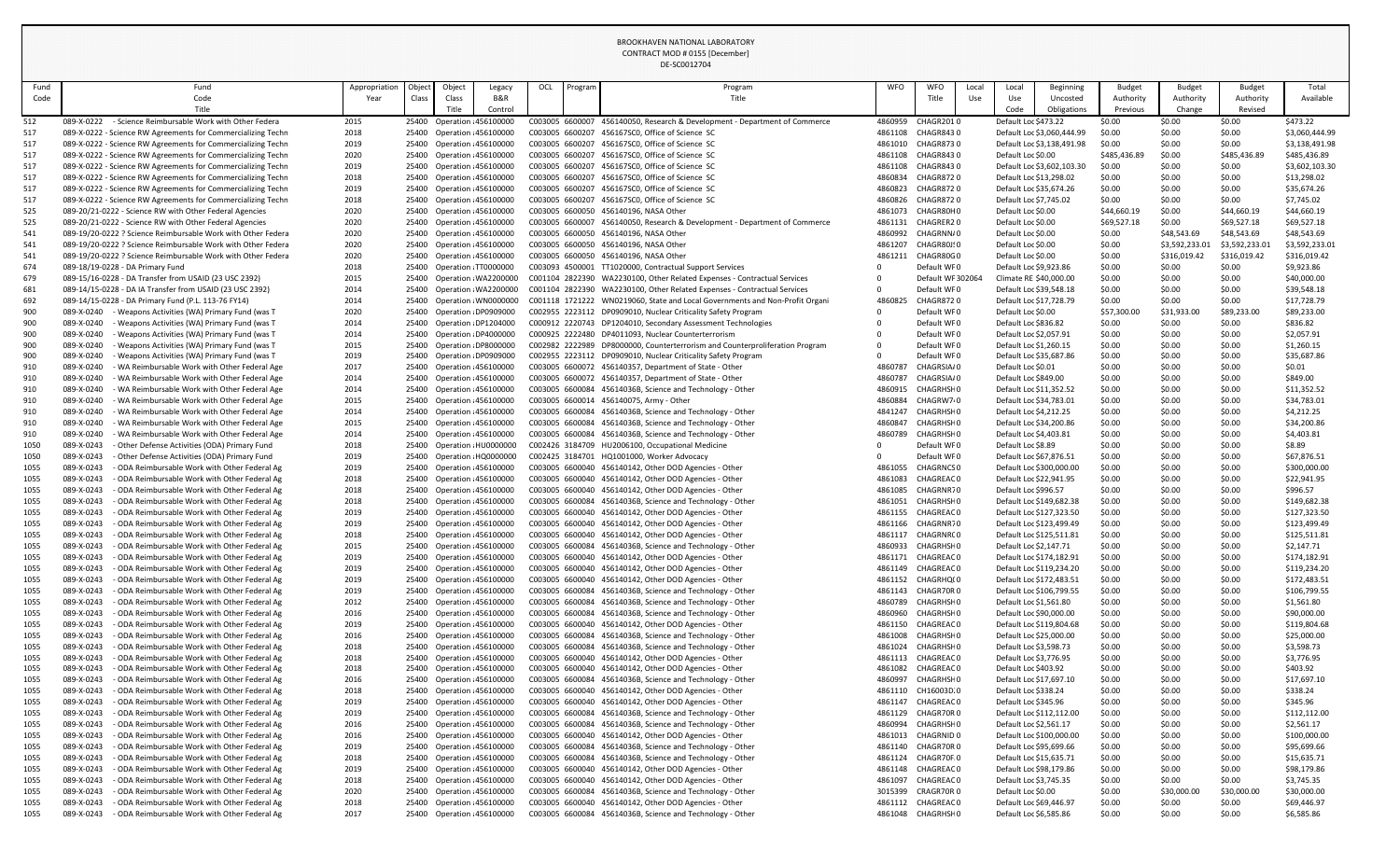DE-SC0012704

| Fund         | Fund                                                                                                                         | Appropriation | Object | Object                                                 | Legacy                                           | OCL | Program | Program                                                                                                                                                  | <b>WFO</b>         | WFO<br>Local                    | Local                  | <b>Beginning</b>                                     | <b>Budget</b>          | <b>Budget</b>    | <b>Budget</b>          | Total                          |
|--------------|------------------------------------------------------------------------------------------------------------------------------|---------------|--------|--------------------------------------------------------|--------------------------------------------------|-----|---------|----------------------------------------------------------------------------------------------------------------------------------------------------------|--------------------|---------------------------------|------------------------|------------------------------------------------------|------------------------|------------------|------------------------|--------------------------------|
| Code         | Code                                                                                                                         | Year          | Class  | Class                                                  | B&R                                              |     |         | Title                                                                                                                                                    |                    | Title<br>Use                    | Use                    | Uncosted                                             | Authority              | Authority        | Authority              | Available                      |
|              | Title                                                                                                                        |               |        | Title                                                  | Control                                          |     |         |                                                                                                                                                          |                    |                                 | Code                   | Obligations                                          | Previous               | Change           | Revised                |                                |
| 512          | 089-X-0222 - Science Reimbursable Work with Other Federa                                                                     | 2015          |        | 25400 Operation 456100000                              |                                                  |     |         | C003005 6600007 456140050, Research & Development - Department of Commerce                                                                               | 4860959            | <b>CHAGR2010</b>                | Default Loc \$473.22   |                                                      | \$0.00                 | \$0.00           | \$0.00                 | \$473.22                       |
| 517          | 089-X-0222 - Science RW Agreements for Commercializing Techn                                                                 | 2018          | 25400  | Operation 456100000                                    |                                                  |     |         | C003005 6600207 456167SC0, Office of Science SC                                                                                                          | 4861108            | CHAGR8430                       |                        | Default Loc \$3,060,444.99                           | \$0.00                 | \$0.00           | \$0.00                 | \$3,060,444.99                 |
| 517<br>517   | 089-X-0222 - Science RW Agreements for Commercializing Techn<br>089-X-0222 - Science RW Agreements for Commercializing Techn | 2019<br>2020  | 25400  | 25400 Operation 456100000<br>Operation : 456100000     |                                                  |     |         | C003005 6600207 456167SC0, Office of Science SC<br>C003005 6600207 456167SC0, Office of Science SC                                                       | 4861010<br>4861108 | CHAGR8730<br>CHAGR8430          | Default Loc \$0.00     | Default Loc \$3,138,491.98                           | \$0.00<br>\$485,436.89 | \$0.00<br>\$0.00 | \$0.00<br>\$485,436.89 | \$3,138,491.98<br>\$485,436.89 |
| 517          | 089-X-0222 - Science RW Agreements for Commercializing Techn                                                                 | 2019          |        | 25400 Operation 456100000                              |                                                  |     |         | C003005 6600207 456167SC0, Office of Science SC                                                                                                          | 4861108            | CHAGR8430                       |                        | Default Loc \$3,602,103.30                           | \$0.00                 | \$0.00           | \$0.00                 | \$3,602,103.30                 |
| 517          | 089-X-0222 - Science RW Agreements for Commercializing Techn                                                                 | 2018          |        | 25400 Operation 456100000                              |                                                  |     |         | C003005 6600207 456167SC0, Office of Science SC                                                                                                          | 4860834            | <b>CHAGR8720</b>                |                        | Default Loc \$13,298.02                              | \$0.00                 | \$0.00           | \$0.00                 | \$13,298.02                    |
| 517          | 089-X-0222 - Science RW Agreements for Commercializing Techn                                                                 | 2019          | 25400  | Operation : 456100000                                  |                                                  |     |         | C003005 6600207 456167SC0, Office of Science SC                                                                                                          | 4860823            | <b>CHAGR8720</b>                |                        | Default Loc \$35,674.26                              | \$0.00                 | \$0.00           | \$0.00                 | \$35,674.26                    |
| 517          | 089-X-0222 - Science RW Agreements for Commercializing Techn                                                                 | 2018          | 25400  | Operation 456100000                                    |                                                  |     |         | C003005 6600207 456167SC0, Office of Science SC                                                                                                          | 4860826            | <b>CHAGR8720</b>                | Default Loc \$7,745.02 |                                                      | \$0.00                 | \$0.00           | \$0.00                 | \$7,745.02                     |
| 525          | 089-20/21-0222 - Science RW with Other Federal Agencies                                                                      | 2020          | 25400  | Operation 456100000                                    |                                                  |     |         | C003005 6600050 456140196, NASA Other                                                                                                                    | 4861073            | CHAGR80H0                       | Default Loc \$0.00     |                                                      | \$44,660.19            | \$0.00           | \$44,660.19            | \$44,660.19                    |
| 525          | 089-20/21-0222 - Science RW with Other Federal Agencies                                                                      | 2020          | 25400  | Operation : 456100000                                  |                                                  |     |         | C003005 6600007 456140050, Research & Development - Department of Commerce                                                                               | 4861131            | CHAGRER20                       | Default Loc \$0.00     |                                                      | \$69,527.18            | \$0.00           | \$69,527.18            | \$69,527.18                    |
| 541          | 089-19/20-0222 ? Science Reimbursable Work with Other Federa                                                                 | 2020          | 25400  | Operation : 456100000                                  |                                                  |     |         | C003005 6600050 456140196, NASA Other                                                                                                                    | 4860992            | CHAGRNN/0                       | Default Loc \$0.00     |                                                      | \$0.00                 | \$48,543.69      | \$48,543.69            | \$48,543.69                    |
| 541          | 089-19/20-0222 ? Science Reimbursable Work with Other Federa                                                                 | 2020          | 25400  | Operation : 456100000                                  |                                                  |     |         | C003005 6600050 456140196, NASA Other                                                                                                                    | 4861207            | CHAGR80JS0                      | Default Loc \$0.00     |                                                      | \$0.00                 | \$3,592,233.01   | \$3,592,233.0          | \$3,592,233.01                 |
| 541          | 089-19/20-0222 ? Science Reimbursable Work with Other Federa                                                                 | 2020          |        | 25400 Operation 456100000                              |                                                  |     |         | C003005 6600050 456140196, NASA Other                                                                                                                    | 4861211            | CHAGR80G0                       | Default Loc \$0.00     |                                                      | \$0.00                 | \$316,019.42     | \$316,019.42           | \$316,019.42                   |
| 674          | 089-18/19-0228 - DA Primary Fund                                                                                             | 2018          |        | 25400 Operation TT0000000                              |                                                  |     |         | C003093 4500001 TT1020000, Contractual Support Services                                                                                                  |                    | Default WF0                     | Default Loc \$9,923.86 |                                                      | \$0.00                 | \$0.00           | \$0.00                 | \$9,923.86                     |
| 679          | 089-15/16-0228 - DA Transfer from USAID (23 USC 2392)                                                                        | 2015          | 25400  |                                                        | Operation WA2200000                              |     |         | C001104 2822390 WA2230100, Other Related Expenses - Contractual Services                                                                                 |                    | Default WF 30206                |                        | Climate RE \$40,000.00                               | \$0.00                 | \$0.00           | \$0.00                 | \$40,000.00                    |
| 681<br>692   | 089-14/15-0228 - DA IA Transfer from USAID (23 USC 2392)<br>089-14/15-0228 - DA Primary Fund (P.L. 113-76 FY14)              | 2014<br>2014  | 25400  |                                                        | 25400 Operation WA2200000<br>Operation WN0000000 |     |         | C001104 2822390 WA2230100, Other Related Expenses - Contractual Services<br>C001118 1721222 WN0219060, State and Local Governments and Non-Profit Organi | 4860825            | Default WF0<br><b>CHAGR8720</b> |                        | Default Loc \$39,548.18<br>Default Loc \$17,728.79   | \$0.00<br>\$0.00       | \$0.00<br>\$0.00 | \$0.00<br>\$0.00       | \$39,548.18<br>\$17,728.79     |
| 900          | 089-X-0240<br>- Weapons Activities (WA) Primary Fund (was T                                                                  | 2020          |        | 25400 Operation DP0909000                              |                                                  |     |         | C002955 2223112 DP0909010, Nuclear Criticality Safety Program                                                                                            |                    | Default WF0                     | Default Loc \$0.00     |                                                      | \$57,300.00            | \$31,933.00      | \$89,233.00            | \$89,233.00                    |
| 900          | Weapons Activities (WA) Primary Fund (was T<br>089-X-0240                                                                    | 2014          |        | 25400 Operation DP1204000                              |                                                  |     |         | C000912 2220743 DP1204010, Secondary Assessment Technologies                                                                                             |                    | Default WF0                     | Default Loc \$836.82   |                                                      | \$0.00                 | \$0.00           | \$0.00                 | \$836.82                       |
| 900          | 089-X-0240<br>Weapons Activities (WA) Primary Fund (was T                                                                    | 2014          | 25400  | Operation DP4000000                                    |                                                  |     |         | C000925 2222480 DP4011093, Nuclear Counterterrorism                                                                                                      |                    | Default WF0                     | Default Loc \$2,057.91 |                                                      | \$0.00                 | \$0.00           | \$0.00                 | \$2,057.91                     |
| 900          | 089-X-0240<br>Weapons Activities (WA) Primary Fund (was T                                                                    | 2015          | 25400  | Operation DP8000000                                    |                                                  |     |         | C002982 2222989 DP8000000, Counterterrorism and Counterproliferation Program                                                                             |                    | Default WF0                     | Default Loc \$1,260.15 |                                                      | \$0.00                 | \$0.00           | \$0.00                 | \$1,260.15                     |
| 900          | 089-X-0240<br>- Weapons Activities (WA) Primary Fund (was T                                                                  | 2019          | 25400  | Operation DP0909000                                    |                                                  |     |         | C002955 2223112 DP0909010, Nuclear Criticality Safety Program                                                                                            |                    | Default WF0                     |                        | Default Loc \$35,687.86                              | \$0.00                 | \$0.00           | \$0.00                 | \$35,687.86                    |
| 910          | WA Reimbursable Work with Other Federal Age<br>089-X-0240                                                                    | 2017          |        | 25400 Operation 456100000                              |                                                  |     |         | C003005 6600072 456140357, Department of State - Other                                                                                                   | 4860787            | CHAGRSIA/0                      | Default Loc \$0.01     |                                                      | \$0.00                 | \$0.00           | \$0.00                 | \$0.01                         |
| 910          | 089-X-0240<br>- WA Reimbursable Work with Other Federal Age                                                                  | 2014          | 25400  | Operation : 456100000                                  |                                                  |     |         | C003005 6600072 456140357, Department of State - Other                                                                                                   | 4860787            | CHAGRSIA/0                      | Default Loc \$849.00   |                                                      | \$0.00                 | \$0.00           | \$0.00                 | \$849.00                       |
| 910          | 089-X-0240<br>- WA Reimbursable Work with Other Federal Age                                                                  | 2014          | 25400  | Operation : 456100000                                  |                                                  |     |         | C003005 6600084 45614036B, Science and Technology - Other                                                                                                | 4860915            | <b>CHAGRHSHO</b>                |                        | Default Loc \$11,352.52                              | \$0.00                 | \$0.00           | \$0.00                 | \$11,352.52                    |
| 910          | 089-X-0240<br>- WA Reimbursable Work with Other Federal Age                                                                  | 2015          | 25400  | Operation : 456100000                                  |                                                  |     |         | C003005 6600014 456140075, Army - Other                                                                                                                  | 4860884            | CHAGRW7 <sub>0</sub>            |                        | Default Loc \$34,783.01                              | \$0.00                 | \$0.00           | \$0.00                 | \$34,783.01                    |
| 910          | 089-X-0240<br>- WA Reimbursable Work with Other Federal Age                                                                  | 2014          | 25400  | Operation : 456100000                                  |                                                  |     |         | C003005 6600084 45614036B, Science and Technology - Other                                                                                                | 4841247            | CHAGRHSH0                       |                        | Default Loc \$4,212.25                               | \$0.00                 | \$0.00           | \$0.00                 | \$4,212.25                     |
| 910<br>910   | - WA Reimbursable Work with Other Federal Age<br>089-X-0240<br>089-X-0240<br>- WA Reimbursable Work with Other Federal Age   | 2015<br>2014  | 25400  | Operation 456100000<br>25400 Operation 456100000       |                                                  |     |         | C003005 6600084 45614036B, Science and Technology - Other<br>C003005 6600084 45614036B, Science and Technology - Other                                   | 4860847<br>4860789 | CHAGRHSHO<br><b>CHAGRHSHO</b>   | Default Loc \$4,403.81 | Default Loc \$34,200.86                              | \$0.00<br>\$0.00       | \$0.00<br>\$0.00 | \$0.00<br>\$0.00       | \$34,200.86<br>\$4,403.81      |
| 1050         | 089-X-0243<br>- Other Defense Activities (ODA) Primary Fund                                                                  | 2018          | 25400  | Operation HU0000000                                    |                                                  |     |         | C002426 3184709 HU2006100, Occupational Medicine                                                                                                         |                    | Default WF0                     | Default Loc \$8.89     |                                                      | \$0.00                 | \$0.00           | \$0.00                 | \$8.89                         |
| 1050         | 089-X-0243<br>- Other Defense Activities (ODA) Primary Fund                                                                  | 2019          | 25400  | Operation HQ0000000                                    |                                                  |     |         | C002425 3184701 HQ1001000, Worker Advocacy                                                                                                               |                    | Default WF0                     |                        | Default Loc \$67,876.51                              | \$0.00                 | \$0.00           | \$0.00                 | \$67,876.51                    |
| 1055         | 089-X-0243<br>- ODA Reimbursable Work with Other Federal Ag                                                                  | 2019          |        | 25400 Operation 456100000                              |                                                  |     |         | C003005 6600040 456140142, Other DOD Agencies - Other                                                                                                    | 4861055            | <b>CHAGRNCSO</b>                |                        | Default Loc \$300,000.00                             | \$0.00                 | \$0.00           | \$0.00                 | \$300,000.00                   |
| 1055         | - ODA Reimbursable Work with Other Federal Ag<br>089-X-0243                                                                  | 2018          |        | 25400 Operation 456100000                              |                                                  |     |         | C003005 6600040 456140142, Other DOD Agencies - Other                                                                                                    | 4861083            | CHAGREAC0                       |                        | Default Loc \$22,941.95                              | \$0.00                 | \$0.00           | \$0.00                 | \$22,941.95                    |
| 1055         | 089-X-0243<br>- ODA Reimbursable Work with Other Federal Ag                                                                  | 2018          |        | 25400 Operation 456100000                              |                                                  |     |         | C003005 6600040 456140142, Other DOD Agencies - Other                                                                                                    | 4861085            | CHAGRNR70                       | Default Loc \$996.57   |                                                      | \$0.00                 | \$0.00           | \$0.00                 | \$996.57                       |
| 1055         | 089-X-0243<br>- ODA Reimbursable Work with Other Federal Ag                                                                  | 2018          | 25400  | Operation : 456100000                                  |                                                  |     |         | C003005 6600084 45614036B, Science and Technology - Other                                                                                                | 4861051            | CHAGRHSH0                       |                        | Default Loc \$149,682.38                             | \$0.00                 | \$0.00           | \$0.00                 | \$149,682.38                   |
| 1055         | 089-X-0243<br>- ODA Reimbursable Work with Other Federal Ag                                                                  | 2019          |        | 25400 Operation 456100000                              |                                                  |     |         | C003005 6600040 456140142, Other DOD Agencies - Other                                                                                                    | 4861155            | CHAGREAC0                       |                        | Default Loc \$127,323.50                             | \$0.00                 | \$0.00           | \$0.00                 | \$127,323.50                   |
| 1055         | 089-X-0243<br>- ODA Reimbursable Work with Other Federal Ag                                                                  | 2019          |        | 25400 Operation 456100000                              |                                                  |     |         | C003005 6600040 456140142, Other DOD Agencies - Other                                                                                                    |                    | 4861166 CHAGRNR70               |                        | Default Loc \$123,499.49                             | \$0.00                 | \$0.00           | \$0.00                 | \$123,499.49                   |
| 1055         | 089-X-0243<br>- ODA Reimbursable Work with Other Federal Ag                                                                  | 2018          |        | 25400 Operation 456100000                              |                                                  |     |         | C003005 6600040 456140142, Other DOD Agencies - Other                                                                                                    | 4861117            | CHAGRNRC 0                      |                        | Default Loc \$125,511.81                             | \$0.00                 | \$0.00           | \$0.00                 | \$125,511.81                   |
| 1055         | 089-X-0243<br>- ODA Reimbursable Work with Other Federal Ag                                                                  | 2015          |        | 25400 Operation 456100000                              |                                                  |     |         | C003005 6600084 45614036B, Science and Technology - Other                                                                                                | 4860933            | CHAGRHSH0                       | Default Loc \$2,147.71 |                                                      | \$0.00                 | \$0.00           | \$0.00                 | \$2,147.71                     |
| 1055         | 089-X-0243<br>- ODA Reimbursable Work with Other Federal Ag                                                                  | 2019          |        | 25400 Operation 456100000                              |                                                  |     |         | C003005 6600040 456140142, Other DOD Agencies - Other<br>C003005 6600040 456140142, Other DOD Agencies - Other                                           | 4861171            | CHAGREAC 0<br>4861149 CHAGREACO |                        | Default Loc \$174,182.91<br>Default Loc \$119,234.20 | \$0.00<br>\$0.00       | \$0.00<br>\$0.00 | \$0.00                 | \$174,182.91                   |
| 1055<br>1055 | 089-X-0243<br>- ODA Reimbursable Work with Other Federal Ag<br>089-X-0243<br>- ODA Reimbursable Work with Other Federal Ag   | 2019<br>2019  |        | 25400 Operation 456100000<br>25400 Operation 456100000 |                                                  |     |         | C003005 6600040 456140142, Other DOD Agencies - Other                                                                                                    |                    | 4861152 CHAGRHQ(0               |                        | Default Loc \$172,483.51                             | \$0.00                 | \$0.00           | \$0.00<br>\$0.00       | \$119,234.20<br>\$172,483.51   |
| 1055         | 089-X-0243<br>- ODA Reimbursable Work with Other Federal Ag                                                                  | 2019          |        | 25400 Operation 456100000                              |                                                  |     |         | C003005 6600084 45614036B, Science and Technology - Other                                                                                                |                    | 4861143 CHAGR70R0               |                        | Default Loc \$106,799.55                             | \$0.00                 | \$0.00           | \$0.00                 | \$106,799.55                   |
| 1055         | 089-X-0243<br>- ODA Reimbursable Work with Other Federal Ag                                                                  | 2012          |        | 25400 Operation 456100000                              |                                                  |     |         | C003005 6600084 45614036B, Science and Technology - Other                                                                                                | 4860789            | CHAGRHSH0                       | Default Loc \$1,561.80 |                                                      | \$0.00                 | \$0.00           | \$0.00                 | \$1,561.80                     |
| 1055         | 089-X-0243<br>- ODA Reimbursable Work with Other Federal Ag                                                                  | 2016          | 25400  | Operation 456100000                                    |                                                  |     |         | C003005 6600084 45614036B, Science and Technology - Other                                                                                                | 4860960            | CHAGRHSH0                       |                        | Default Loc \$90,000.00                              | \$0.00                 | \$0.00           | \$0.00                 | \$90,000.00                    |
| 1055         | 089-X-0243<br>- ODA Reimbursable Work with Other Federal Ag                                                                  | 2019          |        | 25400 Operation 456100000                              |                                                  |     |         | C003005 6600040 456140142, Other DOD Agencies - Other                                                                                                    | 4861150            | CHAGREAC0                       |                        | Default Loc \$119,804.68                             | \$0.00                 | \$0.00           | \$0.00                 | \$119,804.68                   |
| 1055         | 089-X-0243<br>- ODA Reimbursable Work with Other Federal Ag                                                                  | 2016          |        | 25400 Operation 456100000                              |                                                  |     |         | C003005 6600084 45614036B, Science and Technology - Other                                                                                                |                    | 4861008 CHAGRHSH0               |                        | Default Loc \$25,000.00                              | \$0.00                 | \$0.00           | \$0.00                 | \$25,000.00                    |
| 1055         | 089-X-0243<br>- ODA Reimbursable Work with Other Federal Ag                                                                  | 2018          |        | 25400 Operation 456100000                              |                                                  |     |         | C003005 6600084 45614036B, Science and Technology - Other                                                                                                | 4861024            | CHAGRHSH0                       | Default Loc \$3,598.73 |                                                      | \$0.00                 | \$0.00           | \$0.00                 | \$3,598.73                     |
| 1055         | 089-X-0243<br>- ODA Reimbursable Work with Other Federal Ag                                                                  | 2018          |        | 25400 Operation 456100000                              |                                                  |     |         | C003005 6600040 456140142, Other DOD Agencies - Other                                                                                                    |                    | 4861113 CHAGREACO               | Default Loc \$3,776.95 |                                                      | \$0.00                 | \$0.00           | \$0.00                 | \$3,776.95                     |
| 1055         | - ODA Reimbursable Work with Other Federal Ag<br>089-X-0243                                                                  | 2018          |        | 25400 Operation 456100000                              |                                                  |     |         | C003005 6600040 456140142, Other DOD Agencies - Other                                                                                                    | 4861082            | CHAGREAC0                       | Default Loc \$403.92   |                                                      | \$0.00                 | \$0.00           | \$0.00                 | \$403.92                       |
| 1055         | 089-X-0243<br>- ODA Reimbursable Work with Other Federal Ag                                                                  | 2016          |        | 25400 Operation 456100000                              |                                                  |     |         | C003005 6600084 45614036B, Science and Technology - Other                                                                                                | 4860997            | CHAGRHSH0                       |                        | Default Loc \$17,697.10                              | \$0.00                 | \$0.00           | \$0.00                 | \$17,697.10                    |
| 1055         | 089-X-0243<br>- ODA Reimbursable Work with Other Federal Ag                                                                  | 2018          |        | 25400 Operation 456100000                              |                                                  |     |         | C003005 6600040 456140142, Other DOD Agencies - Other                                                                                                    | 4861110            | CH16003D.0                      | Default Loc \$338.24   |                                                      | \$0.00                 | \$0.00           | \$0.00                 | \$338.24                       |
| 1055         | 089-X-0243<br>- ODA Reimbursable Work with Other Federal Ag<br>089-X-0243<br>- ODA Reimbursable Work with Other Federal Ag   | 2019          |        | 25400 Operation 456100000                              |                                                  |     |         | C003005 6600040 456140142, Other DOD Agencies - Other<br>C003005 6600084 45614036B, Science and Technology - Other                                       | 4861147            | CHAGREAC0<br>4861129 CHAGR70R0  | Default Loc \$345.96   | Default Loc \$112,112.00                             | \$0.00<br>\$0.00       | \$0.00<br>\$0.00 | \$0.00<br>\$0.00       | \$345.96<br>\$112,112.00       |
| 1055<br>1055 | 089-X-0243<br>- ODA Reimbursable Work with Other Federal Ag                                                                  | 2019<br>2016  | 25400  | 25400 Operation 456100000<br>Operation 456100000       |                                                  |     |         | C003005 6600084 45614036B, Science and Technology - Other                                                                                                | 4860994            | CHAGRHSH0                       | Default Loc \$2,561.17 |                                                      | \$0.00                 | \$0.00           | \$0.00                 | \$2,561.17                     |
| 1055         | 089-X-0243<br>- ODA Reimbursable Work with Other Federal Ag                                                                  | 2016          |        | 25400 Operation 456100000                              |                                                  |     |         | C003005 6600040 456140142, Other DOD Agencies - Other                                                                                                    | 4861013            | CHAGRNID 0                      |                        | Default Loc \$100,000.00                             | \$0.00                 | \$0.00           | \$0.00                 | \$100,000.00                   |
| 1055         | 089-X-0243<br>- ODA Reimbursable Work with Other Federal Ag                                                                  | 2019          |        | 25400 Operation 456100000                              |                                                  |     |         | C003005 6600084 45614036B, Science and Technology - Other                                                                                                |                    | 4861140 CHAGR70R0               |                        | Default Loc \$95,699.66                              | \$0.00                 | \$0.00           | \$0.00                 | \$95,699.66                    |
| 1055         | 089-X-0243<br>- ODA Reimbursable Work with Other Federal Ag                                                                  | 2018          |        | 25400 Operation 456100000                              |                                                  |     |         | C003005 6600084 45614036B, Science and Technology - Other                                                                                                |                    | 4861124 CHAGR70F.0              |                        | Default Loc \$15,635.71                              | \$0.00                 | \$0.00           | \$0.00                 | \$15,635.71                    |
| 1055         | 089-X-0243<br>- ODA Reimbursable Work with Other Federal Ag                                                                  | 2019          |        | 25400 Operation 456100000                              |                                                  |     |         | C003005 6600040 456140142, Other DOD Agencies - Other                                                                                                    |                    | 4861148 CHAGREACO               |                        | Default Loc \$98,179.86                              | \$0.00                 | \$0.00           | \$0.00                 | \$98,179.86                    |
| 1055         | 089-X-0243<br>- ODA Reimbursable Work with Other Federal Ag                                                                  | 2018          |        | 25400 Operation 456100000                              |                                                  |     |         | C003005 6600040 456140142, Other DOD Agencies - Other                                                                                                    |                    | 4861097 CHAGREAC0               |                        | Default Loc \$3,745.35                               | \$0.00                 | \$0.00           | \$0.00                 | \$3,745.35                     |
| 1055         | - ODA Reimbursable Work with Other Federal Ag<br>089-X-0243                                                                  | 2020          |        | 25400 Operation 456100000                              |                                                  |     |         | C003005 6600084 45614036B, Science and Technology - Other                                                                                                | 3015399            | CRAGR70R 0                      | Default Loc \$0.00     |                                                      | \$0.00                 | \$30,000.00      | \$30,000.00            | \$30,000.00                    |
| 1055         | - ODA Reimbursable Work with Other Federal Ag<br>089-X-0243                                                                  | 2018          |        | 25400 Operation 456100000                              |                                                  |     |         | C003005 6600040 456140142, Other DOD Agencies - Other                                                                                                    |                    | 4861112 CHAGREACO               |                        | Default Loc \$69,446.97                              | \$0.00                 | \$0.00           | \$0.00                 | \$69,446.97                    |
| 1055         | - ODA Reimbursable Work with Other Federal Ag<br>089-X-0243                                                                  | 2017          |        | 25400 Operation 456100000                              |                                                  |     |         | C003005 6600084 45614036B, Science and Technology - Other                                                                                                |                    | 4861048 CHAGRHSH0               | Default Loc \$6,585.86 |                                                      | \$0.00                 | \$0.00           | \$0.00                 | \$6,585.86                     |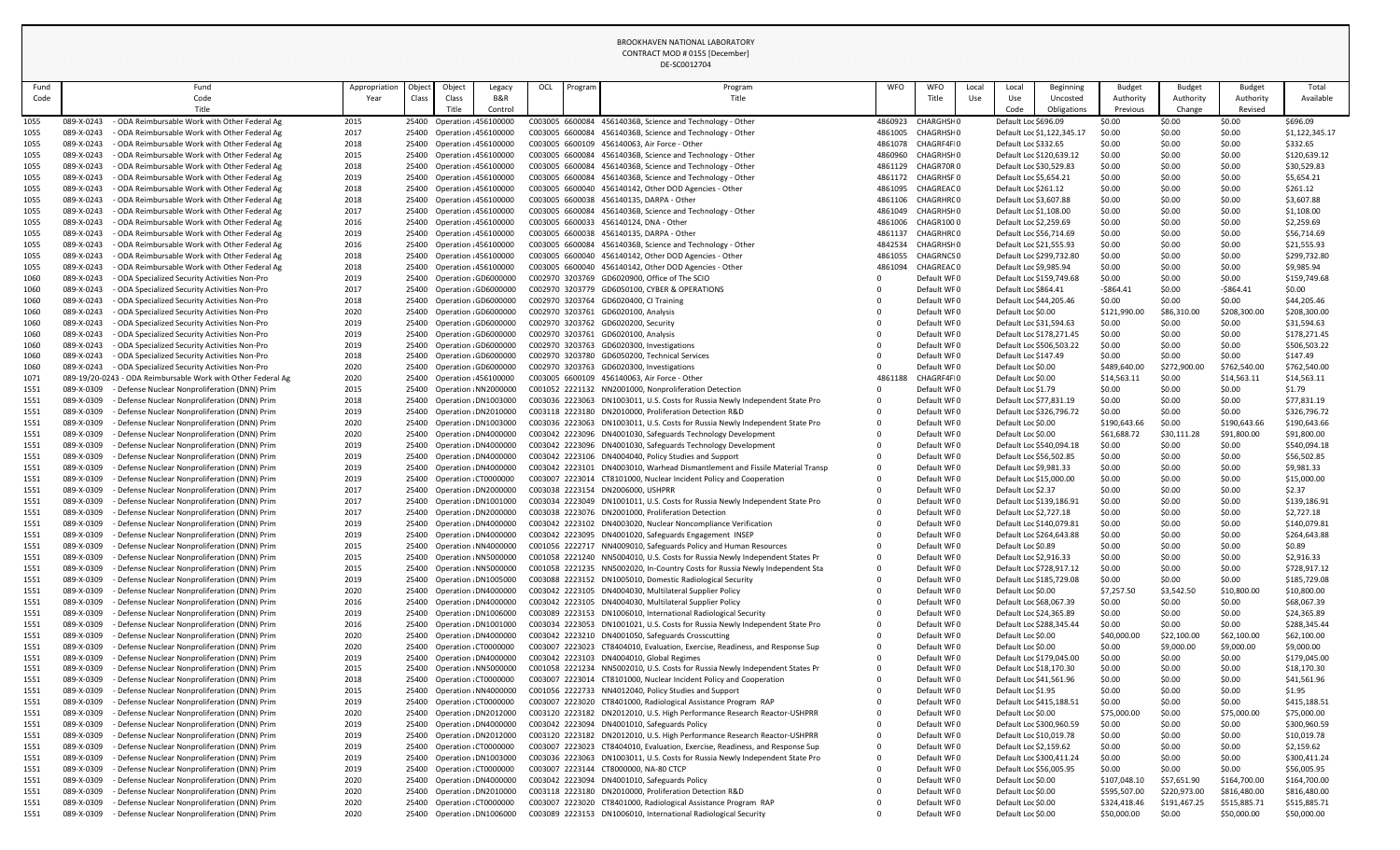| Fund         | Fund                                                                                                                   | Appropriation | Object | Object                                                 | Legacy  | OCL | Program | Program                                                                                                                                                      | WFO                | WFO                            | Local | Local                                    | Beginning                                          | <b>Budget</b>               | <b>Budget</b>         | <b>Budget</b>               | Total                       |
|--------------|------------------------------------------------------------------------------------------------------------------------|---------------|--------|--------------------------------------------------------|---------|-----|---------|--------------------------------------------------------------------------------------------------------------------------------------------------------------|--------------------|--------------------------------|-------|------------------------------------------|----------------------------------------------------|-----------------------------|-----------------------|-----------------------------|-----------------------------|
| Code         | Code                                                                                                                   | Year          | Class  | Class                                                  | B&R     |     |         | Title                                                                                                                                                        |                    | Title                          | Use   | Use                                      | Uncosted                                           | Authority                   | Authority             | Authority                   | Available                   |
|              | Title                                                                                                                  |               |        | Title                                                  | Control |     |         |                                                                                                                                                              |                    |                                |       | Code                                     | Obligations                                        | Previous                    | Change                | Revised                     |                             |
| 1055         | - ODA Reimbursable Work with Other Federal Ag<br>089-X-0243                                                            | 2015          |        | 25400 Operation 456100000                              |         |     |         | C003005 6600084 45614036B, Science and Technology - Other                                                                                                    | 4860923            | <b>CHARGHSHO</b>               |       | Default Loc \$696.09                     |                                                    | \$0.00                      | \$0.00                | \$0.00                      | \$696.09                    |
| 1055         | ODA Reimbursable Work with Other Federal Ag<br>089-X-0243                                                              | 2017          |        | 25400 Operation 456100000                              |         |     |         | C003005 6600084 45614036B, Science and Technology - Other                                                                                                    | 4861005            | <b>CHAGRHSHO</b>               |       |                                          | Default Loc \$1,122,345.17                         | \$0.00                      | \$0.00                | \$0.00                      | \$1,122,345.17              |
| 1055         | 089-X-0243<br>ODA Reimbursable Work with Other Federal Ag<br>089-X-0243<br>ODA Reimbursable Work with Other Federal Ag | 2018          |        | 25400 Operation 456100000                              |         |     |         | C003005 6600109 456140063, Air Force - Other<br>C003005 6600084 45614036B, Science and Technology - Other                                                    | 4861078<br>4860960 | CHAGRF4FI0<br><b>CHAGRHSHO</b> |       | Default Loc \$332.65                     | Default Loc \$120,639.12                           | \$0.00<br>\$0.00            | \$0.00<br>\$0.00      | \$0.00                      | \$332.65                    |
| 1055<br>1055 | 089-X-0243<br>- ODA Reimbursable Work with Other Federal Ag                                                            | 2015<br>2018  |        | 25400 Operation 456100000<br>25400 Operation 456100000 |         |     |         | C003005 6600084 45614036B, Science and Technology - Other                                                                                                    | 4861129            | CHAGR70R0                      |       |                                          | Default Loc \$30,529.83                            | \$0.00                      | \$0.00                | \$0.00<br>\$0.00            | \$120,639.12<br>\$30,529.83 |
| 1055         | 089-X-0243<br>- ODA Reimbursable Work with Other Federal Ag                                                            | 2019          |        | 25400 Operation 456100000                              |         |     |         | C003005 6600084 45614036B, Science and Technology - Other                                                                                                    | 4861172            | <b>CHAGRHSF 0</b>              |       |                                          | Default Loc \$5,654.21                             | \$0.00                      | \$0.00                | \$0.00                      | \$5,654.21                  |
| 1055         | 089-X-0243<br>ODA Reimbursable Work with Other Federal Ag                                                              | 2018          |        | 25400 Operation 456100000                              |         |     |         | C003005 6600040 456140142, Other DOD Agencies - Other                                                                                                        | 4861095            | CHAGREAC0                      |       | Default Loc \$261.12                     |                                                    | \$0.00                      | \$0.00                | \$0.00                      | \$261.12                    |
| 1055         | 089-X-0243<br>ODA Reimbursable Work with Other Federal Ag                                                              | 2018          |        | 25400 Operation 456100000                              |         |     |         | C003005 6600038 456140135, DARPA - Other                                                                                                                     | 4861106            | CHAGRHR00                      |       |                                          | Default Loc \$3,607.88                             | \$0.00                      | \$0.00                | \$0.00                      | \$3,607.88                  |
| 1055         | 089-X-0243<br>ODA Reimbursable Work with Other Federal Ag                                                              | 2017          |        | 25400 Operation 456100000                              |         |     |         | C003005 6600084 45614036B, Science and Technology - Other                                                                                                    | 4861049            | <b>CHAGRHSHO</b>               |       |                                          | Default Loc \$1,108.00                             | \$0.00                      | \$0.00                | \$0.00                      | \$1,108.00                  |
| 1055         | 089-X-0243<br>ODA Reimbursable Work with Other Federal Ag                                                              | 2016          |        | 25400 Operation 456100000                              |         |     |         | C003005 6600033 456140124, DNA - Other                                                                                                                       | 4861006            | CHAGR1000                      |       |                                          | Default Loc \$2,259.69                             | \$0.00                      | \$0.00                | \$0.00                      | \$2,259.69                  |
| 1055         | 089-X-0243<br>- ODA Reimbursable Work with Other Federal Ag                                                            | 2019          |        | 25400 Operation 456100000                              |         |     |         | C003005 6600038 456140135, DARPA - Other                                                                                                                     | 4861137            | CHAGRHR00                      |       |                                          | Default Loc \$56,714.69                            | \$0.00                      | \$0.00                | \$0.00                      | \$56,714.69                 |
| 1055         | ODA Reimbursable Work with Other Federal Ag<br>089-X-0243                                                              | 2016          |        | 25400 Operation 456100000                              |         |     |         | C003005 6600084 45614036B, Science and Technology - Other                                                                                                    | 4842534            | <b>CHAGRHSHO</b>               |       |                                          | Default Loc \$21,555.93                            | \$0.00                      | \$0.00                | \$0.00                      | \$21,555.93                 |
| 1055         | 089-X-0243<br>ODA Reimbursable Work with Other Federal Ag                                                              | 2018          |        | 25400 Operation 456100000                              |         |     |         | C003005 6600040 456140142, Other DOD Agencies - Other                                                                                                        | 4861055            | <b>CHAGRNCSO</b>               |       |                                          | Default Loc \$299,732.80                           | \$0.00                      | \$0.00                | \$0.00                      | \$299,732.80                |
| 1055         | 089-X-0243<br>ODA Reimbursable Work with Other Federal Ag                                                              | 2018          |        | 25400 Operation 456100000                              |         |     |         | C003005 6600040 456140142, Other DOD Agencies - Other                                                                                                        | 4861094            | CHAGREAC0                      |       |                                          | Default Loc \$9,985.94                             | \$0.00                      | \$0.00                | \$0.00                      | \$9,985.94                  |
| 1060         | 089-X-0243<br>- ODA Specialized Security Activities Non-Pro                                                            | 2019          |        | 25400 Operation GD6000000                              |         |     |         | C002970 3203769 GD6020900, Office of The SCIO                                                                                                                |                    | Default WF0                    |       |                                          | Default Loc \$159,749.68                           | \$0.00<br>$-5864.41$        | \$0.00<br>\$0.00      | \$0.00                      | \$159,749.68<br>\$0.00      |
| 1060<br>1060 | 089-X-0243<br>ODA Specialized Security Activities Non-Pro<br>089-X-0243<br>ODA Specialized Security Activities Non-Pro | 2017<br>2018  |        | 25400 Operation GD6000000<br>25400 Operation GD6000000 |         |     |         | C002970 3203779 GD6050100, CYBER & OPERATIONS<br>C002970 3203764 GD6020400, CI Training                                                                      |                    | Default WF0<br>Default WF0     |       | Default Loc \$864.41                     | Default Loc \$44,205.46                            | \$0.00                      | \$0.00                | $-5864.41$<br>\$0.00        | \$44,205.46                 |
| 1060         | 089-X-0243<br>ODA Specialized Security Activities Non-Pro                                                              | 2020          |        | 25400 Operation GD6000000                              |         |     |         | C002970 3203761 GD6020100, Analysis                                                                                                                          |                    | Default WF0                    |       | Default Loc \$0.00                       |                                                    | \$121,990.00                | \$86,310.00           | \$208,300.00                | \$208,300.00                |
| 1060         | - ODA Specialized Security Activities Non-Pro<br>089-X-0243                                                            | 2019          |        | 25400 Operation GD6000000                              |         |     |         | C002970 3203762 GD6020200, Security                                                                                                                          |                    | Default WF0                    |       |                                          | Default Loc \$31,594.63                            | \$0.00                      | \$0.00                | \$0.00                      | \$31,594.63                 |
| 1060         | 089-X-0243<br>- ODA Specialized Security Activities Non-Pro                                                            | 2019          |        | 25400 Operation GD6000000                              |         |     |         | C002970 3203761 GD6020100, Analysis                                                                                                                          |                    | Default WF0                    |       |                                          | Default Loc \$178,271.45                           | \$0.00                      | \$0.00                | \$0.00                      | \$178,271.45                |
| 1060         | 089-X-0243<br>ODA Specialized Security Activities Non-Pro                                                              | 2019          |        | 25400 Operation GD6000000                              |         |     |         | C002970 3203763 GD6020300, Investigations                                                                                                                    |                    | Default WF0                    |       |                                          | Default Loc \$506,503.22                           | \$0.00                      | \$0.00                | \$0.00                      | \$506,503.22                |
| 1060         | 089-X-0243<br>ODA Specialized Security Activities Non-Pro                                                              | 2018          |        | 25400 Operation GD6000000                              |         |     |         | C002970 3203780 GD6050200, Technical Services                                                                                                                |                    | Default WF0                    |       | Default Loc \$147.49                     |                                                    | \$0.00                      | \$0.00                | \$0.00                      | \$147.49                    |
| 1060         | 089-X-0243<br>ODA Specialized Security Activities Non-Pro                                                              | 2020          |        | 25400 Operation GD6000000                              |         |     |         | C002970 3203763 GD6020300, Investigations                                                                                                                    |                    | Default WF0                    |       | Default Loc \$0.00                       |                                                    | \$489,640.00                | \$272,900.00          | \$762,540.00                | \$762,540.00                |
| 1071         | 089-19/20-0243 - ODA Reimbursable Work with Other Federal Ag                                                           | 2020          |        | 25400 Operation 456100000                              |         |     |         | C003005 6600109 456140063, Air Force - Other                                                                                                                 | 4861188            | CHAGRF4FI0                     |       | Default Loc \$0.00                       |                                                    | \$14,563.11                 | \$0.00                | \$14,563.11                 | \$14,563.11                 |
| 1551         | - Defense Nuclear Nonproliferation (DNN) Prim<br>089-X-0309                                                            | 2015          |        | 25400 Operation NN2000000                              |         |     |         | C001052 2221132 NN2001000, Nonproliferation Detection                                                                                                        |                    | Default WF0                    |       | Default Loc \$1.79                       |                                                    | \$0.00                      | \$0.00                | \$0.00                      | \$1.79                      |
| 1551         | 089-X-0309<br>Defense Nuclear Nonproliferation (DNN) Prim                                                              | 2018          |        | 25400 Operation DN1003000                              |         |     |         | C003036 2223063 DN1003011, U.S. Costs for Russia Newly Independent State Pro                                                                                 |                    | Default WF0                    |       |                                          | Default Loc \$77,831.19                            | \$0.00                      | \$0.00                | \$0.00                      | \$77,831.19                 |
| 1551         | 089-X-0309<br>- Defense Nuclear Nonproliferation (DNN) Prim                                                            | 2019          |        | 25400 Operation DN2010000                              |         |     |         | C003118 2223180 DN2010000, Proliferation Detection R&D                                                                                                       |                    | Default WF0                    |       |                                          | Default Loc \$326,796.72                           | \$0.00                      | \$0.00                | \$0.00                      | \$326,796.72                |
| 1551<br>1551 | 089-X-0309<br>Defense Nuclear Nonproliferation (DNN) Prim<br>089-X-0309<br>Defense Nuclear Nonproliferation (DNN) Prim | 2020<br>2020  |        | 25400 Operation DN1003000<br>25400 Operation DN4000000 |         |     |         | C003036 2223063 DN1003011, U.S. Costs for Russia Newly Independent State Pro<br>C003042 2223096 DN4001030, Safeguards Technology Development                 |                    | Default WF0<br>Default WF0     |       | Default Loc \$0.00<br>Default Loc \$0.00 |                                                    | \$190,643.66<br>\$61,688.72 | \$0.00<br>\$30,111.28 | \$190,643.66<br>\$91,800.00 | \$190,643.66<br>\$91,800.00 |
| 1551         | 089-X-0309<br>Defense Nuclear Nonproliferation (DNN) Prim                                                              | 2019          |        | 25400 Operation DN4000000                              |         |     |         | C003042 2223096 DN4001030, Safeguards Technology Development                                                                                                 |                    | Default WF0                    |       |                                          | Default Loc \$540,094.18                           | \$0.00                      | \$0.00                | \$0.00                      | \$540,094.18                |
| 1551         | 089-X-0309<br>Defense Nuclear Nonproliferation (DNN) Prim                                                              | 2019          |        | 25400 Operation DN4000000                              |         |     |         | C003042 2223106 DN4004040, Policy Studies and Support                                                                                                        |                    | Default WF0                    |       |                                          | Default Loc \$56,502.85                            | \$0.00                      | \$0.00                | \$0.00                      | \$56,502.85                 |
| 1551         | Defense Nuclear Nonproliferation (DNN) Prim<br>089-X-0309                                                              | 2019          |        | 25400 Operation DN4000000                              |         |     |         | C003042 2223101 DN4003010, Warhead Dismantlement and Fissile Material Transp                                                                                 |                    | Default WF0                    |       |                                          | Default Loc \$9,981.33                             | \$0.00                      | \$0.00                | \$0.00                      | \$9,981.33                  |
| 1551         | 089-X-0309<br>Defense Nuclear Nonproliferation (DNN) Prim                                                              | 2019          |        | 25400 Operation CT0000000                              |         |     |         | C003007 2223014 CT8101000, Nuclear Incident Policy and Cooperation                                                                                           |                    | Default WF0                    |       |                                          | Default Loc \$15,000.00                            | \$0.00                      | \$0.00                | \$0.00                      | \$15,000.00                 |
| 1551         | 089-X-0309<br>Defense Nuclear Nonproliferation (DNN) Prim                                                              | 2017          |        | 25400 Operation DN2000000                              |         |     |         | C003038 2223154 DN2006000, USHPRR                                                                                                                            |                    | Default WF0                    |       | Default Loc \$2.37                       |                                                    | \$0.00                      | \$0.00                | \$0.00                      | \$2.37                      |
| 1551         | Defense Nuclear Nonproliferation (DNN) Prim<br>089-X-0309                                                              | 2017          |        | 25400 Operation DN1001000                              |         |     |         | C003034 2223049 DN1001011, U.S. Costs for Russia Newly Independent State Pro                                                                                 |                    | Default WF0                    |       |                                          | Default Loc \$139,186.91                           | \$0.00                      | \$0.00                | \$0.00                      | \$139,186.91                |
| 1551         | 089-X-0309<br>Defense Nuclear Nonproliferation (DNN) Prim                                                              | 2017          |        | 25400 Operation DN2000000                              |         |     |         | C003038 2223076 DN2001000, Proliferation Detection                                                                                                           |                    | Default WF0                    |       |                                          | Default Loc \$2,727.18                             | \$0.00                      | \$0.00                | \$0.00                      | \$2,727.18                  |
| 1551         | Defense Nuclear Nonproliferation (DNN) Prim<br>089-X-0309                                                              | 2019          |        | 25400 Operation DN4000000                              |         |     |         | C003042 2223102 DN4003020, Nuclear Noncompliance Verification                                                                                                |                    | Default WF0                    |       |                                          | Default Loc \$140,079.81                           | \$0.00                      | \$0.00                | \$0.00                      | \$140,079.81                |
| 1551         | Defense Nuclear Nonproliferation (DNN) Prim<br>089-X-0309                                                              | 2019          |        | 25400 Operation DN4000000                              |         |     |         | C003042 2223095 DN4001020, Safeguards Engagement INSEP                                                                                                       |                    | Default WF0                    |       |                                          | Default Loc \$264,643.88                           | \$0.00                      | \$0.00                | \$0.00                      | \$264,643.88                |
| 1551         | 089-X-0309<br>Defense Nuclear Nonproliferation (DNN) Prim                                                              | 2015          |        | 25400 Operation NN4000000                              |         |     |         | C001056 2222717 NN4009010, Safeguards Policy and Human Resources                                                                                             |                    | Default WF0                    |       | Default Loc \$0.89                       |                                                    | \$0.00                      | \$0.00                | \$0.00                      | \$0.89                      |
| 1551<br>1551 | Defense Nuclear Nonproliferation (DNN) Prim<br>089-X-0309<br>089-X-0309<br>Defense Nuclear Nonproliferation (DNN) Prim | 2015<br>2015  |        | 25400 Operation NN5000000<br>25400 Operation NN5000000 |         |     |         | C001058 2221240 NN5004010, U.S. Costs for Russia Newly Independent States Pr<br>C001058 2221235 NN5002020, In-Country Costs for Russia Newly Independent Sta |                    | Default WF0<br>Default WF0     |       |                                          | Default Loc \$2,916.33<br>Default Loc \$728,917.12 | \$0.00<br>\$0.00            | \$0.00<br>\$0.00      | \$0.00<br>\$0.00            | \$2,916.33<br>\$728,917.12  |
| 1551         | Defense Nuclear Nonproliferation (DNN) Prim<br>089-X-0309                                                              | 2019          |        | 25400 Operation DN1005000                              |         |     |         | C003088 2223152 DN1005010, Domestic Radiological Security                                                                                                    |                    | Default WF0                    |       |                                          | Default Loc \$185,729.08                           | \$0.00                      | \$0.00                | \$0.00                      | \$185,729.08                |
| 1551         | 089-X-0309<br>Defense Nuclear Nonproliferation (DNN) Prim                                                              | 2020          |        | 25400 Operation DN4000000                              |         |     |         | C003042 2223105 DN4004030, Multilateral Supplier Policy                                                                                                      |                    | Default WF0                    |       | Default Loc \$0.00                       |                                                    | \$7,257.50                  | \$3,542.50            | \$10,800.00                 | \$10,800.00                 |
| 1551         | 089-X-0309<br>Defense Nuclear Nonproliferation (DNN) Prim                                                              | 2016          |        | 25400 Operation DN4000000                              |         |     |         | C003042 2223105 DN4004030, Multilateral Supplier Policy                                                                                                      |                    | Default WF0                    |       |                                          | Default Loc \$68,067.39                            | \$0.00                      | \$0.00                | \$0.00                      | \$68,067.39                 |
| 1551         | Defense Nuclear Nonproliferation (DNN) Prim<br>089-X-0309                                                              | 2019          |        | 25400 Operation DN1006000                              |         |     |         | C003089 2223153 DN1006010, International Radiological Security                                                                                               |                    | Default WF0                    |       |                                          | Default Loc \$24,365.89                            | \$0.00                      | \$0.00                | \$0.00                      | \$24,365.89                 |
| 1551         | 089-X-0309<br>Defense Nuclear Nonproliferation (DNN) Prim                                                              | 2016          |        | 25400 Operation DN1001000                              |         |     |         | C003034 2223053 DN1001021, U.S. Costs for Russia Newly Independent State Pro                                                                                 |                    | Default WF0                    |       |                                          | Default Loc \$288,345.44                           | \$0.00                      | \$0.00                | \$0.00                      | \$288,345.44                |
| 1551         | Defense Nuclear Nonproliferation (DNN) Prim<br>089-X-0309                                                              | 2020          |        | 25400 Operation DN4000000                              |         |     |         | C003042 2223210 DN4001050, Safeguards Crosscutting                                                                                                           |                    | Default WF0                    |       | Default Loc \$0.00                       |                                                    | \$40,000.00                 | \$22,100.00           | \$62,100.00                 | \$62,100.00                 |
| 1551         | Defense Nuclear Nonproliferation (DNN) Prim<br>089-X-0309                                                              | 2020          |        | 25400 Operation CT0000000                              |         |     |         | C003007 2223023 CT8404010, Evaluation, Exercise, Readiness, and Response Sup                                                                                 |                    | Default WF0                    |       | Default Loc \$0.00                       |                                                    | \$0.00                      | \$9,000.00            | \$9,000.00                  | \$9,000.00                  |
| 1551         | Defense Nuclear Nonproliferation (DNN) Prim<br>089-X-0309                                                              | 2019          |        | 25400 Operation DN4000000                              |         |     |         | C003042 2223103 DN4004010, Global Regimes                                                                                                                    |                    | Default WF0                    |       |                                          | Default Loc \$179,045.00                           | \$0.00                      | \$0.00                | \$0.00                      | \$179,045.00                |
| 1551         | 089-X-0309<br>Defense Nuclear Nonproliferation (DNN) Prim                                                              | 2015          |        | 25400 Operation NN5000000                              |         |     |         | C001058 2221234 NN5002010, U.S. Costs for Russia Newly Independent States Pr                                                                                 |                    | Default WF0                    |       |                                          | Default Loc \$18,170.30                            | \$0.00                      | \$0.00                | \$0.00                      | \$18,170.30                 |
| 1551         | 089-X-0309<br>Defense Nuclear Nonproliferation (DNN) Prim                                                              | 2018          |        | 25400 Operation CT0000000                              |         |     |         | C003007 2223014 CT8101000, Nuclear Incident Policy and Cooperation                                                                                           |                    | Default WF0                    |       |                                          | Default Loc \$41,561.96                            | \$0.00                      | \$0.00                | \$0.00                      | \$41,561.96                 |
| 1551<br>1551 | Defense Nuclear Nonproliferation (DNN) Prim<br>089-X-0309<br>Defense Nuclear Nonproliferation (DNN) Prim<br>089-X-0309 | 2015<br>2019  |        | 25400 Operation NN4000000<br>25400 Operation CT0000000 |         |     |         | C001056 2222733 NN4012040, Policy Studies and Support<br>C003007 2223020 CT8401000, Radiological Assistance Program RAP                                      |                    | Default WF0<br>Default WF0     |       | Default Loc \$1.95                       | Default Loc \$415,188.51                           | \$0.00<br>\$0.00            | \$0.00<br>\$0.00      | \$0.00<br>\$0.00            | \$1.95<br>\$415,188.51      |
| 1551         | 089-X-0309<br>Defense Nuclear Nonproliferation (DNN) Prim                                                              | 2020          |        | 25400 Operation DN2012000                              |         |     |         | C003120 2223182 DN2012010, U.S. High Performance Research Reactor-USHPRR                                                                                     |                    | Default WF0                    |       | Default Loc \$0.00                       |                                                    | \$75,000.00                 | \$0.00                | \$75,000.00                 | \$75,000.00                 |
| 1551         | 089-X-0309<br>Defense Nuclear Nonproliferation (DNN) Prim                                                              | 2019          |        | 25400 Operation DN4000000                              |         |     |         | C003042 2223094 DN4001010, Safeguards Policy                                                                                                                 |                    | Default WF0                    |       |                                          | Default Loc \$300,960.59                           | \$0.00                      | \$0.00                | \$0.00                      | \$300,960.59                |
| 1551         | 089-X-0309<br>Defense Nuclear Nonproliferation (DNN) Prim                                                              | 2019          |        | 25400 Operation DN2012000                              |         |     |         | C003120 2223182 DN2012010, U.S. High Performance Research Reactor-USHPRR                                                                                     |                    | Default WF0                    |       |                                          | Default Loc \$10,019.78                            | \$0.00                      | \$0.00                | \$0.00                      | \$10,019.78                 |
| 1551         | Defense Nuclear Nonproliferation (DNN) Prim<br>089-X-0309                                                              | 2019          |        | 25400 Operation CT0000000                              |         |     |         | C003007 2223023 CT8404010, Evaluation, Exercise, Readiness, and Response Sup                                                                                 |                    | Default WF0                    |       |                                          | Default Loc \$2,159.62                             | \$0.00                      | \$0.00                | \$0.00                      | \$2,159.62                  |
| 1551         | - Defense Nuclear Nonproliferation (DNN) Prim<br>089-X-0309                                                            | 2019          |        | 25400 Operation DN1003000                              |         |     |         | C003036 2223063 DN1003011, U.S. Costs for Russia Newly Independent State Pro                                                                                 |                    | Default WF0                    |       |                                          | Default Loc \$300,411.24                           | \$0.00                      | \$0.00                | \$0.00                      | \$300,411.24                |
| 1551         | 089-X-0309<br>- Defense Nuclear Nonproliferation (DNN) Prim                                                            | 2019          |        | 25400 Operation CT0000000                              |         |     |         | C003007 2223144 CT8000000, NA-80 CTCP                                                                                                                        |                    | Default WF0                    |       |                                          | Default Loc \$56,005.95                            | \$0.00                      | \$0.00                | \$0.00                      | \$56,005.95                 |
| 1551         | - Defense Nuclear Nonproliferation (DNN) Prim<br>089-X-0309                                                            | 2020          |        | 25400 Operation DN4000000                              |         |     |         | C003042 2223094 DN4001010, Safeguards Policy                                                                                                                 |                    | Default WF0                    |       | Default Loc \$0.00                       |                                                    | \$107,048.10                | \$57,651.90           | \$164,700.00                | \$164,700.00                |
| 1551         | 089-X-0309<br>Defense Nuclear Nonproliferation (DNN) Prim                                                              | 2020          |        | 25400 Operation DN2010000                              |         |     |         | C003118 2223180 DN2010000, Proliferation Detection R&D                                                                                                       |                    | Default WF0                    |       | Default Loc \$0.00                       |                                                    | \$595,507.00                | \$220,973.00          | \$816,480.00                | \$816,480.00                |
| 1551         | - Defense Nuclear Nonproliferation (DNN) Prim<br>089-X-0309                                                            | 2020          |        | 25400 Operation CT0000000                              |         |     |         | C003007 2223020 CT8401000, Radiological Assistance Program RAP                                                                                               |                    | Default WF0                    |       | Default Loc \$0.00                       |                                                    | \$324,418.46                | \$191,467.25          | \$515,885.71                | \$515,885.71                |
| 1551         | - Defense Nuclear Nonproliferation (DNN) Prim<br>089-X-0309                                                            | 2020          |        | 25400 Operation DN1006000                              |         |     |         | C003089 2223153 DN1006010, International Radiological Security                                                                                               |                    | Default WF0                    |       | Default Loc \$0.00                       |                                                    | \$50,000.00                 | \$0.00                | \$50,000.00                 | \$50,000.00                 |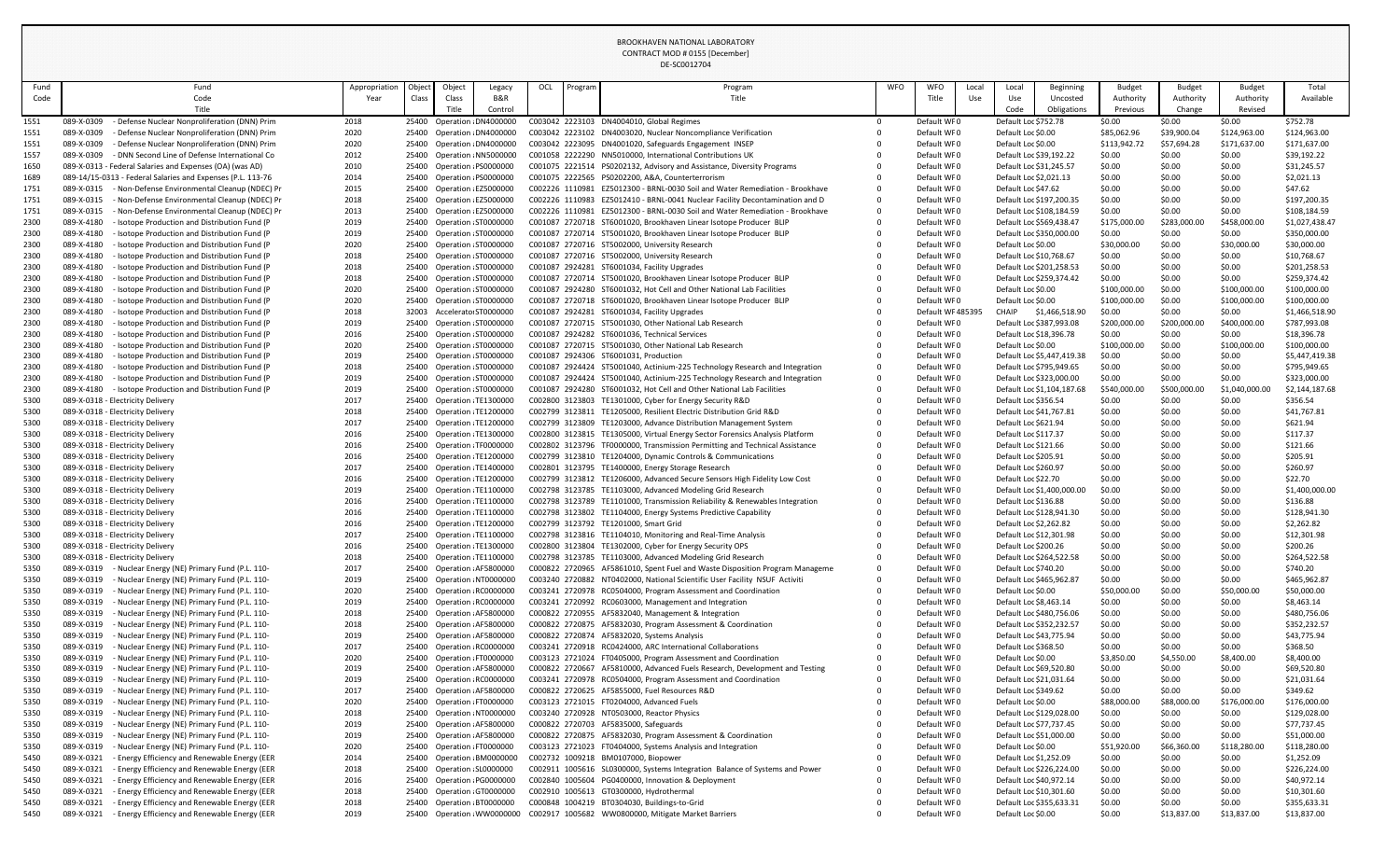| Fund         | Fund                                                                                                                       | Appropriation | Object | Object                                                 | Legacy                    | OCL | Program | Program                                                                                                                                       | WFO | WFO<br>Local               | Local | Beginning                                      | <b>Budget</b>         | <b>Budget</b>        | <b>Budget</b>         | Total                       |
|--------------|----------------------------------------------------------------------------------------------------------------------------|---------------|--------|--------------------------------------------------------|---------------------------|-----|---------|-----------------------------------------------------------------------------------------------------------------------------------------------|-----|----------------------------|-------|------------------------------------------------|-----------------------|----------------------|-----------------------|-----------------------------|
| Code         | Code                                                                                                                       | Year          | Class  | Class                                                  | B&R                       |     |         | Title                                                                                                                                         |     | Title<br>Use               | Use   | Uncosted                                       | Authority             | Authority            | Authority             | Available                   |
|              |                                                                                                                            |               |        | Title                                                  | Control                   |     |         |                                                                                                                                               |     |                            | Code  | Obligations                                    | Previous              | Change               | Revised               |                             |
| 1551         | - Defense Nuclear Nonproliferation (DNN) Prim<br>089-X-0309                                                                | 2018          |        | 25400 Operation : DN4000000                            |                           |     |         | C003042 2223103 DN4004010, Global Regimes                                                                                                     |     | Default WF0                |       | Default Loc \$752.78                           | \$0.00                | \$0.00               | \$0.00                | \$752.78                    |
| 1551         | 089-X-0309<br>Defense Nuclear Nonproliferation (DNN) Prim                                                                  | 2020          |        | 25400 Operation DN4000000                              |                           |     |         | C003042 2223102 DN4003020, Nuclear Noncompliance Verification                                                                                 |     | Default WF0                |       | Default Loc \$0.00                             | \$85,062.96           | \$39,900.04          | \$124,963.00          | \$124,963.00                |
| 1551         | 089-X-0309<br>- Defense Nuclear Nonproliferation (DNN) Prim                                                                | 2020          |        | 25400 Operation DN4000000                              |                           |     |         | C003042 2223095 DN4001020, Safeguards Engagement INSEP                                                                                        |     | Default WF0                |       | Default Loc \$0.00                             | \$113,942.72          | \$57,694.28          | \$171,637.00          | \$171,637.00                |
| 1557         | - DNN Second Line of Defense International Co<br>089-X-0309                                                                | 2012          |        | 25400 Operation NN5000000                              |                           |     |         | C001058 2222290 NN5010000, International Contributions UK                                                                                     |     | Default WF0                |       | Default Loc \$39,192.22                        | \$0.00                | \$0.00               | \$0.00                | \$39,192.22                 |
| 1650         | 089-X-0313 - Federal Salaries and Expenses (OA) (was AD)                                                                   | 2010          |        | 25400 Operation PS0000000                              |                           |     |         | C001075 2221514 PS0202132, Advisory and Assistance, Diversity Programs                                                                        |     | Default WF0                |       | Default Loc \$31,245.57                        | \$0.00                | \$0.00               | \$0.00                | \$31,245.57                 |
| 1689         | 089-14/15-0313 - Federal Salaries and Expenses (P.L. 113-76                                                                | 2014          |        | 25400 Operation PS0000000                              |                           |     |         | C001075 2222565 PS0202200, A&A, Counterterrorism                                                                                              |     | Default WF0                |       | Default Loc \$2,021.13                         | \$0.00                | \$0.00               | \$0.00                | \$2,021.13                  |
| 1751         | - Non-Defense Environmental Cleanup (NDEC) Pr<br>089-X-0315                                                                | 2015          |        | 25400 Operation EZ5000000                              |                           |     |         | C002226 1110981 EZ5012300 - BRNL-0030 Soil and Water Remediation - Brookhave                                                                  |     | Default WF0                |       | Default Loc \$47.62                            | \$0.00                | \$0.00               | \$0.00                | \$47.62                     |
| 1751         | 089-X-0315<br>Non-Defense Environmental Cleanup (NDEC) Pr                                                                  | 2018          |        | 25400 Operation EZ5000000                              |                           |     |         | C002226 1110983 EZ5012410 - BRNL-0041 Nuclear Facility Decontamination and D                                                                  |     | Default WF0                |       | Default Loc \$197,200.35                       | \$0.00                | \$0.00               | \$0.00                | \$197,200.35                |
| 1751         | - Non-Defense Environmental Cleanup (NDEC) Pr<br>089-X-0315                                                                | 2013          |        | 25400 Operation EZ5000000                              |                           |     |         | C002226 1110981 EZ5012300 - BRNL-0030 Soil and Water Remediation - Brookhave                                                                  |     | Default WF0                |       | Default Loc \$108,184.59                       | \$0.00                | \$0.00               | \$0.00                | \$108,184.59                |
| 2300         | 089-X-4180<br>- Isotope Production and Distribution Fund (P                                                                | 2019          |        | 25400 Operation ST0000000                              |                           |     |         | C001087 2720718 ST6001020, Brookhaven Linear Isotope Producer BLIP                                                                            |     | Default WF0                |       | Default Loc \$569,438.47                       | \$175,000.00          | \$283,000.00         | \$458,000.00          | \$1,027,438.47              |
| 2300<br>2300 | Isotope Production and Distribution Fund (P<br>089-X-4180<br>089-X-4180                                                    | 2019<br>2020  |        | 25400 Operation ST0000000                              |                           |     |         | C001087 2720714 ST5001020, Brookhaven Linear Isotope Producer BLIP                                                                            |     | Default WF0<br>Default WF0 |       | Default Loc \$350,000.00<br>Default Loc \$0.00 | \$0.00<br>\$30,000.00 | \$0.00<br>\$0.00     | \$0.00<br>\$30,000.00 | \$350,000.00<br>\$30,000.00 |
| 2300         | Isotope Production and Distribution Fund (P<br>Isotope Production and Distribution Fund (P<br>089-X-4180                   | 2018          |        | 25400 Operation ST0000000<br>25400 Operation ST0000000 |                           |     |         | C001087 2720716 ST5002000, University Research<br>C001087 2720716 ST5002000, University Research                                              |     | Default WF0                |       | Default Loc \$10,768.67                        | \$0.00                | \$0.00               | \$0.00                | \$10,768.67                 |
| 2300         | Isotope Production and Distribution Fund (P<br>089-X-4180                                                                  | 2018          |        | 25400 Operation ST0000000                              |                           |     |         | C001087 2924281 ST6001034, Facility Upgrades                                                                                                  |     | Default WF0                |       | Default Loc \$201,258.53                       | \$0.00                | \$0.00               | \$0.00                | \$201,258.53                |
| 2300         | 089-X-4180<br>Isotope Production and Distribution Fund (P                                                                  | 2018          |        | 25400 Operation ST0000000                              |                           |     |         | C001087 2720714 ST5001020, Brookhaven Linear Isotope Producer BLIP                                                                            |     | Default WF0                |       | Default Loc \$259,374.42                       | \$0.00                | \$0.00               | \$0.00                | \$259,374.42                |
| 2300         | 089-X-4180<br>Isotope Production and Distribution Fund (P                                                                  | 2020          |        | 25400 Operation ST0000000                              |                           |     |         | C001087 2924280 ST6001032, Hot Cell and Other National Lab Facilities                                                                         |     | Default WF0                |       | Default Loc \$0.00                             | \$100,000.00          | \$0.00               | \$100,000.00          | \$100,000.00                |
| 2300         | Isotope Production and Distribution Fund (P<br>089-X-4180                                                                  | 2020          |        | 25400 Operation ST0000000                              |                           |     |         | C001087 2720718 ST6001020, Brookhaven Linear Isotope Producer BLIP                                                                            |     | Default WF0                |       | Default Loc \$0.00                             | \$100,000.00          | \$0.00               | \$100,000.00          | \$100,000.00                |
| 2300         | Isotope Production and Distribution Fund (P<br>089-X-4180                                                                  | 2018          |        | 32003 Accelerato ST0000000                             |                           |     |         | C001087 2924281 ST6001034, Facility Upgrades                                                                                                  |     | Default WF48539!           | CHAIP | \$1,466,518.90                                 | \$0.00                | \$0.00               | \$0.00                | \$1,466,518.90              |
| 2300         | Isotope Production and Distribution Fund (P<br>089-X-4180                                                                  | 2019          |        | 25400 Operation ST0000000                              |                           |     |         | C001087 2720715 ST5001030, Other National Lab Research                                                                                        |     | Default WF0                |       | Default Loc \$387,993.08                       | \$200,000.00          | \$200,000.00         | \$400,000.00          | \$787,993.08                |
| 2300         | - Isotope Production and Distribution Fund (P<br>089-X-4180                                                                | 2016          |        | 25400 Operation ST0000000                              |                           |     |         | C001087 2924282 ST6001036, Technical Services                                                                                                 |     | Default WF0                |       | Default Loc \$18,396.78                        | \$0.00                | \$0.00               | \$0.00                | \$18,396.78                 |
| 2300         | Isotope Production and Distribution Fund (P<br>089-X-4180                                                                  | 2020          |        | 25400 Operation ST0000000                              |                           |     |         | C001087 2720715 ST5001030, Other National Lab Research                                                                                        |     | Default WF0                |       | Default Loc \$0.00                             | \$100,000.00          | \$0.00               | \$100,000.00          | \$100,000.00                |
| 2300         | 089-X-4180<br>Isotope Production and Distribution Fund (P                                                                  | 2019          |        | 25400 Operation ST0000000                              |                           |     |         | C001087 2924306 ST6001031, Production                                                                                                         |     | Default WF0                |       | Default Loc \$5,447,419.38                     | \$0.00                | \$0.00               | \$0.00                | \$5,447,419.38              |
| 2300         | Isotope Production and Distribution Fund (P<br>089-X-4180                                                                  | 2018          |        | 25400 Operation ST0000000                              |                           |     |         | C001087 2924424 ST5001040, Actinium-225 Technology Research and Integration                                                                   |     | Default WF0                |       | Default Loc \$795,949.65                       | \$0.00                | \$0.00               | \$0.00                | \$795,949.65                |
| 2300         | - Isotope Production and Distribution Fund (P<br>089-X-4180                                                                | 2019          |        | 25400 Operation ST0000000                              |                           |     |         | C001087 2924424 ST5001040, Actinium-225 Technology Research and Integration                                                                   |     | Default WF0                |       | Default Loc \$323,000.00                       | \$0.00                | \$0.00               | \$0.00                | \$323,000.00                |
| 2300         | 089-X-4180<br>- Isotope Production and Distribution Fund (P                                                                | 2019          |        | 25400 Operation ST0000000                              |                           |     |         | C001087 2924280 ST6001032, Hot Cell and Other National Lab Facilities                                                                         |     | Default WF0                |       | Default Loc \$1,104,187.68                     | \$540,000.00          | \$500,000.00         | \$1,040,000.00        | \$2,144,187.68              |
| 5300         | 089-X-0318 - Electricity Delivery                                                                                          | 2017          |        | 25400 Operation TE1300000                              |                           |     |         | C002800 3123803 TE1301000, Cyber for Energy Security R&D                                                                                      |     | Default WF0                |       | Default Loc \$356.54                           | \$0.00                | \$0.00               | \$0.00                | \$356.54                    |
| 5300         | 089-X-0318 - Electricity Delivery                                                                                          | 2018          |        | 25400 Operation TE1200000                              |                           |     |         | C002799 3123811 TE1205000, Resilient Electric Distribution Grid R&D                                                                           |     | Default WF0                |       | Default Loc \$41,767.81                        | \$0.00                | \$0.00               | \$0.00                | \$41,767.81                 |
| 5300         | 089-X-0318 - Electricity Delivery                                                                                          | 2017          |        | 25400 Operation TE1200000                              |                           |     |         | C002799 3123809 TE1203000, Advance Distribution Management System                                                                             |     | Default WF0                |       | Default Loc \$621.94                           | \$0.00                | \$0.00               | \$0.00                | \$621.94                    |
| 5300         | 089-X-0318 - Electricity Delivery                                                                                          | 2016          |        | 25400 Operation TE1300000                              |                           |     |         | C002800 3123815 TE1305000, Virtual Energy Sector Forensics Analysis Platform                                                                  |     | Default WF0                |       | Default Loc \$117.37                           | \$0.00                | \$0.00               | \$0.00                | \$117.37                    |
| 5300         | 089-X-0318 - Electricity Delivery                                                                                          | 2016          |        | 25400 Operation TF0000000                              |                           |     |         | C002802 3123796 TF0000000, Transmission Permitting and Technical Assistance                                                                   |     | Default WF0                |       | Default Loc \$121.66                           | \$0.00                | \$0.00               | \$0.00                | \$121.66                    |
| 5300<br>5300 | 089-X-0318 - Electricity Delivery<br>089-X-0318 - Electricity Delivery                                                     | 2016<br>2017  |        | 25400 Operation TE1200000<br>25400 Operation TE1400000 |                           |     |         | C002799 3123810 TE1204000, Dynamic Controls & Communications<br>C002801 3123795 TE1400000, Energy Storage Research                            |     | Default WF0<br>Default WF0 |       | Default Loc \$205.91<br>Default Loc \$260.97   | \$0.00<br>\$0.00      | \$0.00<br>\$0.00     | \$0.00<br>\$0.00      | \$205.91<br>\$260.97        |
| 5300         | 089-X-0318 - Electricity Delivery                                                                                          | 2016          |        | 25400 Operation TE1200000                              |                           |     |         | C002799 3123812 TE1206000, Advanced Secure Sensors High Fidelity Low Cost                                                                     |     | Default WF0                |       | Default Loc \$22.70                            | \$0.00                | \$0.00               | \$0.00                | \$22.70                     |
| 5300         | 089-X-0318 - Electricity Delivery                                                                                          | 2019          |        | 25400 Operation TE1100000                              |                           |     |         | C002798 3123785 TE1103000, Advanced Modeling Grid Research                                                                                    |     | Default WF0                |       | Default Loc \$1,400,000.00                     | \$0.00                | \$0.00               | \$0.00                | \$1,400,000.00              |
| 5300         | 089-X-0318 - Electricity Delivery                                                                                          | 2016          |        | 25400 Operation TE1100000                              |                           |     |         | C002798 3123789 TE1101000, Transmission Reliability & Renewables Integration                                                                  |     | Default WF0                |       | Default Loc \$136.88                           | \$0.00                | \$0.00               | \$0.00                | \$136.88                    |
| 5300         | 089-X-0318 - Electricity Delivery                                                                                          | 2016          |        | 25400 Operation TE1100000                              |                           |     |         | C002798 3123802 TE1104000, Energy Systems Predictive Capability                                                                               |     | Default WF0                |       | Default Loc \$128,941.30                       | \$0.00                | \$0.00               | \$0.00                | \$128,941.30                |
| 5300         | 089-X-0318 - Electricity Delivery                                                                                          | 2016          |        | 25400 Operation TE1200000                              |                           |     |         | C002799 3123792 TE1201000, Smart Grid                                                                                                         |     | Default WF0                |       | Default Loc \$2,262.82                         | \$0.00                | \$0.00               | \$0.00                | \$2,262.82                  |
| 5300         | 089-X-0318 - Electricity Delivery                                                                                          | 2017          |        | 25400 Operation TE1100000                              |                           |     |         | C002798 3123816 TE1104010, Monitoring and Real-Time Analysis                                                                                  |     | Default WF0                |       | Default Loc \$12,301.98                        | \$0.00                | \$0.00               | \$0.00                | \$12,301.98                 |
| 5300         | 089-X-0318 - Electricity Delivery                                                                                          | 2016          |        | 25400 Operation TE1300000                              |                           |     |         | C002800 3123804 TE1302000, Cyber for Energy Security OPS                                                                                      |     | Default WF0                |       | Default Loc \$200.26                           | \$0.00                | \$0.00               | \$0.00                | \$200.26                    |
| 5300         | 089-X-0318 - Electricity Delivery                                                                                          | 2018          |        | 25400 Operation TE1100000                              |                           |     |         | C002798 3123785 TE1103000, Advanced Modeling Grid Research                                                                                    |     | Default WF0                |       | Default Loc \$264,522.58                       | \$0.00                | \$0.00               | \$0.00                | \$264,522.58                |
| 5350         | 089-X-0319<br>- Nuclear Energy (NE) Primary Fund (P.L. 110-                                                                | 2017          |        | 25400 Operation AF5800000                              |                           |     |         | C000822 2720965 AF5861010, Spent Fuel and Waste Disposition Program Manageme                                                                  |     | Default WF0                |       | Default Loc \$740.20                           | \$0.00                | \$0.00               | \$0.00                | \$740.20                    |
| 5350         | 089-X-0319<br>- Nuclear Energy (NE) Primary Fund (P.L. 110-                                                                | 2019          |        | 25400 Operation NT0000000                              |                           |     |         | C003240 2720882 NT0402000, National Scientific User Facility NSUF Activiti                                                                    |     | Default WF0                |       | Default Loc \$465,962.87                       | \$0.00                | \$0.00               | \$0.00                | \$465,962.87                |
| 5350         | 089-X-0319<br>- Nuclear Energy (NE) Primary Fund (P.L. 110-                                                                | 2020          |        | 25400 Operation RC0000000                              |                           |     |         | C003241 2720978 RC0504000, Program Assessment and Coordination                                                                                |     | Default WF0                |       | Default Loc \$0.00                             | \$50,000.00           | \$0.00               | \$50,000.00           | \$50,000.00                 |
| 5350         | - Nuclear Energy (NE) Primary Fund (P.L. 110-<br>089-X-0319                                                                | 2019          |        | 25400 Operation RC0000000                              |                           |     |         | C003241 2720992 RC0603000, Management and Integration                                                                                         |     | Default WF0                |       | Default Loc \$8,463.14                         | \$0.00                | \$0.00               | \$0.00                | \$8,463.14                  |
| 5350         | 089-X-0319<br>- Nuclear Energy (NE) Primary Fund (P.L. 110-                                                                | 2018          |        | 25400 Operation AF5800000                              |                           |     |         | C000822 2720955 AF5832040, Management & Integration                                                                                           |     | Default WF0                |       | Default Loc \$480,756.06                       | \$0.00                | \$0.00               | \$0.00                | \$480,756.06                |
| 5350         | - Nuclear Energy (NE) Primary Fund (P.L. 110-<br>089-X-0319                                                                | 2018          |        | 25400 Operation AF5800000                              |                           |     |         | C000822 2720875 AF5832030, Program Assessment & Coordination                                                                                  |     | Default WF0                |       | Default Loc \$352,232.57                       | \$0.00                | \$0.00               | \$0.00                | \$352,232.57                |
| 5350         | - Nuclear Energy (NE) Primary Fund (P.L. 110-<br>089-X-0319                                                                | 2019          |        | 25400 Operation AF5800000                              |                           |     |         | C000822 2720874 AF5832020, Systems Analysis                                                                                                   |     | Default WF0                |       | Default Loc \$43,775.94                        | \$0.00                | \$0.00               | \$0.00                | \$43,775.94                 |
| 5350         | - Nuclear Energy (NE) Primary Fund (P.L. 110-<br>089-X-0319                                                                | 2017          |        | 25400 Operation RC0000000                              |                           |     |         | C003241 2720918 RC0424000, ARC International Collaborations                                                                                   |     | Default WF0<br>Default WF0 |       | Default Loc \$368.50<br>Default Loc \$0.00     | \$0.00                | \$0.00               | \$0.00                | \$368.50                    |
| 5350<br>5350 | 089-X-0319<br>- Nuclear Energy (NE) Primary Fund (P.L. 110-<br>089-X-0319<br>- Nuclear Energy (NE) Primary Fund (P.L. 110- | 2020<br>2019  |        | 25400 Operation FT0000000<br>25400 Operation AF5800000 |                           |     |         | C003123 2721024 FT0405000, Program Assessment and Coordination<br>C000822 2720667 AF5810000, Advanced Fuels Research, Development and Testing |     | Default WF0                |       | Default Loc \$69,520.80                        | \$3,850.00<br>\$0.00  | \$4,550.00<br>\$0.00 | \$8,400.00<br>\$0.00  | \$8,400.00<br>\$69,520.80   |
| 5350         | Nuclear Energy (NE) Primary Fund (P.L. 110-<br>089-X-0319                                                                  | 2019          |        | 25400 Operation RC0000000                              |                           |     |         | C003241 2720978 RC0504000, Program Assessment and Coordination                                                                                |     | Default WF0                |       | Default Loc \$21,031.64                        | \$0.00                | \$0.00               | \$0.00                | \$21,031.64                 |
| 5350         | 089-X-0319<br>- Nuclear Energy (NE) Primary Fund (P.L. 110-                                                                | 2017          |        | 25400 Operation AF5800000                              |                           |     |         | C000822 2720625 AF5855000, Fuel Resources R&D                                                                                                 |     | Default WF0                |       | Default Loc \$349.62                           | \$0.00                | \$0.00               | \$0.00                | \$349.62                    |
| 5350         | 089-X-0319<br>- Nuclear Energy (NE) Primary Fund (P.L. 110-                                                                | 2020          |        | 25400 Operation FT0000000                              |                           |     |         | C003123 2721015 FT0204000, Advanced Fuels                                                                                                     |     | Default WF0                |       | Default Loc \$0.00                             | \$88,000.00           | \$88,000.00          | \$176,000.00          | \$176,000.00                |
| 5350         | 089-X-0319<br>- Nuclear Energy (NE) Primary Fund (P.L. 110-                                                                | 2018          |        | 25400 Operation NT0000000                              |                           |     |         | C003240 2720928 NT0503000, Reactor Physics                                                                                                    |     | Default WF0                |       | Default Loc \$129,028.00                       | \$0.00                | \$0.00               | \$0.00                | \$129,028.00                |
| 5350         | 089-X-0319<br>- Nuclear Energy (NE) Primary Fund (P.L. 110-                                                                | 2019          |        | 25400 Operation AF5800000                              |                           |     |         | C000822 2720703 AF5835000, Safeguards                                                                                                         |     | Default WF0                |       | Default Loc \$77,737.45                        | \$0.00                | \$0.00               | \$0.00                | \$77,737.45                 |
| 5350         | - Nuclear Energy (NE) Primary Fund (P.L. 110-<br>089-X-0319                                                                | 2019          |        | 25400 Operation AF5800000                              |                           |     |         | C000822 2720875 AF5832030, Program Assessment & Coordination                                                                                  |     | Default WF0                |       | Default Loc \$51,000.00                        | \$0.00                | \$0.00               | \$0.00                | \$51,000.00                 |
| 5350         | - Nuclear Energy (NE) Primary Fund (P.L. 110-<br>089-X-0319                                                                | 2020          |        | 25400 Operation FT0000000                              |                           |     |         | C003123 2721023 FT0404000, Systems Analysis and Integration                                                                                   |     | Default WF0                |       | Default Loc \$0.00                             | \$51,920.00           | \$66,360.00          | \$118,280.00          | \$118,280.00                |
| 5450         | - Energy Efficiency and Renewable Energy (EER<br>089-X-0321                                                                | 2014          |        |                                                        | 25400 Operation BM0000000 |     |         | C002732 1009218 BM0107000, Biopower                                                                                                           |     | Default WF0                |       | Default Loc \$1,252.09                         | \$0.00                | \$0.00               | \$0.00                | \$1,252.09                  |
| 5450         | - Energy Efficiency and Renewable Energy (EER<br>089-X-0321                                                                | 2018          |        | 25400 Operation : SL0000000                            |                           |     |         | C002911 1005616 SL0300000, Systems Integration Balance of Systems and Power                                                                   |     | Default WF0                |       | Default Loc \$226,224.00                       | \$0.00                | \$0.00               | \$0.00                | \$226,224.00                |
| 5450         | 089-X-0321<br>- Energy Efficiency and Renewable Energy (EER                                                                | 2016          |        | 25400 Operation PG0000000                              |                           |     |         | C002840 1005604 PG0400000, Innovation & Deployment                                                                                            |     | Default WF0                |       | Default Loc \$40,972.14                        | \$0.00                | \$0.00               | \$0.00                | \$40,972.14                 |
| 5450         | - Energy Efficiency and Renewable Energy (EER<br>089-X-0321                                                                | 2018          |        | 25400 Operation GT0000000                              |                           |     |         | C002910 1005613 GT0300000, Hydrothermal                                                                                                       |     | Default WF0                |       | Default Loc \$10,301.60                        | \$0.00                | \$0.00               | \$0.00                | \$10,301.60                 |
| 5450         | - Energy Efficiency and Renewable Energy (EER<br>089-X-0321                                                                | 2018          |        | 25400 Operation BT0000000                              |                           |     |         | C000848 1004219 BT0304030, Buildings-to-Grid                                                                                                  |     | Default WF0                |       | Default Loc \$355,633.31                       | \$0.00                | \$0.00               | \$0.00                | \$355,633.31                |
| 5450         | - Energy Efficiency and Renewable Energy (EER<br>089-X-0321                                                                | 2019          |        |                                                        | 25400 Operation WW0000000 |     |         | C002917 1005682 WW0800000, Mitigate Market Barriers                                                                                           |     | Default WF0                |       | Default Loc \$0.00                             | \$0.00                | \$13,837.00          | \$13,837.00           | \$13,837.00                 |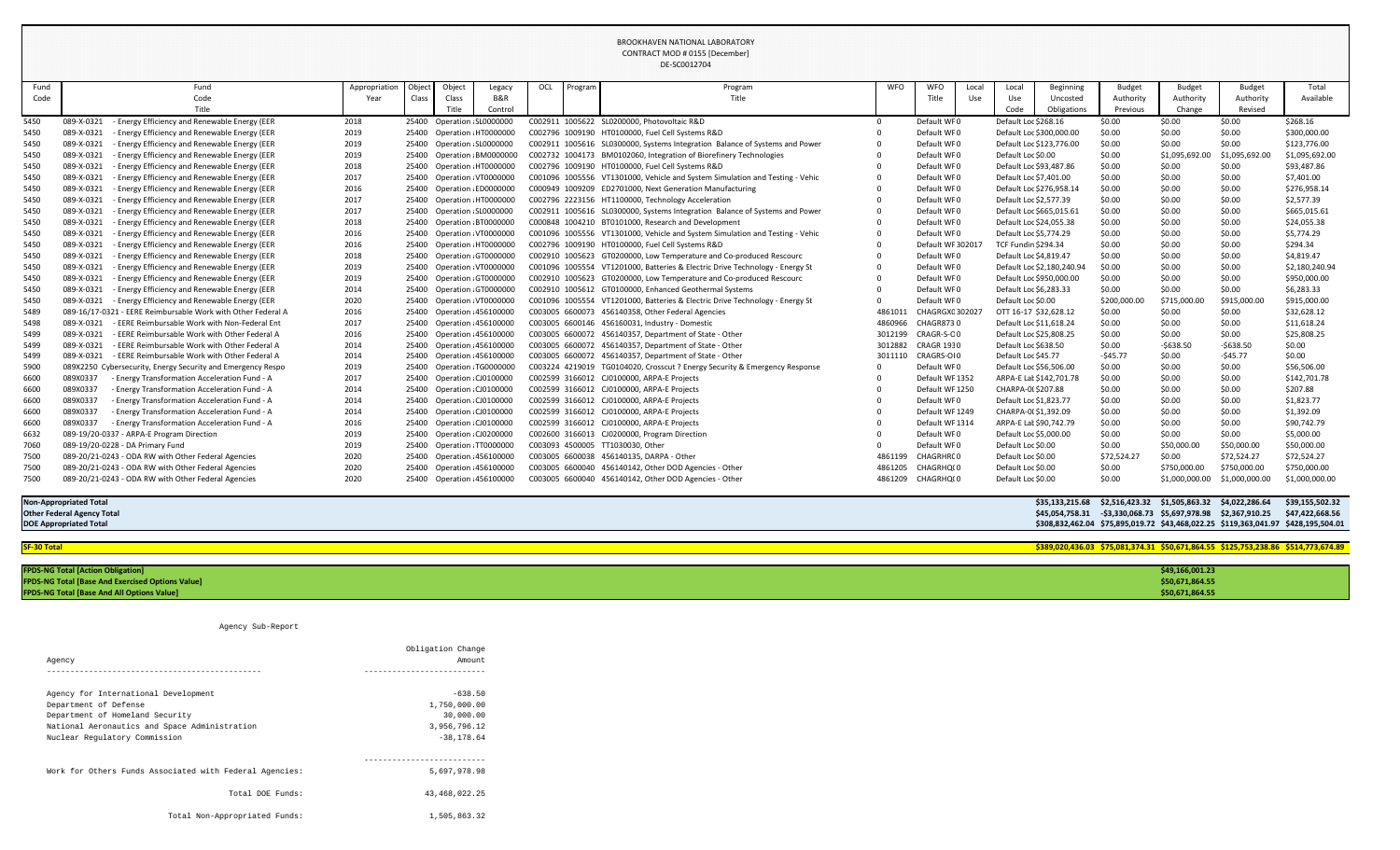|             |                                                              |               |        |                             |                            |     |         | $0 - 000 + 000 + 000$                                                        |                   |                   |       |                            |                            |              |                |                                                                                    |                                                                                    |
|-------------|--------------------------------------------------------------|---------------|--------|-----------------------------|----------------------------|-----|---------|------------------------------------------------------------------------------|-------------------|-------------------|-------|----------------------------|----------------------------|--------------|----------------|------------------------------------------------------------------------------------|------------------------------------------------------------------------------------|
| Fund        | Fund                                                         | Appropriatior | Object | Object                      | Legacy                     | OCL | Program | Program                                                                      | <b>WFO</b>        | <b>WFO</b>        | Local | Local                      | Beginning                  | Budget       | <b>Budget</b>  | <b>Budget</b>                                                                      | Total                                                                              |
| Code        | Code                                                         | Year          | Class  | Class                       | B&R                        |     |         | <b>Title</b>                                                                 |                   | Title             | Use   | Use                        | Uncosted                   | Authority    | Authority      | Authority                                                                          | Available                                                                          |
|             | Title                                                        |               |        | Title                       | Control                    |     |         |                                                                              |                   |                   |       | Code                       | Obligations                | Previous     | Change         | Revised                                                                            |                                                                                    |
| 5450        | - Energy Efficiency and Renewable Energy (EER<br>089-X-0321  | 2018          |        | 25400 Operation SL0000000   |                            |     |         | C002911 1005622 SL0200000, Photovoltaic R&D                                  | $\Omega$          | Default WF0       |       | Default Loc \$268.16       |                            | \$0.00       | \$0.00         | \$0.00                                                                             | \$268.16                                                                           |
| 5450        | 089-X-0321<br>- Energy Efficiency and Renewable Energy (EER  | 2019          |        |                             | 25400 Operation HT0000000  |     |         | C002796 1009190 HT0100000, Fuel Cell Systems R&D                             |                   | Default WF0       |       |                            | Default Loc \$300,000.00   | \$0.00       | \$0.00         | \$0.00                                                                             | \$300,000.00                                                                       |
| 5450        | 089-X-0321<br>- Energy Efficiency and Renewable Energy (EER  | 2019          |        | 25400 Operation SL0000000   |                            |     |         | C002911 1005616 SL0300000, Systems Integration Balance of Systems and Power  |                   | Default WF0       |       |                            | Default Loc \$123,776.00   | \$0.00       | \$0.00         | \$0.00                                                                             | \$123,776.00                                                                       |
| 5450        | 089-X-0321<br>- Energy Efficiency and Renewable Energy (EER  | 2019          |        |                             | 25400 Operation BM0000000  |     |         | C002732 1004173 BM0102060, Integration of Biorefinery Technologies           |                   | Default WF0       |       | Default Loc \$0.00         |                            | \$0.00       | \$1,095,692.00 | \$1,095,692.00                                                                     | \$1,095,692.00                                                                     |
| 5450        | 089-X-0321<br>- Energy Efficiency and Renewable Energy (EER  | 2018          |        |                             | 25400 Operation HT0000000  |     |         | C002796 1009190 HT0100000, Fuel Cell Systems R&D                             |                   | Default WF0       |       | Default Loc \$93,487.86    |                            | \$0.00       | \$0.00         | \$0.00                                                                             | \$93,487.86                                                                        |
| 5450        | - Energy Efficiency and Renewable Energy (EER<br>089-X-0321  | 2017          |        |                             | 25400 Operation VT0000000  |     |         | C001096 1005556 VT1301000, Vehicle and System Simulation and Testing - Vehic |                   | Default WF0       |       | Default Loc \$7,401.00     |                            | \$0.00       | \$0.00         | \$0.00                                                                             | \$7,401.00                                                                         |
| 5450        | 089-X-0321<br>- Energy Efficiency and Renewable Energy (EER  | 2016          |        |                             | 25400 Operation ED0000000  |     |         | C000949 1009209 ED2701000, Next Generation Manufacturing                     |                   | Default WF0       |       |                            | Default Loc \$276,958.14   | \$0.00       | \$0.00         | \$0.00                                                                             | \$276,958.14                                                                       |
| 5450        | 089-X-0321<br>- Energy Efficiency and Renewable Energy (EER  | 2017          |        |                             | 25400 Operation HT0000000  |     |         | C002796 2223156 HT1100000, Technology Acceleration                           |                   | Default WF0       |       | Default Loc \$2,577.39     |                            | \$0.00       | \$0.00         | \$0.00                                                                             | \$2,577.39                                                                         |
| 5450        | 089-X-0321<br>- Energy Efficiency and Renewable Energy (EER  | 2017          |        | 25400 Operation SL0000000   |                            |     |         | C002911 1005616 SL0300000, Systems Integration Balance of Systems and Power  |                   | Default WF0       |       | Default Loc \$665,015.61   |                            | \$0.00       | \$0.00         | \$0.00                                                                             | \$665,015.61                                                                       |
| 5450        | - Energy Efficiency and Renewable Energy (EER<br>089-X-0321  | 2018          |        |                             | 25400 Operation BT0000000  |     |         | C000848 1004210 BT0101000, Research and Development                          |                   | Default WF0       |       | Default Loc \$24,055.38    |                            | \$0.00       | \$0.00         | \$0.00                                                                             | \$24,055.38                                                                        |
| 5450        | - Energy Efficiency and Renewable Energy (EER<br>089-X-0321  | 2016          |        |                             | 25400 Operation VT0000000  |     |         | C001096 1005556 VT1301000, Vehicle and System Simulation and Testing - Vehic |                   | Default WF0       |       | Default Loc \$5,774.29     |                            | \$0.00       | \$0.00         | \$0.00                                                                             | \$5,774.29                                                                         |
| 5450        | 089-X-0321<br>- Energy Efficiency and Renewable Energy (EER  | 2016          |        |                             | 25400 Operation HT0000000  |     |         | C002796 1009190 HT0100000, Fuel Cell Systems R&D                             |                   | Default WF 302017 |       | <b>TCF Fundin \$294.34</b> |                            | \$0.00       | \$0.00         | \$0.00                                                                             | \$294.34                                                                           |
| 5450        | 089-X-0321<br>- Energy Efficiency and Renewable Energy (EER  | 2018          |        |                             | 25400 Operation GT0000000  |     |         | C002910 1005623 GT0200000, Low Temperature and Co-produced Rescourc          |                   | Default WF0       |       | Default Loc \$4,819.47     |                            | \$0.00       | \$0.00         | \$0.00                                                                             | \$4,819.47                                                                         |
| 5450        | - Energy Efficiency and Renewable Energy (EER<br>089-X-0321  | 2019          |        |                             | 25400 Operation: VT0000000 |     |         | C001096 1005554 VT1201000, Batteries & Electric Drive Technology - Energy St |                   | Default WF0       |       |                            | Default Loc \$2,180,240.94 | \$0.00       | \$0.00         | \$0.00                                                                             | \$2,180,240.94                                                                     |
| 5450        | - Energy Efficiency and Renewable Energy (EER<br>089-X-0321  | 2019          |        |                             | 25400 Operation GT0000000  |     |         | C002910 1005623 GT0200000, Low Temperature and Co-produced Rescourc          |                   | Default WF0       |       |                            | Default Loc \$950,000.00   | \$0.00       | \$0.00         | \$0.00                                                                             | \$950,000.00                                                                       |
| 5450        | - Energy Efficiency and Renewable Energy (EER<br>089-X-0321  | 2014          |        |                             | 25400 Operation GT0000000  |     |         | C002910 1005612 GT0100000, Enhanced Geothermal Systems                       |                   | Default WF0       |       | Default Loc \$6,283.33     |                            | \$0.00       | \$0.00         | \$0.00                                                                             | \$6,283.33                                                                         |
| 5450        | 089-X-0321<br>- Energy Efficiency and Renewable Energy (EER  | 2020          |        |                             | 25400 Operation VT0000000  |     |         | C001096 1005554 VT1201000, Batteries & Electric Drive Technology - Energy St |                   | Default WF0       |       | Default Loc \$0.00         |                            | \$200,000.00 | \$715,000.00   | \$915,000.00                                                                       | \$915,000.00                                                                       |
| 5489        | 089-16/17-0321 - EERE Reimbursable Work with Other Federal A | 2016          |        |                             | 25400 Operation 456100000  |     |         | C003005 6600073 456140358, Other Federal Agencies                            | 4861011           | CHAGRGX030202     |       | OTT 16-17 \$32,628.12      |                            | \$0.00       | \$0.00         | \$0.00                                                                             | \$32,628.12                                                                        |
| 5498        | 089-X-0321<br>- EERE Reimbursable Work with Non-Federal Ent  | 2017          |        |                             | 25400 Operation 456100000  |     |         | C003005 6600146 456160031, Industry - Domestic                               | 4860966           | <b>CHAGR8730</b>  |       | Default Loc \$11,618.24    |                            | \$0.00       | \$0.00         | \$0.00                                                                             | \$11,618.24                                                                        |
| 5499        | - EERE Reimbursable Work with Other Federal A<br>089-X-0321  | 2016          |        |                             | 25400 Operation 456100000  |     |         | C003005 6600072 456140357, Department of State - Other                       | 3012199           | CRAGR-S-OO        |       | Default Loc \$25,808.25    |                            | \$0.00       | \$0.00         | \$0.00                                                                             | \$25,808.25                                                                        |
| 5499        | 089-X-0321<br>- EERE Reimbursable Work with Other Federal A  | 2014          |        |                             | 25400 Operation 456100000  |     |         | C003005 6600072 456140357, Department of State - Other                       | 3012882           | <b>CRAGR 1930</b> |       | Default Loc \$638.50       |                            | \$0.00       | $-$638.50$     | $-$638.50$                                                                         | \$0.00                                                                             |
| 5499        | 089-X-0321<br>- EERE Reimbursable Work with Other Federal A  | 2014          |        |                             | 25400 Operation 456100000  |     |         | C003005 6600072 456140357, Department of State - Other                       | 3011110           | CRAGRS-OI0        |       | Default Loc \$45.77        |                            | $-545.77$    | \$0.00         | $-545.77$                                                                          | \$0.00                                                                             |
| 5900        | 089X2250 Cybersecurity, Energy Security and Emergency Respo  | 2019          |        |                             | 25400 Operation TG0000000  |     |         | C003224 4219019 TG0104020, Crosscut ? Energy Security & Emergency Response   |                   | Default WF0       |       | Default Loc \$56,506.00    |                            | \$0.00       | \$0.00         | \$0.00                                                                             | \$56,506.00                                                                        |
| 6600        | 089X0337<br>- Energy Transformation Acceleration Fund - A    | 2017          |        | 25400 Operation : CJ0100000 |                            |     |         | C002599 3166012 CJ0100000, ARPA-E Projects                                   |                   | Default WF1352    |       |                            | ARPA-E Lat \$142,701.78    | \$0.00       | \$0.00         | \$0.00                                                                             | \$142,701.78                                                                       |
| 6600        | 089X0337<br>- Energy Transformation Acceleration Fund - A    | 2014          |        | 25400 Operation CJ0100000   |                            |     |         | C002599 3166012 CJ0100000, ARPA-E Projects                                   |                   | Default WF1250    |       | CHARPA-0(\$207.88          |                            | \$0.00       | \$0.00         | \$0.00                                                                             | \$207.88                                                                           |
| 6600        | 089X0337<br>- Energy Transformation Acceleration Fund - A    | 2014          |        | 25400 Operation : CJ0100000 |                            |     |         | C002599 3166012 CJ0100000, ARPA-E Projects                                   |                   | Default WF0       |       | Default Loc \$1,823.77     |                            | \$0.00       | \$0.00         | \$0.00                                                                             | \$1,823.77                                                                         |
| 6600        | 089X0337<br>- Energy Transformation Acceleration Fund - A    | 2014          |        | 25400 Operation CJ0100000   |                            |     |         | C002599 3166012 CJ0100000, ARPA-E Projects                                   |                   | Default WF 1249   |       | CHARPA-0(\$1,392.09        |                            | \$0.00       | \$0.00         | \$0.00                                                                             | \$1,392.09                                                                         |
| 6600        | - Energy Transformation Acceleration Fund - A<br>089X0337    | 2016          |        | 25400 Operation CJ0100000   |                            |     |         | C002599 3166012 CJ0100000, ARPA-E Projects                                   |                   | Default WF 1314   |       | ARPA-E Lat \$90,742.79     |                            | \$0.00       | \$0.00         | \$0.00                                                                             | \$90,742.79                                                                        |
| 6632        | 089-19/20-0337 - ARPA-E Program Direction                    | 2019          |        | 25400 Operation CJ0200000   |                            |     |         | C002600 3166013 CJ0200000, Program Direction                                 |                   | Default WF0       |       | Default Loc \$5,000.00     |                            | \$0.00       | \$0.00         | \$0.00                                                                             | \$5,000.00                                                                         |
| 7060        | 089-19/20-0228 - DA Primary Fund                             | 2019          |        |                             | 25400 Operation TT0000000  |     |         | C003093 4500005 TT1030030, Other                                             |                   | Default WF0       |       | Default Loc \$0.00         |                            | \$0.00       | \$50,000.00    | \$50,000.00                                                                        | \$50,000.00                                                                        |
| 7500        | 089-20/21-0243 - ODA RW with Other Federal Agencies          | 2020          |        |                             | 25400 Operation 456100000  |     |         | C003005 6600038 456140135, DARPA - Other                                     | 4861199           | CHAGRHR00         |       | Default Loc \$0.00         |                            | \$72,524.27  | \$0.00         | \$72,524.27                                                                        | \$72,524.27                                                                        |
| 7500        | 089-20/21-0243 - ODA RW with Other Federal Agencies          | 2020          |        |                             | 25400 Operation 456100000  |     |         | C003005 6600040 456140142, Other DOD Agencies - Other                        | 4861205 CHAGRHQ(0 |                   |       | Default Loc \$0.00         |                            | \$0.00       | \$750,000.00   | \$750,000.00                                                                       | \$750,000.00                                                                       |
| 7500        | 089-20/21-0243 - ODA RW with Other Federal Agencies          | 2020          |        |                             | 25400 Operation 456100000  |     |         | C003005 6600040 456140142, Other DOD Agencies - Other                        | 4861209 CHAGRHQ(0 |                   |       | Default Loc \$0.00         |                            | \$0.00       | \$1,000,000.00 | \$1,000,000.00                                                                     | \$1,000,000.00                                                                     |
|             | <b>Non-Appropriated Total</b>                                |               |        |                             |                            |     |         |                                                                              |                   |                   |       |                            | \$35,133,215.68            |              |                |                                                                                    | \$39,155,502.32                                                                    |
|             | <b>Other Federal Agency Total</b>                            |               |        |                             |                            |     |         |                                                                              |                   |                   |       |                            |                            |              |                | \$45,054,758.31 -\$3,330,068.73 \$5,697,978.98 \$2,367,910.25 \$47,422,668.56      |                                                                                    |
|             | <b>DOE Appropriated Total</b>                                |               |        |                             |                            |     |         |                                                                              |                   |                   |       |                            |                            |              |                | \$308,832,462.04 \$75,895,019.72 \$43,468,022.25 \$119,363,041.97 \$428,195,504.01 |                                                                                    |
|             |                                                              |               |        |                             |                            |     |         |                                                                              |                   |                   |       |                            |                            |              |                |                                                                                    |                                                                                    |
| SF-30 Total |                                                              |               |        |                             |                            |     |         |                                                                              |                   |                   |       |                            |                            |              |                |                                                                                    | \$389,020,436.03 \$75,081,374.31 \$50,671,864.55 \$125,753,238.86 \$514,773,674.89 |
|             |                                                              |               |        |                             |                            |     |         |                                                                              |                   |                   |       |                            |                            |              |                |                                                                                    |                                                                                    |

| <b>FPDS-NG Total [Action Obligation]</b>                | \$49,166,001.23 |
|---------------------------------------------------------|-----------------|
| <b>FPDS-NG Total [Base And Exercised Options Value]</b> | \$50,671,864.55 |
| <b>FPDS-NG Total [Base And All Options Value]</b>       | \$50,671,864.55 |

Agency Sub-Report

|                                                         | Obligation Change |
|---------------------------------------------------------|-------------------|
| Agency                                                  | Amount            |
|                                                         |                   |
| Agency for International Development                    | $-638.50$         |
| Department of Defense                                   | 1,750,000.00      |
| Department of Homeland Security                         | 30,000.00         |
| National Aeronautics and Space Administration           | 3,956,796.12      |
| Nuclear Regulatory Commission                           | $-38, 178.64$     |
| Work for Others Funds Associated with Federal Agencies: | 5,697,978.98      |
| Total DOE Funds:                                        | 43,468,022.25     |
| Total Non-Appropriated Funds:                           | 1,505,863.32      |
|                                                         |                   |